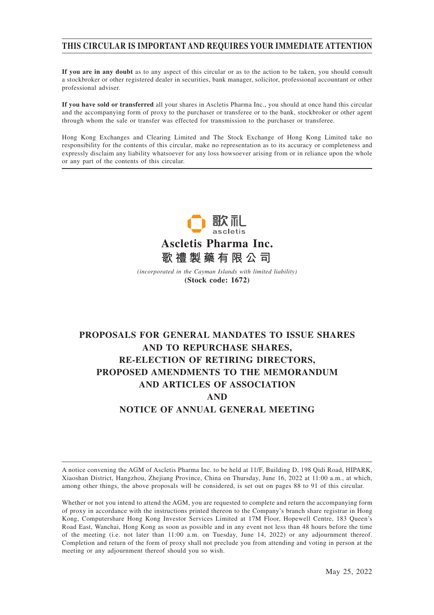## **THIS CIRCULAR IS IMPORTANT AND REQUIRES YOUR IMMEDIATE ATTENTION**

**If you are in any doubt** as to any aspect of this circular or as to the action to be taken, you should consult a stockbroker or other registered dealer in securities, bank manager, solicitor, professional accountant or other professional adviser.

**If you have sold or transferred** all your shares in Ascletis Pharma Inc., you should at once hand this circular and the accompanying form of proxy to the purchaser or transferee or to the bank, stockbroker or other agent through whom the sale or transfer was effected for transmission to the purchaser or transferee.

Hong Kong Exchanges and Clearing Limited and The Stock Exchange of Hong Kong Limited take no responsibility for the contents of this circular, make no representation as to its accuracy or completeness and expressly disclaim any liability whatsoever for any loss howsoever arising from or in reliance upon the whole or any part of the contents of this circular.



*(incorporated in the Cayman Islands with limited liability)* **(Stock code: 1672)**

# **PROPOSALS FOR GENERAL MANDATES TO ISSUE SHARES AND TO REPURCHASE SHARES, RE-ELECTION OF RETIRING DIRECTORS, PROPOSED AMENDMENTS TO THE MEMORANDUM AND ARTICLES OF ASSOCIATION AND NOTICE OF ANNUAL GENERAL MEETING**

A notice convening the AGM of Ascletis Pharma Inc. to be held at 11/F, Building D, 198 Qidi Road, HIPARK, Xiaoshan District, Hangzhou, Zhejiang Province, China on Thursday, June 16, 2022 at 11:00 a.m., at which, among other things, the above proposals will be considered, is set out on pages 88 to 91 of this circular.

Whether or not you intend to attend the AGM, you are requested to complete and return the accompanying form of proxy in accordance with the instructions printed thereon to the Company's branch share registrar in Hong Kong, Computershare Hong Kong Investor Services Limited at 17M Floor, Hopewell Centre, 183 Queen's Road East, Wanchai, Hong Kong as soon as possible and in any event not less than 48 hours before the time of the meeting (i.e. not later than 11:00 a.m. on Tuesday, June 14, 2022) or any adjournment thereof. Completion and return of the form of proxy shall not preclude you from attending and voting in person at the meeting or any adjournment thereof should you so wish.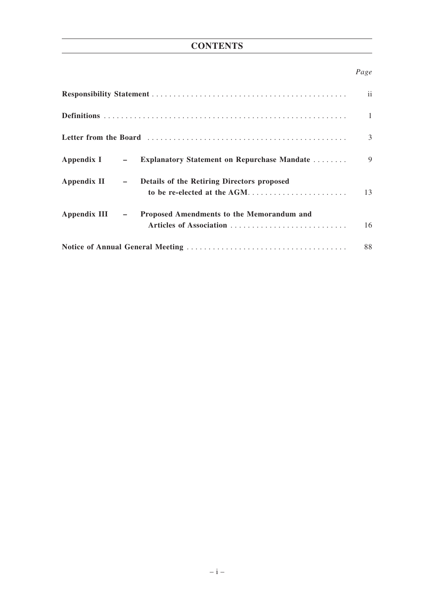# **CONTENTS**

## *Page*

|                                                                                          | ii           |
|------------------------------------------------------------------------------------------|--------------|
|                                                                                          | $\mathbf{1}$ |
|                                                                                          | 3            |
| Appendix I - Explanatory Statement on Repurchase Mandate                                 | 9            |
| Appendix II - Details of the Retiring Directors proposed<br>to be re-elected at the AGM  | 13           |
| Appendix III $-$<br>Proposed Amendments to the Memorandum and<br>Articles of Association | 16           |
|                                                                                          | 88           |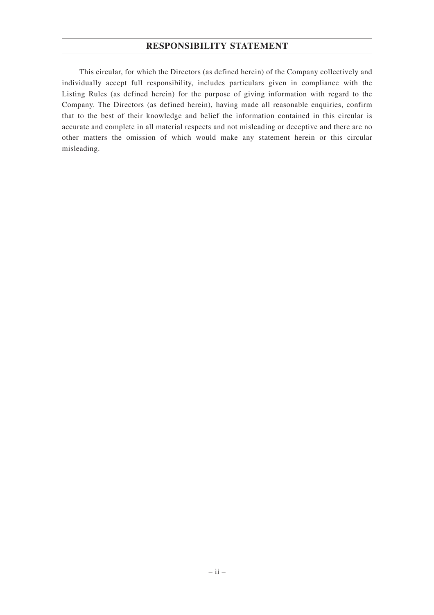## **RESPONSIBILITY STATEMENT**

This circular, for which the Directors (as defined herein) of the Company collectively and individually accept full responsibility, includes particulars given in compliance with the Listing Rules (as defined herein) for the purpose of giving information with regard to the Company. The Directors (as defined herein), having made all reasonable enquiries, confirm that to the best of their knowledge and belief the information contained in this circular is accurate and complete in all material respects and not misleading or deceptive and there are no other matters the omission of which would make any statement herein or this circular misleading.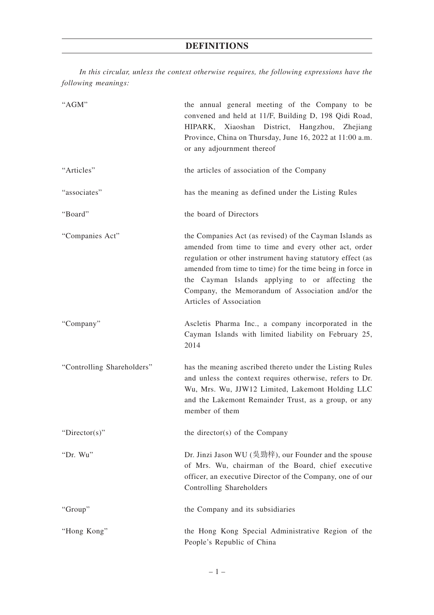*In this circular, unless the context otherwise requires, the following expressions have the following meanings:*

| "AGM"                      | the annual general meeting of the Company to be<br>convened and held at 11/F, Building D, 198 Qidi Road,<br>HIPARK, Xiaoshan<br>District, Hangzhou,<br><b>Zhejiang</b><br>Province, China on Thursday, June 16, 2022 at 11:00 a.m.<br>or any adjournment thereof                                                                                                              |
|----------------------------|-------------------------------------------------------------------------------------------------------------------------------------------------------------------------------------------------------------------------------------------------------------------------------------------------------------------------------------------------------------------------------|
| "Articles"                 | the articles of association of the Company                                                                                                                                                                                                                                                                                                                                    |
| "associates"               | has the meaning as defined under the Listing Rules                                                                                                                                                                                                                                                                                                                            |
| "Board"                    | the board of Directors                                                                                                                                                                                                                                                                                                                                                        |
| "Companies Act"            | the Companies Act (as revised) of the Cayman Islands as<br>amended from time to time and every other act, order<br>regulation or other instrument having statutory effect (as<br>amended from time to time) for the time being in force in<br>the Cayman Islands applying to or affecting the<br>Company, the Memorandum of Association and/or the<br>Articles of Association |
| "Company"                  | Ascletis Pharma Inc., a company incorporated in the<br>Cayman Islands with limited liability on February 25,<br>2014                                                                                                                                                                                                                                                          |
| "Controlling Shareholders" | has the meaning ascribed thereto under the Listing Rules<br>and unless the context requires otherwise, refers to Dr.<br>Wu, Mrs. Wu, JJW12 Limited, Lakemont Holding LLC<br>and the Lakemont Remainder Trust, as a group, or any<br>member of them                                                                                                                            |
| "Director(s)"              | the director(s) of the Company                                                                                                                                                                                                                                                                                                                                                |
| "Dr. Wu"                   | Dr. Jinzi Jason WU (吳勁梓), our Founder and the spouse<br>of Mrs. Wu, chairman of the Board, chief executive<br>officer, an executive Director of the Company, one of our<br>Controlling Shareholders                                                                                                                                                                           |
| "Group"                    | the Company and its subsidiaries                                                                                                                                                                                                                                                                                                                                              |
| "Hong Kong"                | the Hong Kong Special Administrative Region of the<br>People's Republic of China                                                                                                                                                                                                                                                                                              |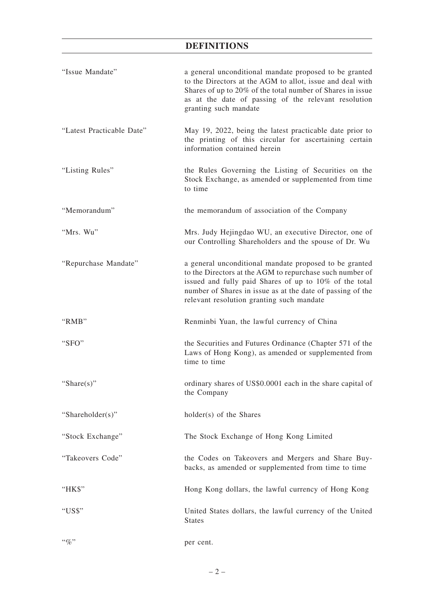# **DEFINITIONS**

| "Issue Mandate"           | a general unconditional mandate proposed to be granted<br>to the Directors at the AGM to allot, issue and deal with<br>Shares of up to 20% of the total number of Shares in issue<br>as at the date of passing of the relevant resolution<br>granting such mandate                      |
|---------------------------|-----------------------------------------------------------------------------------------------------------------------------------------------------------------------------------------------------------------------------------------------------------------------------------------|
| "Latest Practicable Date" | May 19, 2022, being the latest practicable date prior to<br>the printing of this circular for ascertaining certain<br>information contained herein                                                                                                                                      |
| "Listing Rules"           | the Rules Governing the Listing of Securities on the<br>Stock Exchange, as amended or supplemented from time<br>to time                                                                                                                                                                 |
| "Memorandum"              | the memorandum of association of the Company                                                                                                                                                                                                                                            |
| "Mrs. Wu"                 | Mrs. Judy Hejingdao WU, an executive Director, one of<br>our Controlling Shareholders and the spouse of Dr. Wu                                                                                                                                                                          |
| "Repurchase Mandate"      | a general unconditional mandate proposed to be granted<br>to the Directors at the AGM to repurchase such number of<br>issued and fully paid Shares of up to 10% of the total<br>number of Shares in issue as at the date of passing of the<br>relevant resolution granting such mandate |
| " $RMB"$                  | Renminbi Yuan, the lawful currency of China                                                                                                                                                                                                                                             |
| "SFO"                     | the Securities and Futures Ordinance (Chapter 571 of the<br>Laws of Hong Kong), as amended or supplemented from                                                                                                                                                                         |
|                           | time to time                                                                                                                                                                                                                                                                            |
| "Share $(s)$ "            | ordinary shares of US\$0.0001 each in the share capital of<br>the Company                                                                                                                                                                                                               |
| "Shareholder(s)"          | holder(s) of the Shares                                                                                                                                                                                                                                                                 |
| "Stock Exchange"          | The Stock Exchange of Hong Kong Limited                                                                                                                                                                                                                                                 |
| "Takeovers Code"          | the Codes on Takeovers and Mergers and Share Buy-<br>backs, as amended or supplemented from time to time                                                                                                                                                                                |
| "HK\$"                    | Hong Kong dollars, the lawful currency of Hong Kong                                                                                                                                                                                                                                     |
| "US\$"                    | United States dollars, the lawful currency of the United<br><b>States</b>                                                                                                                                                                                                               |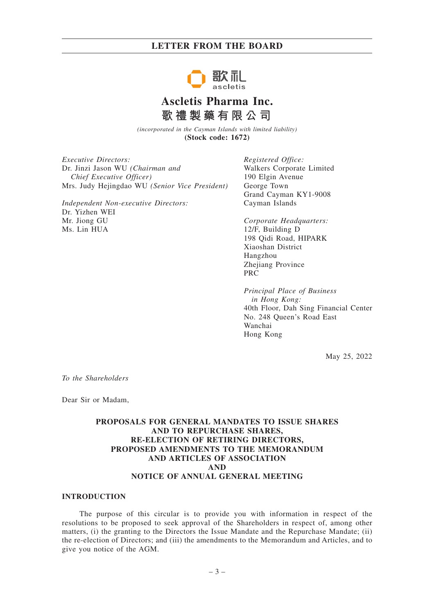

# **Ascletis Pharma Inc. 歌禮製藥有限公司**

*(incorporated in the Cayman Islands with limited liability)* **(Stock code: 1672)**

*Executive Directors:* Dr. Jinzi Jason WU *(Chairman and Chief Executive Officer)* Mrs. Judy Hejingdao WU *(Senior Vice President)*

*Independent Non-executive Directors:* Dr. Yizhen WEI Mr. Jiong GU Ms. Lin HUA

*Registered Office:* Walkers Corporate Limited 190 Elgin Avenue George Town Grand Cayman KY1-9008 Cayman Islands

*Corporate Headquarters:* 12/F, Building D 198 Qidi Road, HIPARK Xiaoshan District Hangzhou Zhejiang Province PRC

*Principal Place of Business in Hong Kong:* 40th Floor, Dah Sing Financial Center No. 248 Queen's Road East Wanchai Hong Kong

May 25, 2022

*To the Shareholders*

Dear Sir or Madam,

## **PROPOSALS FOR GENERAL MANDATES TO ISSUE SHARES AND TO REPURCHASE SHARES, RE-ELECTION OF RETIRING DIRECTORS, PROPOSED AMENDMENTS TO THE MEMORANDUM AND ARTICLES OF ASSOCIATION AND NOTICE OF ANNUAL GENERAL MEETING**

### **INTRODUCTION**

The purpose of this circular is to provide you with information in respect of the resolutions to be proposed to seek approval of the Shareholders in respect of, among other matters, (i) the granting to the Directors the Issue Mandate and the Repurchase Mandate; (ii) the re-election of Directors; and (iii) the amendments to the Memorandum and Articles, and to give you notice of the AGM.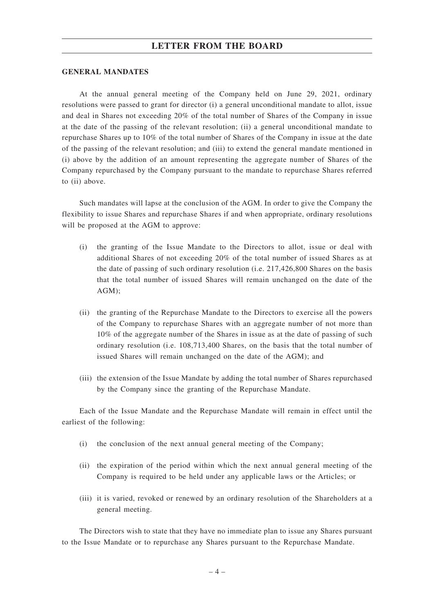### **GENERAL MANDATES**

At the annual general meeting of the Company held on June 29, 2021, ordinary resolutions were passed to grant for director (i) a general unconditional mandate to allot, issue and deal in Shares not exceeding 20% of the total number of Shares of the Company in issue at the date of the passing of the relevant resolution; (ii) a general unconditional mandate to repurchase Shares up to 10% of the total number of Shares of the Company in issue at the date of the passing of the relevant resolution; and (iii) to extend the general mandate mentioned in (i) above by the addition of an amount representing the aggregate number of Shares of the Company repurchased by the Company pursuant to the mandate to repurchase Shares referred to (ii) above.

Such mandates will lapse at the conclusion of the AGM. In order to give the Company the flexibility to issue Shares and repurchase Shares if and when appropriate, ordinary resolutions will be proposed at the AGM to approve:

- (i) the granting of the Issue Mandate to the Directors to allot, issue or deal with additional Shares of not exceeding 20% of the total number of issued Shares as at the date of passing of such ordinary resolution (i.e. 217,426,800 Shares on the basis that the total number of issued Shares will remain unchanged on the date of the AGM);
- (ii) the granting of the Repurchase Mandate to the Directors to exercise all the powers of the Company to repurchase Shares with an aggregate number of not more than 10% of the aggregate number of the Shares in issue as at the date of passing of such ordinary resolution (i.e. 108,713,400 Shares, on the basis that the total number of issued Shares will remain unchanged on the date of the AGM); and
- (iii) the extension of the Issue Mandate by adding the total number of Shares repurchased by the Company since the granting of the Repurchase Mandate.

Each of the Issue Mandate and the Repurchase Mandate will remain in effect until the earliest of the following:

- (i) the conclusion of the next annual general meeting of the Company;
- (ii) the expiration of the period within which the next annual general meeting of the Company is required to be held under any applicable laws or the Articles; or
- (iii) it is varied, revoked or renewed by an ordinary resolution of the Shareholders at a general meeting.

The Directors wish to state that they have no immediate plan to issue any Shares pursuant to the Issue Mandate or to repurchase any Shares pursuant to the Repurchase Mandate.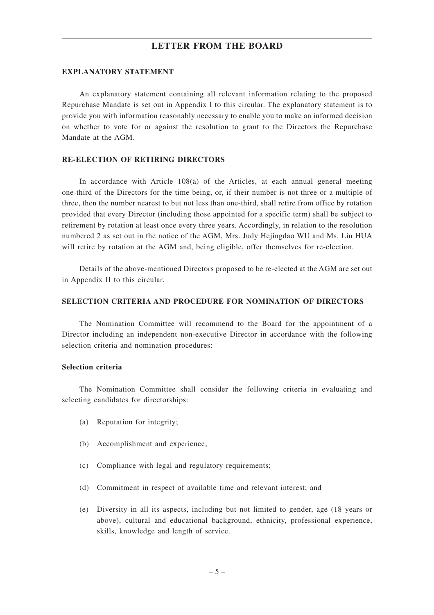### **EXPLANATORY STATEMENT**

An explanatory statement containing all relevant information relating to the proposed Repurchase Mandate is set out in Appendix I to this circular. The explanatory statement is to provide you with information reasonably necessary to enable you to make an informed decision on whether to vote for or against the resolution to grant to the Directors the Repurchase Mandate at the AGM.

## **RE-ELECTION OF RETIRING DIRECTORS**

In accordance with Article 108(a) of the Articles, at each annual general meeting one-third of the Directors for the time being, or, if their number is not three or a multiple of three, then the number nearest to but not less than one-third, shall retire from office by rotation provided that every Director (including those appointed for a specific term) shall be subject to retirement by rotation at least once every three years. Accordingly, in relation to the resolution numbered 2 as set out in the notice of the AGM, Mrs. Judy Hejingdao WU and Ms. Lin HUA will retire by rotation at the AGM and, being eligible, offer themselves for re-election.

Details of the above-mentioned Directors proposed to be re-elected at the AGM are set out in Appendix II to this circular.

### **SELECTION CRITERIA AND PROCEDURE FOR NOMINATION OF DIRECTORS**

The Nomination Committee will recommend to the Board for the appointment of a Director including an independent non-executive Director in accordance with the following selection criteria and nomination procedures:

### **Selection criteria**

The Nomination Committee shall consider the following criteria in evaluating and selecting candidates for directorships:

- (a) Reputation for integrity;
- (b) Accomplishment and experience;
- (c) Compliance with legal and regulatory requirements;
- (d) Commitment in respect of available time and relevant interest; and
- (e) Diversity in all its aspects, including but not limited to gender, age (18 years or above), cultural and educational background, ethnicity, professional experience, skills, knowledge and length of service.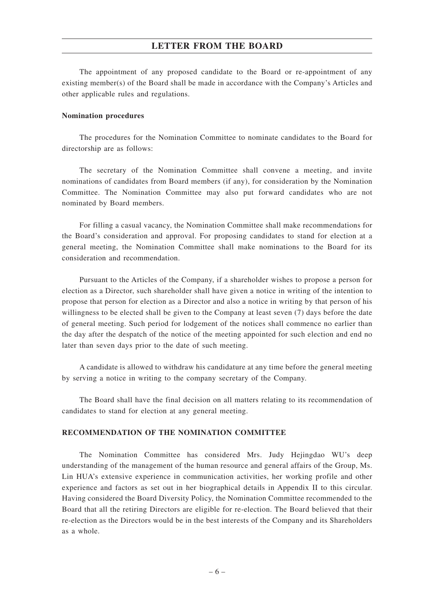The appointment of any proposed candidate to the Board or re-appointment of any existing member(s) of the Board shall be made in accordance with the Company's Articles and other applicable rules and regulations.

### **Nomination procedures**

The procedures for the Nomination Committee to nominate candidates to the Board for directorship are as follows:

The secretary of the Nomination Committee shall convene a meeting, and invite nominations of candidates from Board members (if any), for consideration by the Nomination Committee. The Nomination Committee may also put forward candidates who are not nominated by Board members.

For filling a casual vacancy, the Nomination Committee shall make recommendations for the Board's consideration and approval. For proposing candidates to stand for election at a general meeting, the Nomination Committee shall make nominations to the Board for its consideration and recommendation.

Pursuant to the Articles of the Company, if a shareholder wishes to propose a person for election as a Director, such shareholder shall have given a notice in writing of the intention to propose that person for election as a Director and also a notice in writing by that person of his willingness to be elected shall be given to the Company at least seven (7) days before the date of general meeting. Such period for lodgement of the notices shall commence no earlier than the day after the despatch of the notice of the meeting appointed for such election and end no later than seven days prior to the date of such meeting.

A candidate is allowed to withdraw his candidature at any time before the general meeting by serving a notice in writing to the company secretary of the Company.

The Board shall have the final decision on all matters relating to its recommendation of candidates to stand for election at any general meeting.

### **RECOMMENDATION OF THE NOMINATION COMMITTEE**

The Nomination Committee has considered Mrs. Judy Hejingdao WU's deep understanding of the management of the human resource and general affairs of the Group, Ms. Lin HUA's extensive experience in communication activities, her working profile and other experience and factors as set out in her biographical details in Appendix II to this circular. Having considered the Board Diversity Policy, the Nomination Committee recommended to the Board that all the retiring Directors are eligible for re-election. The Board believed that their re-election as the Directors would be in the best interests of the Company and its Shareholders as a whole.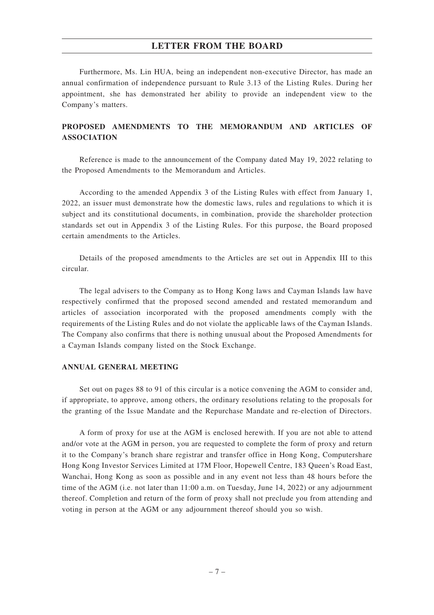Furthermore, Ms. Lin HUA, being an independent non-executive Director, has made an annual confirmation of independence pursuant to Rule 3.13 of the Listing Rules. During her appointment, she has demonstrated her ability to provide an independent view to the Company's matters.

## **PROPOSED AMENDMENTS TO THE MEMORANDUM AND ARTICLES OF ASSOCIATION**

Reference is made to the announcement of the Company dated May 19, 2022 relating to the Proposed Amendments to the Memorandum and Articles.

According to the amended Appendix 3 of the Listing Rules with effect from January 1, 2022, an issuer must demonstrate how the domestic laws, rules and regulations to which it is subject and its constitutional documents, in combination, provide the shareholder protection standards set out in Appendix 3 of the Listing Rules. For this purpose, the Board proposed certain amendments to the Articles.

Details of the proposed amendments to the Articles are set out in Appendix III to this circular.

The legal advisers to the Company as to Hong Kong laws and Cayman Islands law have respectively confirmed that the proposed second amended and restated memorandum and articles of association incorporated with the proposed amendments comply with the requirements of the Listing Rules and do not violate the applicable laws of the Cayman Islands. The Company also confirms that there is nothing unusual about the Proposed Amendments for a Cayman Islands company listed on the Stock Exchange.

### **ANNUAL GENERAL MEETING**

Set out on pages 88 to 91 of this circular is a notice convening the AGM to consider and, if appropriate, to approve, among others, the ordinary resolutions relating to the proposals for the granting of the Issue Mandate and the Repurchase Mandate and re-election of Directors.

A form of proxy for use at the AGM is enclosed herewith. If you are not able to attend and/or vote at the AGM in person, you are requested to complete the form of proxy and return it to the Company's branch share registrar and transfer office in Hong Kong, Computershare Hong Kong Investor Services Limited at 17M Floor, Hopewell Centre, 183 Queen's Road East, Wanchai, Hong Kong as soon as possible and in any event not less than 48 hours before the time of the AGM (i.e. not later than 11:00 a.m. on Tuesday, June 14, 2022) or any adjournment thereof. Completion and return of the form of proxy shall not preclude you from attending and voting in person at the AGM or any adjournment thereof should you so wish.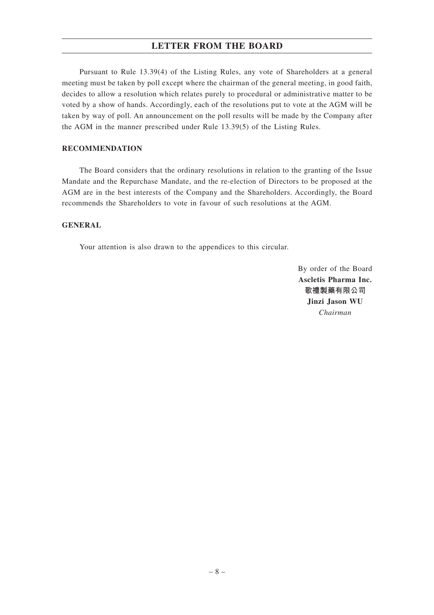Pursuant to Rule 13.39(4) of the Listing Rules, any vote of Shareholders at a general meeting must be taken by poll except where the chairman of the general meeting, in good faith, decides to allow a resolution which relates purely to procedural or administrative matter to be voted by a show of hands. Accordingly, each of the resolutions put to vote at the AGM will be taken by way of poll. An announcement on the poll results will be made by the Company after the AGM in the manner prescribed under Rule 13.39(5) of the Listing Rules.

## **RECOMMENDATION**

The Board considers that the ordinary resolutions in relation to the granting of the Issue Mandate and the Repurchase Mandate, and the re-election of Directors to be proposed at the AGM are in the best interests of the Company and the Shareholders. Accordingly, the Board recommends the Shareholders to vote in favour of such resolutions at the AGM.

## **GENERAL**

Your attention is also drawn to the appendices to this circular.

By order of the Board **Ascletis Pharma Inc. 歌禮製藥有限公司 Jinzi Jason WU** *Chairman*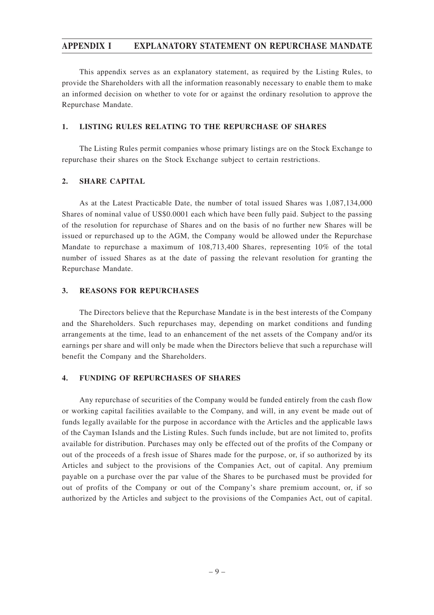This appendix serves as an explanatory statement, as required by the Listing Rules, to provide the Shareholders with all the information reasonably necessary to enable them to make an informed decision on whether to vote for or against the ordinary resolution to approve the Repurchase Mandate.

## **1. LISTING RULES RELATING TO THE REPURCHASE OF SHARES**

The Listing Rules permit companies whose primary listings are on the Stock Exchange to repurchase their shares on the Stock Exchange subject to certain restrictions.

## **2. SHARE CAPITAL**

As at the Latest Practicable Date, the number of total issued Shares was 1,087,134,000 Shares of nominal value of US\$0.0001 each which have been fully paid. Subject to the passing of the resolution for repurchase of Shares and on the basis of no further new Shares will be issued or repurchased up to the AGM, the Company would be allowed under the Repurchase Mandate to repurchase a maximum of 108,713,400 Shares, representing 10% of the total number of issued Shares as at the date of passing the relevant resolution for granting the Repurchase Mandate.

### **3. REASONS FOR REPURCHASES**

The Directors believe that the Repurchase Mandate is in the best interests of the Company and the Shareholders. Such repurchases may, depending on market conditions and funding arrangements at the time, lead to an enhancement of the net assets of the Company and/or its earnings per share and will only be made when the Directors believe that such a repurchase will benefit the Company and the Shareholders.

### **4. FUNDING OF REPURCHASES OF SHARES**

Any repurchase of securities of the Company would be funded entirely from the cash flow or working capital facilities available to the Company, and will, in any event be made out of funds legally available for the purpose in accordance with the Articles and the applicable laws of the Cayman Islands and the Listing Rules. Such funds include, but are not limited to, profits available for distribution. Purchases may only be effected out of the profits of the Company or out of the proceeds of a fresh issue of Shares made for the purpose, or, if so authorized by its Articles and subject to the provisions of the Companies Act, out of capital. Any premium payable on a purchase over the par value of the Shares to be purchased must be provided for out of profits of the Company or out of the Company's share premium account, or, if so authorized by the Articles and subject to the provisions of the Companies Act, out of capital.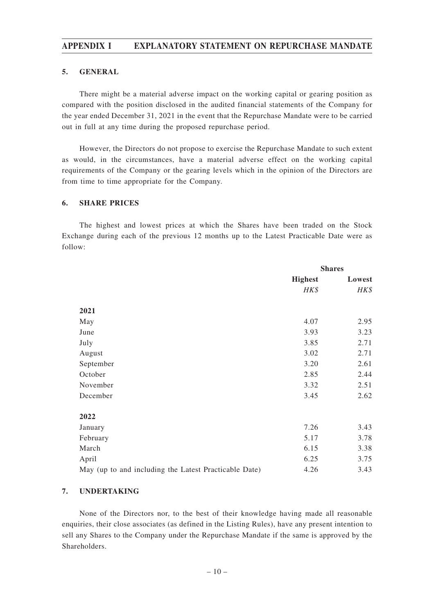### **5. GENERAL**

There might be a material adverse impact on the working capital or gearing position as compared with the position disclosed in the audited financial statements of the Company for the year ended December 31, 2021 in the event that the Repurchase Mandate were to be carried out in full at any time during the proposed repurchase period.

However, the Directors do not propose to exercise the Repurchase Mandate to such extent as would, in the circumstances, have a material adverse effect on the working capital requirements of the Company or the gearing levels which in the opinion of the Directors are from time to time appropriate for the Company.

### **6. SHARE PRICES**

The highest and lowest prices at which the Shares have been traded on the Stock Exchange during each of the previous 12 months up to the Latest Practicable Date were as follow:

|                                                       |                | <b>Shares</b> |  |
|-------------------------------------------------------|----------------|---------------|--|
|                                                       | <b>Highest</b> | Lowest        |  |
|                                                       | HK\$           | HK\$          |  |
| 2021                                                  |                |               |  |
| May                                                   | 4.07           | 2.95          |  |
| June                                                  | 3.93           | 3.23          |  |
| July                                                  | 3.85           | 2.71          |  |
| August                                                | 3.02           | 2.71          |  |
| September                                             | 3.20           | 2.61          |  |
| October                                               | 2.85           | 2.44          |  |
| November                                              | 3.32           | 2.51          |  |
| December                                              | 3.45           | 2.62          |  |
| 2022                                                  |                |               |  |
| January                                               | 7.26           | 3.43          |  |
| February                                              | 5.17           | 3.78          |  |
| March                                                 | 6.15           | 3.38          |  |
| April                                                 | 6.25           | 3.75          |  |
| May (up to and including the Latest Practicable Date) | 4.26           | 3.43          |  |

## **7. UNDERTAKING**

None of the Directors nor, to the best of their knowledge having made all reasonable enquiries, their close associates (as defined in the Listing Rules), have any present intention to sell any Shares to the Company under the Repurchase Mandate if the same is approved by the Shareholders.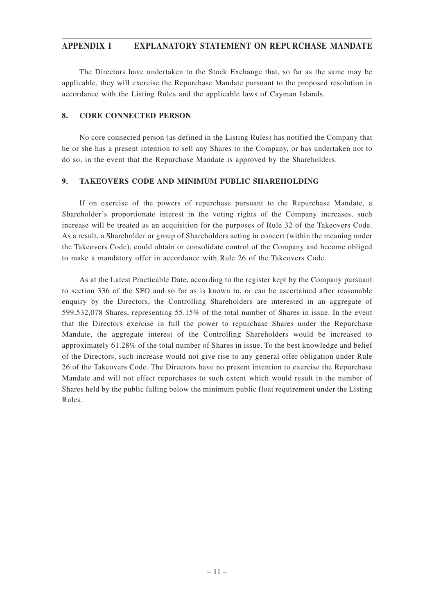The Directors have undertaken to the Stock Exchange that, so far as the same may be applicable, they will exercise the Repurchase Mandate pursuant to the proposed resolution in accordance with the Listing Rules and the applicable laws of Cayman Islands.

### **8. CORE CONNECTED PERSON**

No core connected person (as defined in the Listing Rules) has notified the Company that he or she has a present intention to sell any Shares to the Company, or has undertaken not to do so, in the event that the Repurchase Mandate is approved by the Shareholders.

## **9. TAKEOVERS CODE AND MINIMUM PUBLIC SHAREHOLDING**

If on exercise of the powers of repurchase pursuant to the Repurchase Mandate, a Shareholder's proportionate interest in the voting rights of the Company increases, such increase will be treated as an acquisition for the purposes of Rule 32 of the Takeovers Code. As a result, a Shareholder or group of Shareholders acting in concert (within the meaning under the Takeovers Code), could obtain or consolidate control of the Company and become obliged to make a mandatory offer in accordance with Rule 26 of the Takeovers Code.

As at the Latest Practicable Date, according to the register kept by the Company pursuant to section 336 of the SFO and so far as is known to, or can be ascertained after reasonable enquiry by the Directors, the Controlling Shareholders are interested in an aggregate of 599,532,078 Shares, representing 55.15% of the total number of Shares in issue. In the event that the Directors exercise in full the power to repurchase Shares under the Repurchase Mandate, the aggregate interest of the Controlling Shareholders would be increased to approximately 61.28% of the total number of Shares in issue. To the best knowledge and belief of the Directors, such increase would not give rise to any general offer obligation under Rule 26 of the Takeovers Code. The Directors have no present intention to exercise the Repurchase Mandate and will not effect repurchases to such extent which would result in the number of Shares held by the public falling below the minimum public float requirement under the Listing Rules.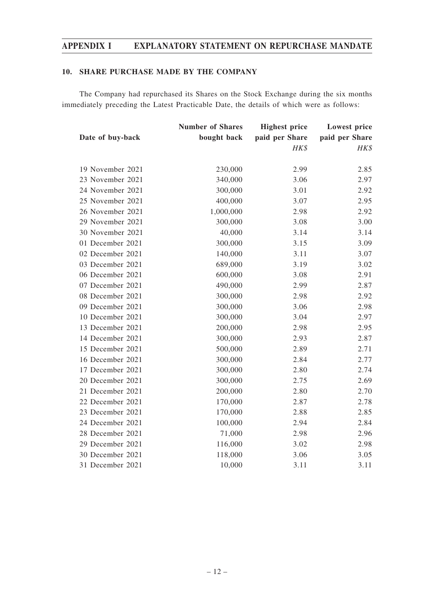## **10. SHARE PURCHASE MADE BY THE COMPANY**

The Company had repurchased its Shares on the Stock Exchange during the six months immediately preceding the Latest Practicable Date, the details of which were as follows:

|                  | <b>Number of Shares</b> | <b>Highest price</b> | <b>Lowest price</b> |
|------------------|-------------------------|----------------------|---------------------|
| Date of buy-back | bought back             | paid per Share       | paid per Share      |
|                  |                         | HK\$                 | HK\$                |
| 19 November 2021 | 230,000                 | 2.99                 | 2.85                |
| 23 November 2021 | 340,000                 | 3.06                 | 2.97                |
| 24 November 2021 | 300,000                 | 3.01                 | 2.92                |
| 25 November 2021 | 400,000                 | 3.07                 | 2.95                |
| 26 November 2021 | 1,000,000               | 2.98                 | 2.92                |
| 29 November 2021 | 300,000                 | 3.08                 | 3.00                |
| 30 November 2021 | 40,000                  | 3.14                 | 3.14                |
| 01 December 2021 | 300,000                 | 3.15                 | 3.09                |
| 02 December 2021 | 140,000                 | 3.11                 | 3.07                |
| 03 December 2021 | 689,000                 | 3.19                 | 3.02                |
| 06 December 2021 | 600,000                 | 3.08                 | 2.91                |
| 07 December 2021 | 490,000                 | 2.99                 | 2.87                |
| 08 December 2021 | 300,000                 | 2.98                 | 2.92                |
| 09 December 2021 | 300,000                 | 3.06                 | 2.98                |
| 10 December 2021 | 300,000                 | 3.04                 | 2.97                |
| 13 December 2021 | 200,000                 | 2.98                 | 2.95                |
| 14 December 2021 | 300,000                 | 2.93                 | 2.87                |
| 15 December 2021 | 500,000                 | 2.89                 | 2.71                |
| 16 December 2021 | 300,000                 | 2.84                 | 2.77                |
| 17 December 2021 | 300,000                 | 2.80                 | 2.74                |
| 20 December 2021 | 300,000                 | 2.75                 | 2.69                |
| 21 December 2021 | 200,000                 | 2.80                 | 2.70                |
| 22 December 2021 | 170,000                 | 2.87                 | 2.78                |
| 23 December 2021 | 170,000                 | 2.88                 | 2.85                |
| 24 December 2021 | 100,000                 | 2.94                 | 2.84                |
| 28 December 2021 | 71,000                  | 2.98                 | 2.96                |
| 29 December 2021 | 116,000                 | 3.02                 | 2.98                |
| 30 December 2021 | 118,000                 | 3.06                 | 3.05                |
| 31 December 2021 | 10,000                  | 3.11                 | 3.11                |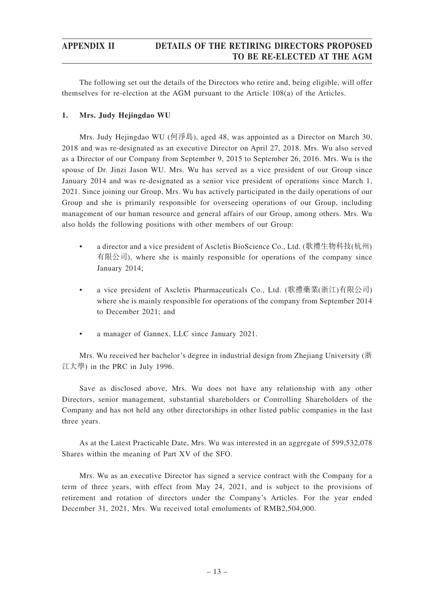## **APPENDIX II DETAILS OF THE RETIRING DIRECTORS PROPOSED TO BE RE-ELECTED AT THE AGM**

The following set out the details of the Directors who retire and, being eligible, will offer themselves for re-election at the AGM pursuant to the Article 108(a) of the Articles.

## **1. Mrs. Judy Hejingdao WU**

Mrs. Judy Hejingdao WU (何淨島), aged 48, was appointed as a Director on March 30, 2018 and was re-designated as an executive Director on April 27, 2018. Mrs. Wu also served as a Director of our Company from September 9, 2015 to September 26, 2016. Mrs. Wu is the spouse of Dr. Jinzi Jason WU. Mrs. Wu has served as a vice president of our Group since January 2014 and was re-designated as a senior vice president of operations since March 1, 2021. Since joining our Group, Mrs. Wu has actively participated in the daily operations of our Group and she is primarily responsible for overseeing operations of our Group, including management of our human resource and general affairs of our Group, among others. Mrs. Wu also holds the following positions with other members of our Group:

- a director and a vice president of Ascletis BioScience Co., Ltd. (歌禮生物科技(杭州) 有限公司), where she is mainly responsible for operations of the company since January 2014;
- a vice president of Ascletis Pharmaceuticals Co., Ltd. (歌禮藥業(浙江)有限公司) where she is mainly responsible for operations of the company from September 2014 to December 2021; and
- a manager of Gannex, LLC since January 2021.

Mrs. Wu received her bachelor's degree in industrial design from Zhejiang University (浙 江大學) in the PRC in July 1996.

Save as disclosed above, Mrs. Wu does not have any relationship with any other Directors, senior management, substantial shareholders or Controlling Shareholders of the Company and has not held any other directorships in other listed public companies in the last three years.

As at the Latest Practicable Date, Mrs. Wu was interested in an aggregate of 599,532,078 Shares within the meaning of Part XV of the SFO.

Mrs. Wu as an executive Director has signed a service contract with the Company for a term of three years, with effect from May 24, 2021, and is subject to the provisions of retirement and rotation of directors under the Company's Articles. For the year ended December 31, 2021, Mrs. Wu received total emoluments of RMB2,504,000.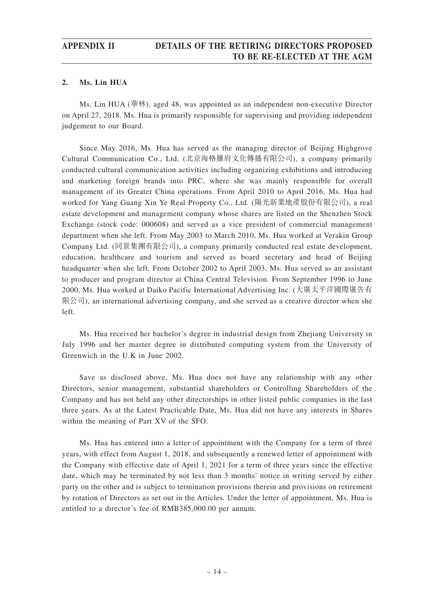## **APPENDIX II DETAILS OF THE RETIRING DIRECTORS PROPOSED TO BE RE-ELECTED AT THE AGM**

### **2. Ms. Lin HUA**

Ms. Lin HUA (華林), aged 48, was appointed as an independent non-executive Director on April 27, 2018. Ms. Hua is primarily responsible for supervising and providing independent judgement to our Board.

Since May 2016, Ms. Hua has served as the managing director of Beijing Highgrove Cultural Communication Co., Ltd. (北京海格羅府文化傳播有限公司), a company primarily conducted cultural communication activities including organizing exhibitions and introducing and marketing foreign brands into PRC, where she was mainly responsible for overall management of its Greater China operations. From April 2010 to April 2016, Ms. Hua had worked for Yang Guang Xin Ye Real Property Co., Ltd. (陽光新業地產股份有限公司), a real estate development and management company whose shares are listed on the Shenzhen Stock Exchange (stock code: 000608) and served as a vice president of commercial management department when she left. From May 2003 to March 2010, Ms. Hua worked at Verakin Group Company Ltd. (同景集團有限公司), a company primarily conducted real estate development, education, healthcare and tourism and served as board secretary and head of Beijing headquarter when she left. From October 2002 to April 2003, Ms. Hua served as an assistant to producer and program director at China Central Television. From September 1996 to June 2000, Ms. Hua worked at Daiko Pacific International Advertising Inc. (大廣太平洋國際廣告有 限公司), an international advertising company, and she served as a creative director when she left.

Ms. Hua received her bachelor's degree in industrial design from Zhejiang University in July 1996 and her master degree in distributed computing system from the University of Greenwich in the U.K in June 2002.

Save as disclosed above, Ms. Hua does not have any relationship with any other Directors, senior management, substantial shareholders or Controlling Shareholders of the Company and has not held any other directorships in other listed public companies in the last three years. As at the Latest Practicable Date, Ms. Hua did not have any interests in Shares within the meaning of Part XV of the SFO.

Ms. Hua has entered into a letter of appointment with the Company for a term of three years, with effect from August 1, 2018, and subsequently a renewed letter of appointment with the Company with effective date of April 1, 2021 for a term of three years since the effective date, which may be terminated by not less than 3 months' notice in writing served by either party on the other and is subject to termination provisions therein and provisions on retirement by rotation of Directors as set out in the Articles. Under the letter of appointment, Ms. Hua is entitled to a director's fee of RMB385,000.00 per annum.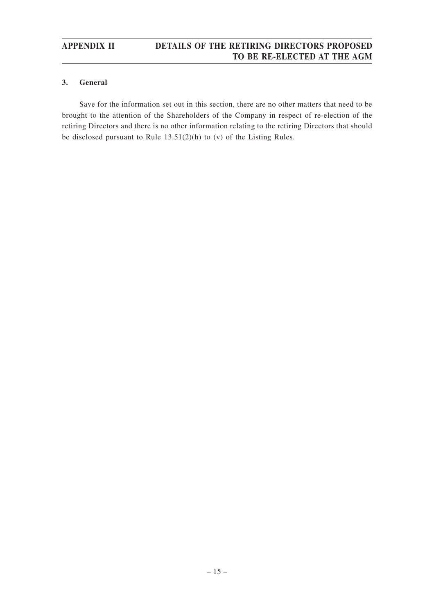## **APPENDIX II DETAILS OF THE RETIRING DIRECTORS PROPOSED TO BE RE-ELECTED AT THE AGM**

## **3. General**

Save for the information set out in this section, there are no other matters that need to be brought to the attention of the Shareholders of the Company in respect of re-election of the retiring Directors and there is no other information relating to the retiring Directors that should be disclosed pursuant to Rule 13.51(2)(h) to (v) of the Listing Rules.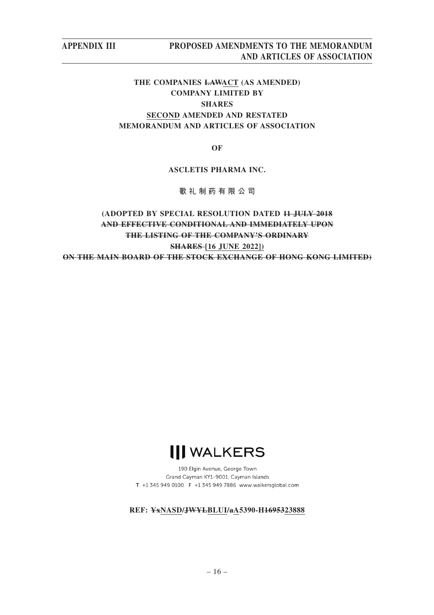# **THE COMPANIES LAWACT (AS AMENDED) COMPANY LIMITED BY SHARES SECOND AMENDED AND RESTATED MEMORANDUM AND ARTICLES OF ASSOCIATION**

**OF**

## **ASCLETIS PHARMA INC.**

**歌 禮製藥 有限公司**

# **(ADOPTED BY SPECIAL RESOLUTION DATED 11 JULY 2018 AND EFFECTIVE CONDITIONAL AND IMMEDIATELY UPON THE LISTING OF THE COMPANY'S ORDINARY SHARES [16 JUNE 2022]) ON THE MAIN BOARD OF THE STOCK EXCHANGE OF HONG KONG LIMITED)**



190 Elgin Avenue, George Town Grand Cayman KY1-9001, Cayman Islands T +1 345 949 0100 F +1 345 949 7886 www.walkersglobal.com

### **REF: YxNASD/JWYLBLUI/aA5390-H1695323888**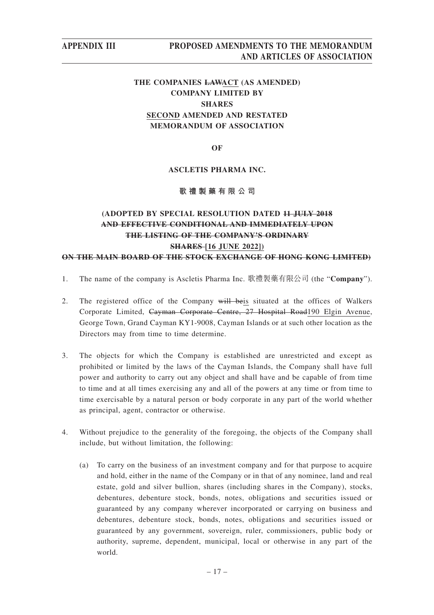# **THE COMPANIES LAWACT (AS AMENDED) COMPANY LIMITED BY SHARES SECOND AMENDED AND RESTATED MEMORANDUM OF ASSOCIATION**

**OF**

### **ASCLETIS PHARMA INC.**

## **歌禮製藥有限公司**

# **(ADOPTED BY SPECIAL RESOLUTION DATED 11 JULY 2018 AND EFFECTIVE CONDITIONAL AND IMMEDIATELY UPON THE LISTING OF THE COMPANY'S ORDINARY SHARES [16 JUNE 2022]) ON THE MAIN BOARD OF THE STOCK EXCHANGE OF HONG KONG LIMITED)**

- 1. The name of the company is Ascletis Pharma Inc. 歌禮製藥有限公司 (the "**Company**").
- 2. The registered office of the Company will beis situated at the offices of Walkers Corporate Limited, Cayman Corporate Centre, 27 Hospital Road190 Elgin Avenue, George Town, Grand Cayman KY1-9008, Cayman Islands or at such other location as the Directors may from time to time determine.
- 3. The objects for which the Company is established are unrestricted and except as prohibited or limited by the laws of the Cayman Islands, the Company shall have full power and authority to carry out any object and shall have and be capable of from time to time and at all times exercising any and all of the powers at any time or from time to time exercisable by a natural person or body corporate in any part of the world whether as principal, agent, contractor or otherwise.
- 4. Without prejudice to the generality of the foregoing, the objects of the Company shall include, but without limitation, the following:
	- (a) To carry on the business of an investment company and for that purpose to acquire and hold, either in the name of the Company or in that of any nominee, land and real estate, gold and silver bullion, shares (including shares in the Company), stocks, debentures, debenture stock, bonds, notes, obligations and securities issued or guaranteed by any company wherever incorporated or carrying on business and debentures, debenture stock, bonds, notes, obligations and securities issued or guaranteed by any government, sovereign, ruler, commissioners, public body or authority, supreme, dependent, municipal, local or otherwise in any part of the world.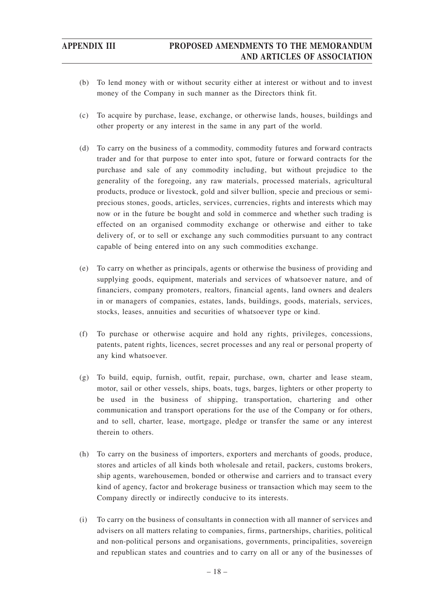- (b) To lend money with or without security either at interest or without and to invest money of the Company in such manner as the Directors think fit.
- (c) To acquire by purchase, lease, exchange, or otherwise lands, houses, buildings and other property or any interest in the same in any part of the world.
- (d) To carry on the business of a commodity, commodity futures and forward contracts trader and for that purpose to enter into spot, future or forward contracts for the purchase and sale of any commodity including, but without prejudice to the generality of the foregoing, any raw materials, processed materials, agricultural products, produce or livestock, gold and silver bullion, specie and precious or semiprecious stones, goods, articles, services, currencies, rights and interests which may now or in the future be bought and sold in commerce and whether such trading is effected on an organised commodity exchange or otherwise and either to take delivery of, or to sell or exchange any such commodities pursuant to any contract capable of being entered into on any such commodities exchange.
- (e) To carry on whether as principals, agents or otherwise the business of providing and supplying goods, equipment, materials and services of whatsoever nature, and of financiers, company promoters, realtors, financial agents, land owners and dealers in or managers of companies, estates, lands, buildings, goods, materials, services, stocks, leases, annuities and securities of whatsoever type or kind.
- (f) To purchase or otherwise acquire and hold any rights, privileges, concessions, patents, patent rights, licences, secret processes and any real or personal property of any kind whatsoever.
- (g) To build, equip, furnish, outfit, repair, purchase, own, charter and lease steam, motor, sail or other vessels, ships, boats, tugs, barges, lighters or other property to be used in the business of shipping, transportation, chartering and other communication and transport operations for the use of the Company or for others, and to sell, charter, lease, mortgage, pledge or transfer the same or any interest therein to others.
- (h) To carry on the business of importers, exporters and merchants of goods, produce, stores and articles of all kinds both wholesale and retail, packers, customs brokers, ship agents, warehousemen, bonded or otherwise and carriers and to transact every kind of agency, factor and brokerage business or transaction which may seem to the Company directly or indirectly conducive to its interests.
- (i) To carry on the business of consultants in connection with all manner of services and advisers on all matters relating to companies, firms, partnerships, charities, political and non-political persons and organisations, governments, principalities, sovereign and republican states and countries and to carry on all or any of the businesses of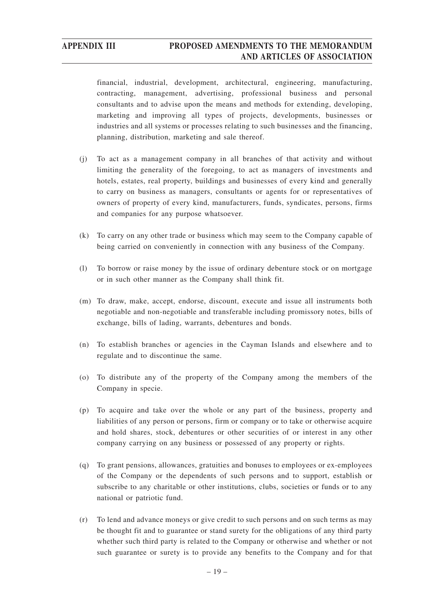financial, industrial, development, architectural, engineering, manufacturing, contracting, management, advertising, professional business and personal consultants and to advise upon the means and methods for extending, developing, marketing and improving all types of projects, developments, businesses or industries and all systems or processes relating to such businesses and the financing, planning, distribution, marketing and sale thereof.

- (j) To act as a management company in all branches of that activity and without limiting the generality of the foregoing, to act as managers of investments and hotels, estates, real property, buildings and businesses of every kind and generally to carry on business as managers, consultants or agents for or representatives of owners of property of every kind, manufacturers, funds, syndicates, persons, firms and companies for any purpose whatsoever.
- (k) To carry on any other trade or business which may seem to the Company capable of being carried on conveniently in connection with any business of the Company.
- (l) To borrow or raise money by the issue of ordinary debenture stock or on mortgage or in such other manner as the Company shall think fit.
- (m) To draw, make, accept, endorse, discount, execute and issue all instruments both negotiable and non-negotiable and transferable including promissory notes, bills of exchange, bills of lading, warrants, debentures and bonds.
- (n) To establish branches or agencies in the Cayman Islands and elsewhere and to regulate and to discontinue the same.
- (o) To distribute any of the property of the Company among the members of the Company in specie.
- (p) To acquire and take over the whole or any part of the business, property and liabilities of any person or persons, firm or company or to take or otherwise acquire and hold shares, stock, debentures or other securities of or interest in any other company carrying on any business or possessed of any property or rights.
- (q) To grant pensions, allowances, gratuities and bonuses to employees or ex-employees of the Company or the dependents of such persons and to support, establish or subscribe to any charitable or other institutions, clubs, societies or funds or to any national or patriotic fund.
- (r) To lend and advance moneys or give credit to such persons and on such terms as may be thought fit and to guarantee or stand surety for the obligations of any third party whether such third party is related to the Company or otherwise and whether or not such guarantee or surety is to provide any benefits to the Company and for that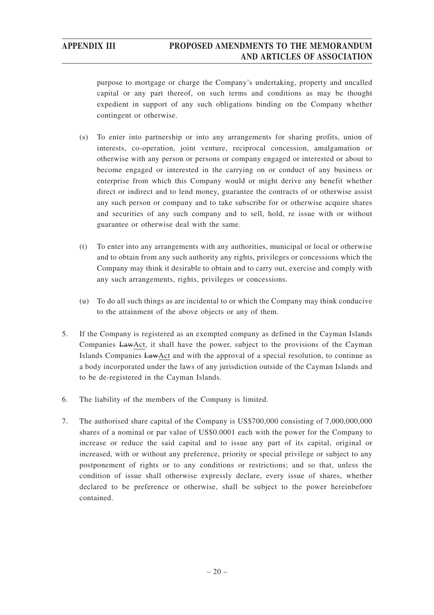purpose to mortgage or charge the Company's undertaking, property and uncalled capital or any part thereof, on such terms and conditions as may be thought expedient in support of any such obligations binding on the Company whether contingent or otherwise.

- (s) To enter into partnership or into any arrangements for sharing profits, union of interests, co-operation, joint venture, reciprocal concession, amalgamation or otherwise with any person or persons or company engaged or interested or about to become engaged or interested in the carrying on or conduct of any business or enterprise from which this Company would or might derive any benefit whether direct or indirect and to lend money, guarantee the contracts of or otherwise assist any such person or company and to take subscribe for or otherwise acquire shares and securities of any such company and to sell, hold, re issue with or without guarantee or otherwise deal with the same.
- (t) To enter into any arrangements with any authorities, municipal or local or otherwise and to obtain from any such authority any rights, privileges or concessions which the Company may think it desirable to obtain and to carry out, exercise and comply with any such arrangements, rights, privileges or concessions.
- (u) To do all such things as are incidental to or which the Company may think conducive to the attainment of the above objects or any of them.
- 5. If the Company is registered as an exempted company as defined in the Cayman Islands Companies LawAct, it shall have the power, subject to the provisions of the Cayman Islands Companies LawAct and with the approval of a special resolution, to continue as a body incorporated under the laws of any jurisdiction outside of the Cayman Islands and to be de-registered in the Cayman Islands.
- 6. The liability of the members of the Company is limited.
- 7. The authorised share capital of the Company is US\$700,000 consisting of 7,000,000,000 shares of a nominal or par value of US\$0.0001 each with the power for the Company to increase or reduce the said capital and to issue any part of its capital, original or increased, with or without any preference, priority or special privilege or subject to any postponement of rights or to any conditions or restrictions; and so that, unless the condition of issue shall otherwise expressly declare, every issue of shares, whether declared to be preference or otherwise, shall be subject to the power hereinbefore contained.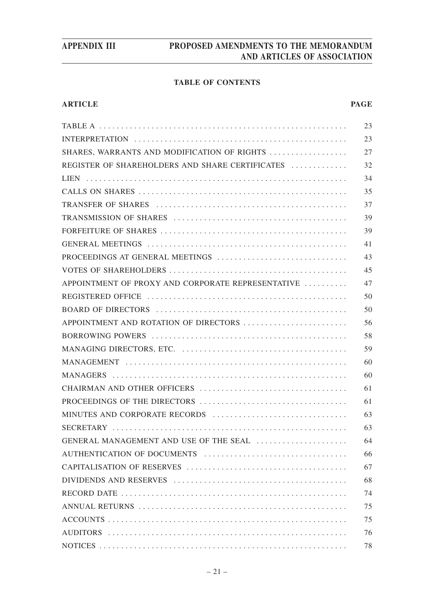## **TABLE OF CONTENTS**

## **ARTICLE PAGE**

|                                                   | 23 |
|---------------------------------------------------|----|
|                                                   | 23 |
| SHARES, WARRANTS AND MODIFICATION OF RIGHTS       | 27 |
| REGISTER OF SHAREHOLDERS AND SHARE CERTIFICATES   | 32 |
|                                                   | 34 |
|                                                   | 35 |
|                                                   | 37 |
|                                                   | 39 |
|                                                   | 39 |
|                                                   | 41 |
| PROCEEDINGS AT GENERAL MEETINGS                   | 43 |
|                                                   | 45 |
| APPOINTMENT OF PROXY AND CORPORATE REPRESENTATIVE | 47 |
|                                                   | 50 |
|                                                   | 50 |
| APPOINTMENT AND ROTATION OF DIRECTORS             | 56 |
|                                                   | 58 |
|                                                   | 59 |
|                                                   | 60 |
|                                                   | 60 |
|                                                   | 61 |
|                                                   | 61 |
| MINUTES AND CORPORATE RECORDS                     | 63 |
|                                                   | 63 |
| GENERAL MANAGEMENT AND USE OF THE SEAL            | 64 |
| AUTHENTICATION OF DOCUMENTS                       | 66 |
|                                                   | 67 |
|                                                   | 68 |
|                                                   | 74 |
|                                                   | 75 |
|                                                   | 75 |
|                                                   | 76 |
|                                                   | 78 |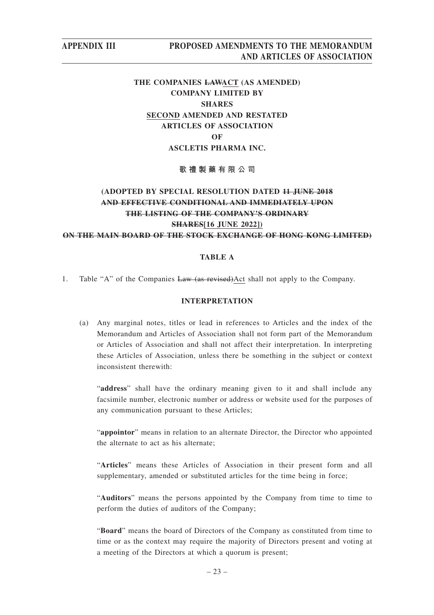# **THE COMPANIES LAWACT (AS AMENDED) COMPANY LIMITED BY SHARES SECOND AMENDED AND RESTATED ARTICLES OF ASSOCIATION OF ASCLETIS PHARMA INC.**

**歌禮製藥有限公司**

# **(ADOPTED BY SPECIAL RESOLUTION DATED 11 JUNE 2018 AND EFFECTIVE CONDITIONAL AND IMMEDIATELY UPON THE LISTING OF THE COMPANY'S ORDINARY SHARES[16 JUNE 2022]) ON THE MAIN BOARD OF THE STOCK EXCHANGE OF HONG KONG LIMITED)**

## **TABLE A**

1. Table "A" of the Companies Law (as revised)Act shall not apply to the Company.

## **INTERPRETATION**

(a) Any marginal notes, titles or lead in references to Articles and the index of the Memorandum and Articles of Association shall not form part of the Memorandum or Articles of Association and shall not affect their interpretation. In interpreting these Articles of Association, unless there be something in the subject or context inconsistent therewith:

"address" shall have the ordinary meaning given to it and shall include any facsimile number, electronic number or address or website used for the purposes of any communication pursuant to these Articles;

"**appointor**" means in relation to an alternate Director, the Director who appointed the alternate to act as his alternate;

"**Articles**" means these Articles of Association in their present form and all supplementary, amended or substituted articles for the time being in force;

"**Auditors**" means the persons appointed by the Company from time to time to perform the duties of auditors of the Company;

"**Board**" means the board of Directors of the Company as constituted from time to time or as the context may require the majority of Directors present and voting at a meeting of the Directors at which a quorum is present;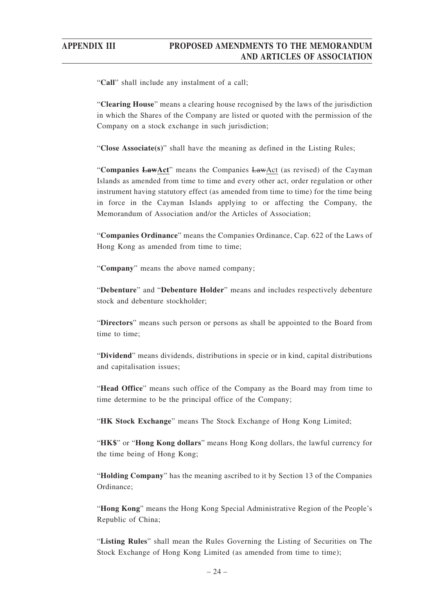"**Call**" shall include any instalment of a call;

"**Clearing House**" means a clearing house recognised by the laws of the jurisdiction in which the Shares of the Company are listed or quoted with the permission of the Company on a stock exchange in such jurisdiction;

"**Close Associate(s)**" shall have the meaning as defined in the Listing Rules;

"**Companies LawAct**" means the Companies LawAct (as revised) of the Cayman Islands as amended from time to time and every other act, order regulation or other instrument having statutory effect (as amended from time to time) for the time being in force in the Cayman Islands applying to or affecting the Company, the Memorandum of Association and/or the Articles of Association;

"**Companies Ordinance**" means the Companies Ordinance, Cap. 622 of the Laws of Hong Kong as amended from time to time;

"**Company**" means the above named company;

"**Debenture**" and "**Debenture Holder**" means and includes respectively debenture stock and debenture stockholder;

"**Directors**" means such person or persons as shall be appointed to the Board from time to time;

"**Dividend**" means dividends, distributions in specie or in kind, capital distributions and capitalisation issues;

"**Head Office**" means such office of the Company as the Board may from time to time determine to be the principal office of the Company;

"**HK Stock Exchange**" means The Stock Exchange of Hong Kong Limited;

"**HK\$**" or "**Hong Kong dollars**" means Hong Kong dollars, the lawful currency for the time being of Hong Kong;

"**Holding Company**" has the meaning ascribed to it by Section 13 of the Companies Ordinance;

"**Hong Kong**" means the Hong Kong Special Administrative Region of the People's Republic of China;

"**Listing Rules**" shall mean the Rules Governing the Listing of Securities on The Stock Exchange of Hong Kong Limited (as amended from time to time);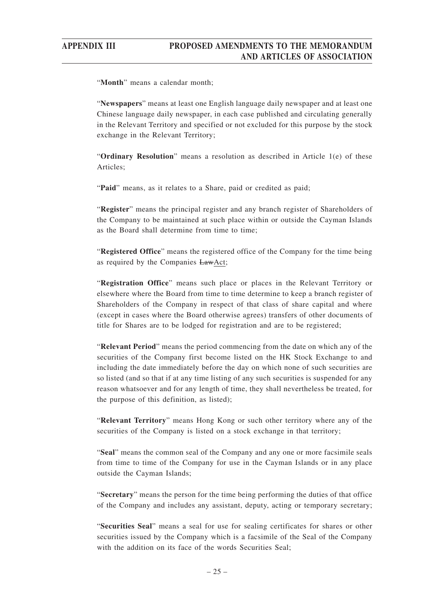"**Month**" means a calendar month;

"**Newspapers**" means at least one English language daily newspaper and at least one Chinese language daily newspaper, in each case published and circulating generally in the Relevant Territory and specified or not excluded for this purpose by the stock exchange in the Relevant Territory;

"**Ordinary Resolution**" means a resolution as described in Article 1(e) of these Articles;

"Paid" means, as it relates to a Share, paid or credited as paid;

"**Register**" means the principal register and any branch register of Shareholders of the Company to be maintained at such place within or outside the Cayman Islands as the Board shall determine from time to time;

"**Registered Office**" means the registered office of the Company for the time being as required by the Companies LawAct;

"**Registration Office**" means such place or places in the Relevant Territory or elsewhere where the Board from time to time determine to keep a branch register of Shareholders of the Company in respect of that class of share capital and where (except in cases where the Board otherwise agrees) transfers of other documents of title for Shares are to be lodged for registration and are to be registered;

"**Relevant Period**" means the period commencing from the date on which any of the securities of the Company first become listed on the HK Stock Exchange to and including the date immediately before the day on which none of such securities are so listed (and so that if at any time listing of any such securities is suspended for any reason whatsoever and for any length of time, they shall nevertheless be treated, for the purpose of this definition, as listed);

"**Relevant Territory**" means Hong Kong or such other territory where any of the securities of the Company is listed on a stock exchange in that territory;

"**Seal**" means the common seal of the Company and any one or more facsimile seals from time to time of the Company for use in the Cayman Islands or in any place outside the Cayman Islands;

"**Secretary**" means the person for the time being performing the duties of that office of the Company and includes any assistant, deputy, acting or temporary secretary;

"**Securities Seal**" means a seal for use for sealing certificates for shares or other securities issued by the Company which is a facsimile of the Seal of the Company with the addition on its face of the words Securities Seal;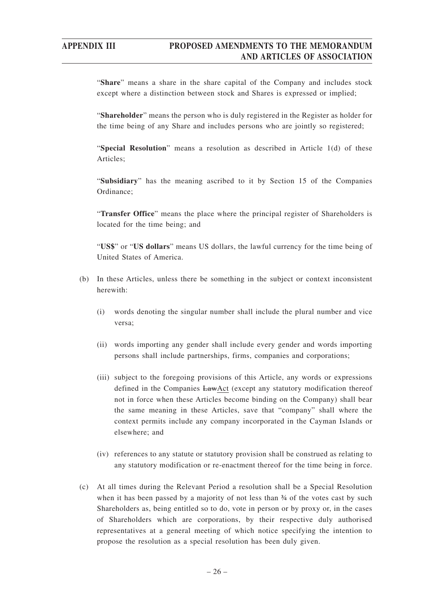"**Share**" means a share in the share capital of the Company and includes stock except where a distinction between stock and Shares is expressed or implied;

"**Shareholder**" means the person who is duly registered in the Register as holder for the time being of any Share and includes persons who are jointly so registered;

"**Special Resolution**" means a resolution as described in Article 1(d) of these Articles;

"**Subsidiary**" has the meaning ascribed to it by Section 15 of the Companies Ordinance;

"**Transfer Office**" means the place where the principal register of Shareholders is located for the time being; and

"**US\$**" or "**US dollars**" means US dollars, the lawful currency for the time being of United States of America.

- (b) In these Articles, unless there be something in the subject or context inconsistent herewith:
	- (i) words denoting the singular number shall include the plural number and vice versa;
	- (ii) words importing any gender shall include every gender and words importing persons shall include partnerships, firms, companies and corporations;
	- (iii) subject to the foregoing provisions of this Article, any words or expressions defined in the Companies LawAct (except any statutory modification thereof not in force when these Articles become binding on the Company) shall bear the same meaning in these Articles, save that "company" shall where the context permits include any company incorporated in the Cayman Islands or elsewhere; and
	- (iv) references to any statute or statutory provision shall be construed as relating to any statutory modification or re-enactment thereof for the time being in force.
- (c) At all times during the Relevant Period a resolution shall be a Special Resolution when it has been passed by a majority of not less than  $\frac{3}{4}$  of the votes cast by such Shareholders as, being entitled so to do, vote in person or by proxy or, in the cases of Shareholders which are corporations, by their respective duly authorised representatives at a general meeting of which notice specifying the intention to propose the resolution as a special resolution has been duly given.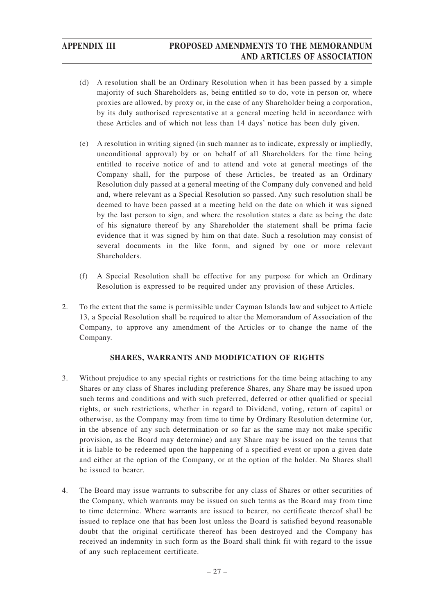- (d) A resolution shall be an Ordinary Resolution when it has been passed by a simple majority of such Shareholders as, being entitled so to do, vote in person or, where proxies are allowed, by proxy or, in the case of any Shareholder being a corporation, by its duly authorised representative at a general meeting held in accordance with these Articles and of which not less than 14 days' notice has been duly given.
- (e) A resolution in writing signed (in such manner as to indicate, expressly or impliedly, unconditional approval) by or on behalf of all Shareholders for the time being entitled to receive notice of and to attend and vote at general meetings of the Company shall, for the purpose of these Articles, be treated as an Ordinary Resolution duly passed at a general meeting of the Company duly convened and held and, where relevant as a Special Resolution so passed. Any such resolution shall be deemed to have been passed at a meeting held on the date on which it was signed by the last person to sign, and where the resolution states a date as being the date of his signature thereof by any Shareholder the statement shall be prima facie evidence that it was signed by him on that date. Such a resolution may consist of several documents in the like form, and signed by one or more relevant Shareholders.
- (f) A Special Resolution shall be effective for any purpose for which an Ordinary Resolution is expressed to be required under any provision of these Articles.
- 2. To the extent that the same is permissible under Cayman Islands law and subject to Article 13, a Special Resolution shall be required to alter the Memorandum of Association of the Company, to approve any amendment of the Articles or to change the name of the Company.

## **SHARES, WARRANTS AND MODIFICATION OF RIGHTS**

- 3. Without prejudice to any special rights or restrictions for the time being attaching to any Shares or any class of Shares including preference Shares, any Share may be issued upon such terms and conditions and with such preferred, deferred or other qualified or special rights, or such restrictions, whether in regard to Dividend, voting, return of capital or otherwise, as the Company may from time to time by Ordinary Resolution determine (or, in the absence of any such determination or so far as the same may not make specific provision, as the Board may determine) and any Share may be issued on the terms that it is liable to be redeemed upon the happening of a specified event or upon a given date and either at the option of the Company, or at the option of the holder. No Shares shall be issued to bearer.
- 4. The Board may issue warrants to subscribe for any class of Shares or other securities of the Company, which warrants may be issued on such terms as the Board may from time to time determine. Where warrants are issued to bearer, no certificate thereof shall be issued to replace one that has been lost unless the Board is satisfied beyond reasonable doubt that the original certificate thereof has been destroyed and the Company has received an indemnity in such form as the Board shall think fit with regard to the issue of any such replacement certificate.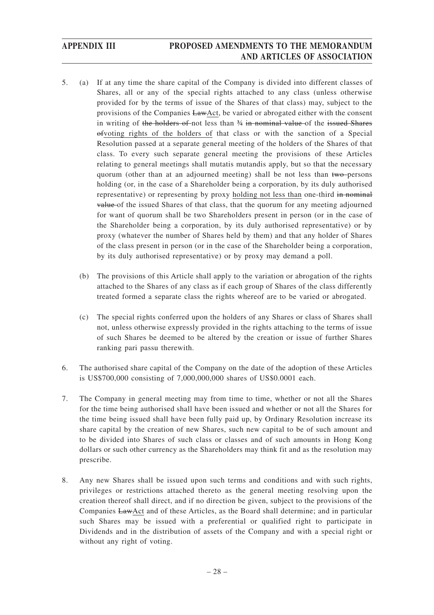- 5. (a) If at any time the share capital of the Company is divided into different classes of Shares, all or any of the special rights attached to any class (unless otherwise provided for by the terms of issue of the Shares of that class) may, subject to the provisions of the Companies LawAct, be varied or abrogated either with the consent in writing of the holders of not less than  $\frac{3}{4}$  in nominal value of the issued Shares ofvoting rights of the holders of that class or with the sanction of a Special Resolution passed at a separate general meeting of the holders of the Shares of that class. To every such separate general meeting the provisions of these Articles relating to general meetings shall mutatis mutandis apply, but so that the necessary quorum (other than at an adjourned meeting) shall be not less than two persons holding (or, in the case of a Shareholder being a corporation, by its duly authorised representative) or representing by proxy holding not less than one-third in nominal value of the issued Shares of that class, that the quorum for any meeting adjourned for want of quorum shall be two Shareholders present in person (or in the case of the Shareholder being a corporation, by its duly authorised representative) or by proxy (whatever the number of Shares held by them) and that any holder of Shares of the class present in person (or in the case of the Shareholder being a corporation, by its duly authorised representative) or by proxy may demand a poll.
	- (b) The provisions of this Article shall apply to the variation or abrogation of the rights attached to the Shares of any class as if each group of Shares of the class differently treated formed a separate class the rights whereof are to be varied or abrogated.
	- (c) The special rights conferred upon the holders of any Shares or class of Shares shall not, unless otherwise expressly provided in the rights attaching to the terms of issue of such Shares be deemed to be altered by the creation or issue of further Shares ranking pari passu therewith.
- 6. The authorised share capital of the Company on the date of the adoption of these Articles is US\$700,000 consisting of 7,000,000,000 shares of US\$0.0001 each.
- 7. The Company in general meeting may from time to time, whether or not all the Shares for the time being authorised shall have been issued and whether or not all the Shares for the time being issued shall have been fully paid up, by Ordinary Resolution increase its share capital by the creation of new Shares, such new capital to be of such amount and to be divided into Shares of such class or classes and of such amounts in Hong Kong dollars or such other currency as the Shareholders may think fit and as the resolution may prescribe.
- 8. Any new Shares shall be issued upon such terms and conditions and with such rights, privileges or restrictions attached thereto as the general meeting resolving upon the creation thereof shall direct, and if no direction be given, subject to the provisions of the Companies LawAct and of these Articles, as the Board shall determine; and in particular such Shares may be issued with a preferential or qualified right to participate in Dividends and in the distribution of assets of the Company and with a special right or without any right of voting.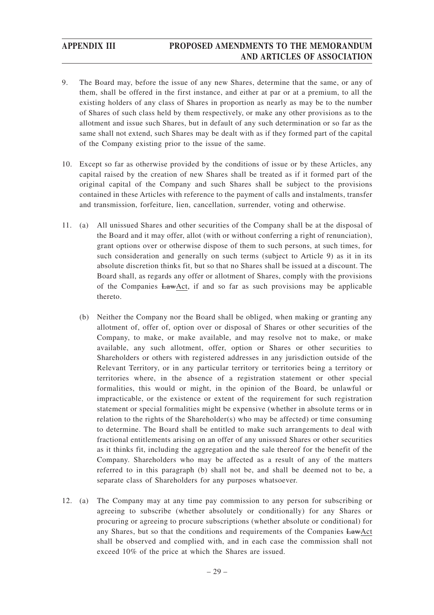- 9. The Board may, before the issue of any new Shares, determine that the same, or any of them, shall be offered in the first instance, and either at par or at a premium, to all the existing holders of any class of Shares in proportion as nearly as may be to the number of Shares of such class held by them respectively, or make any other provisions as to the allotment and issue such Shares, but in default of any such determination or so far as the same shall not extend, such Shares may be dealt with as if they formed part of the capital of the Company existing prior to the issue of the same.
- 10. Except so far as otherwise provided by the conditions of issue or by these Articles, any capital raised by the creation of new Shares shall be treated as if it formed part of the original capital of the Company and such Shares shall be subject to the provisions contained in these Articles with reference to the payment of calls and instalments, transfer and transmission, forfeiture, lien, cancellation, surrender, voting and otherwise.
- 11. (a) All unissued Shares and other securities of the Company shall be at the disposal of the Board and it may offer, allot (with or without conferring a right of renunciation), grant options over or otherwise dispose of them to such persons, at such times, for such consideration and generally on such terms (subject to Article 9) as it in its absolute discretion thinks fit, but so that no Shares shall be issued at a discount. The Board shall, as regards any offer or allotment of Shares, comply with the provisions of the Companies LawAct, if and so far as such provisions may be applicable thereto.
	- (b) Neither the Company nor the Board shall be obliged, when making or granting any allotment of, offer of, option over or disposal of Shares or other securities of the Company, to make, or make available, and may resolve not to make, or make available, any such allotment, offer, option or Shares or other securities to Shareholders or others with registered addresses in any jurisdiction outside of the Relevant Territory, or in any particular territory or territories being a territory or territories where, in the absence of a registration statement or other special formalities, this would or might, in the opinion of the Board, be unlawful or impracticable, or the existence or extent of the requirement for such registration statement or special formalities might be expensive (whether in absolute terms or in relation to the rights of the Shareholder(s) who may be affected) or time consuming to determine. The Board shall be entitled to make such arrangements to deal with fractional entitlements arising on an offer of any unissued Shares or other securities as it thinks fit, including the aggregation and the sale thereof for the benefit of the Company. Shareholders who may be affected as a result of any of the matters referred to in this paragraph (b) shall not be, and shall be deemed not to be, a separate class of Shareholders for any purposes whatsoever.
- 12. (a) The Company may at any time pay commission to any person for subscribing or agreeing to subscribe (whether absolutely or conditionally) for any Shares or procuring or agreeing to procure subscriptions (whether absolute or conditional) for any Shares, but so that the conditions and requirements of the Companies LawAct shall be observed and complied with, and in each case the commission shall not exceed 10% of the price at which the Shares are issued.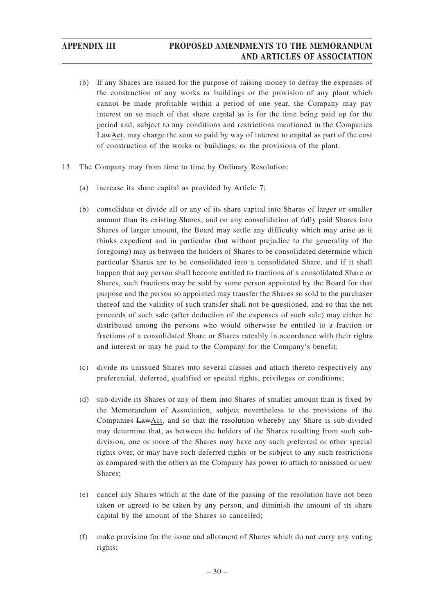- (b) If any Shares are issued for the purpose of raising money to defray the expenses of the construction of any works or buildings or the provision of any plant which cannot be made profitable within a period of one year, the Company may pay interest on so much of that share capital as is for the time being paid up for the period and, subject to any conditions and restrictions mentioned in the Companies LawAct, may charge the sum so paid by way of interest to capital as part of the cost of construction of the works or buildings, or the provisions of the plant.
- 13. The Company may from time to time by Ordinary Resolution:
	- (a) increase its share capital as provided by Article 7;
	- (b) consolidate or divide all or any of its share capital into Shares of larger or smaller amount than its existing Shares; and on any consolidation of fully paid Shares into Shares of larger amount, the Board may settle any difficulty which may arise as it thinks expedient and in particular (but without prejudice to the generality of the foregoing) may as between the holders of Shares to be consolidated determine which particular Shares are to be consolidated into a consolidated Share, and if it shall happen that any person shall become entitled to fractions of a consolidated Share or Shares, such fractions may be sold by some person appointed by the Board for that purpose and the person so appointed may transfer the Shares so sold to the purchaser thereof and the validity of such transfer shall not be questioned, and so that the net proceeds of such sale (after deduction of the expenses of such sale) may either be distributed among the persons who would otherwise be entitled to a fraction or fractions of a consolidated Share or Shares rateably in accordance with their rights and interest or may be paid to the Company for the Company's benefit;
	- (c) divide its unissued Shares into several classes and attach thereto respectively any preferential, deferred, qualified or special rights, privileges or conditions;
	- (d) sub-divide its Shares or any of them into Shares of smaller amount than is fixed by the Memorandum of Association, subject nevertheless to the provisions of the Companies LawAct, and so that the resolution whereby any Share is sub-divided may determine that, as between the holders of the Shares resulting from such subdivision, one or more of the Shares may have any such preferred or other special rights over, or may have such deferred rights or be subject to any such restrictions as compared with the others as the Company has power to attach to unissued or new Shares;
	- (e) cancel any Shares which at the date of the passing of the resolution have not been taken or agreed to be taken by any person, and diminish the amount of its share capital by the amount of the Shares so cancelled;
	- (f) make provision for the issue and allotment of Shares which do not carry any voting rights;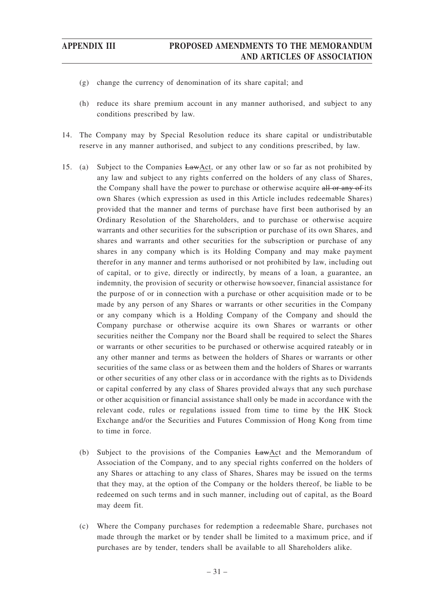- (g) change the currency of denomination of its share capital; and
- (h) reduce its share premium account in any manner authorised, and subject to any conditions prescribed by law.
- 14. The Company may by Special Resolution reduce its share capital or undistributable reserve in any manner authorised, and subject to any conditions prescribed, by law.
- 15. (a) Subject to the Companies LawAct, or any other law or so far as not prohibited by any law and subject to any rights conferred on the holders of any class of Shares, the Company shall have the power to purchase or otherwise acquire all or any of-its own Shares (which expression as used in this Article includes redeemable Shares) provided that the manner and terms of purchase have first been authorised by an Ordinary Resolution of the Shareholders, and to purchase or otherwise acquire warrants and other securities for the subscription or purchase of its own Shares, and shares and warrants and other securities for the subscription or purchase of any shares in any company which is its Holding Company and may make payment therefor in any manner and terms authorised or not prohibited by law, including out of capital, or to give, directly or indirectly, by means of a loan, a guarantee, an indemnity, the provision of security or otherwise howsoever, financial assistance for the purpose of or in connection with a purchase or other acquisition made or to be made by any person of any Shares or warrants or other securities in the Company or any company which is a Holding Company of the Company and should the Company purchase or otherwise acquire its own Shares or warrants or other securities neither the Company nor the Board shall be required to select the Shares or warrants or other securities to be purchased or otherwise acquired rateably or in any other manner and terms as between the holders of Shares or warrants or other securities of the same class or as between them and the holders of Shares or warrants or other securities of any other class or in accordance with the rights as to Dividends or capital conferred by any class of Shares provided always that any such purchase or other acquisition or financial assistance shall only be made in accordance with the relevant code, rules or regulations issued from time to time by the HK Stock Exchange and/or the Securities and Futures Commission of Hong Kong from time to time in force.
	- (b) Subject to the provisions of the Companies LawAct and the Memorandum of Association of the Company, and to any special rights conferred on the holders of any Shares or attaching to any class of Shares, Shares may be issued on the terms that they may, at the option of the Company or the holders thereof, be liable to be redeemed on such terms and in such manner, including out of capital, as the Board may deem fit.
	- (c) Where the Company purchases for redemption a redeemable Share, purchases not made through the market or by tender shall be limited to a maximum price, and if purchases are by tender, tenders shall be available to all Shareholders alike.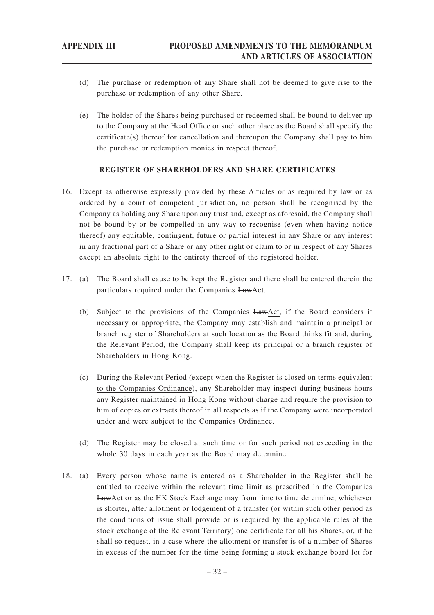- (d) The purchase or redemption of any Share shall not be deemed to give rise to the purchase or redemption of any other Share.
- (e) The holder of the Shares being purchased or redeemed shall be bound to deliver up to the Company at the Head Office or such other place as the Board shall specify the certificate(s) thereof for cancellation and thereupon the Company shall pay to him the purchase or redemption monies in respect thereof.

## **REGISTER OF SHAREHOLDERS AND SHARE CERTIFICATES**

- 16. Except as otherwise expressly provided by these Articles or as required by law or as ordered by a court of competent jurisdiction, no person shall be recognised by the Company as holding any Share upon any trust and, except as aforesaid, the Company shall not be bound by or be compelled in any way to recognise (even when having notice thereof) any equitable, contingent, future or partial interest in any Share or any interest in any fractional part of a Share or any other right or claim to or in respect of any Shares except an absolute right to the entirety thereof of the registered holder.
- 17. (a) The Board shall cause to be kept the Register and there shall be entered therein the particulars required under the Companies LawAct.
	- (b) Subject to the provisions of the Companies LawAct, if the Board considers it necessary or appropriate, the Company may establish and maintain a principal or branch register of Shareholders at such location as the Board thinks fit and, during the Relevant Period, the Company shall keep its principal or a branch register of Shareholders in Hong Kong.
	- (c) During the Relevant Period (except when the Register is closed on terms equivalent to the Companies Ordinance), any Shareholder may inspect during business hours any Register maintained in Hong Kong without charge and require the provision to him of copies or extracts thereof in all respects as if the Company were incorporated under and were subject to the Companies Ordinance.
	- (d) The Register may be closed at such time or for such period not exceeding in the whole 30 days in each year as the Board may determine.
- 18. (a) Every person whose name is entered as a Shareholder in the Register shall be entitled to receive within the relevant time limit as prescribed in the Companies LawAct or as the HK Stock Exchange may from time to time determine, whichever is shorter, after allotment or lodgement of a transfer (or within such other period as the conditions of issue shall provide or is required by the applicable rules of the stock exchange of the Relevant Territory) one certificate for all his Shares, or, if he shall so request, in a case where the allotment or transfer is of a number of Shares in excess of the number for the time being forming a stock exchange board lot for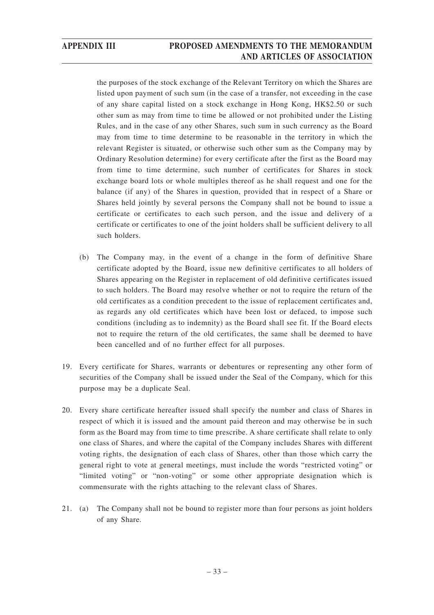the purposes of the stock exchange of the Relevant Territory on which the Shares are listed upon payment of such sum (in the case of a transfer, not exceeding in the case of any share capital listed on a stock exchange in Hong Kong, HK\$2.50 or such other sum as may from time to time be allowed or not prohibited under the Listing Rules, and in the case of any other Shares, such sum in such currency as the Board may from time to time determine to be reasonable in the territory in which the relevant Register is situated, or otherwise such other sum as the Company may by Ordinary Resolution determine) for every certificate after the first as the Board may from time to time determine, such number of certificates for Shares in stock exchange board lots or whole multiples thereof as he shall request and one for the balance (if any) of the Shares in question, provided that in respect of a Share or Shares held jointly by several persons the Company shall not be bound to issue a certificate or certificates to each such person, and the issue and delivery of a certificate or certificates to one of the joint holders shall be sufficient delivery to all such holders.

- (b) The Company may, in the event of a change in the form of definitive Share certificate adopted by the Board, issue new definitive certificates to all holders of Shares appearing on the Register in replacement of old definitive certificates issued to such holders. The Board may resolve whether or not to require the return of the old certificates as a condition precedent to the issue of replacement certificates and, as regards any old certificates which have been lost or defaced, to impose such conditions (including as to indemnity) as the Board shall see fit. If the Board elects not to require the return of the old certificates, the same shall be deemed to have been cancelled and of no further effect for all purposes.
- 19. Every certificate for Shares, warrants or debentures or representing any other form of securities of the Company shall be issued under the Seal of the Company, which for this purpose may be a duplicate Seal.
- 20. Every share certificate hereafter issued shall specify the number and class of Shares in respect of which it is issued and the amount paid thereon and may otherwise be in such form as the Board may from time to time prescribe. A share certificate shall relate to only one class of Shares, and where the capital of the Company includes Shares with different voting rights, the designation of each class of Shares, other than those which carry the general right to vote at general meetings, must include the words "restricted voting" or "limited voting" or "non-voting" or some other appropriate designation which is commensurate with the rights attaching to the relevant class of Shares.
- 21. (a) The Company shall not be bound to register more than four persons as joint holders of any Share.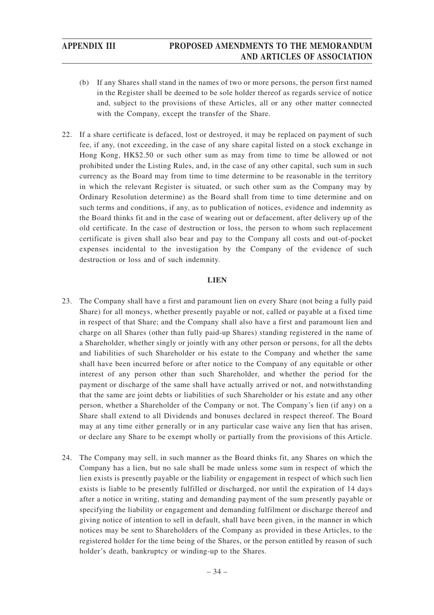- (b) If any Shares shall stand in the names of two or more persons, the person first named in the Register shall be deemed to be sole holder thereof as regards service of notice and, subject to the provisions of these Articles, all or any other matter connected with the Company, except the transfer of the Share.
- 22. If a share certificate is defaced, lost or destroyed, it may be replaced on payment of such fee, if any, (not exceeding, in the case of any share capital listed on a stock exchange in Hong Kong, HK\$2.50 or such other sum as may from time to time be allowed or not prohibited under the Listing Rules, and, in the case of any other capital, such sum in such currency as the Board may from time to time determine to be reasonable in the territory in which the relevant Register is situated, or such other sum as the Company may by Ordinary Resolution determine) as the Board shall from time to time determine and on such terms and conditions, if any, as to publication of notices, evidence and indemnity as the Board thinks fit and in the case of wearing out or defacement, after delivery up of the old certificate. In the case of destruction or loss, the person to whom such replacement certificate is given shall also bear and pay to the Company all costs and out-of-pocket expenses incidental to the investigation by the Company of the evidence of such destruction or loss and of such indemnity.

## **LIEN**

- 23. The Company shall have a first and paramount lien on every Share (not being a fully paid Share) for all moneys, whether presently payable or not, called or payable at a fixed time in respect of that Share; and the Company shall also have a first and paramount lien and charge on all Shares (other than fully paid-up Shares) standing registered in the name of a Shareholder, whether singly or jointly with any other person or persons, for all the debts and liabilities of such Shareholder or his estate to the Company and whether the same shall have been incurred before or after notice to the Company of any equitable or other interest of any person other than such Shareholder, and whether the period for the payment or discharge of the same shall have actually arrived or not, and notwithstanding that the same are joint debts or liabilities of such Shareholder or his estate and any other person, whether a Shareholder of the Company or not. The Company's lien (if any) on a Share shall extend to all Dividends and bonuses declared in respect thereof. The Board may at any time either generally or in any particular case waive any lien that has arisen, or declare any Share to be exempt wholly or partially from the provisions of this Article.
- 24. The Company may sell, in such manner as the Board thinks fit, any Shares on which the Company has a lien, but no sale shall be made unless some sum in respect of which the lien exists is presently payable or the liability or engagement in respect of which such lien exists is liable to be presently fulfilled or discharged, nor until the expiration of 14 days after a notice in writing, stating and demanding payment of the sum presently payable or specifying the liability or engagement and demanding fulfilment or discharge thereof and giving notice of intention to sell in default, shall have been given, in the manner in which notices may be sent to Shareholders of the Company as provided in these Articles, to the registered holder for the time being of the Shares, or the person entitled by reason of such holder's death, bankruptcy or winding-up to the Shares.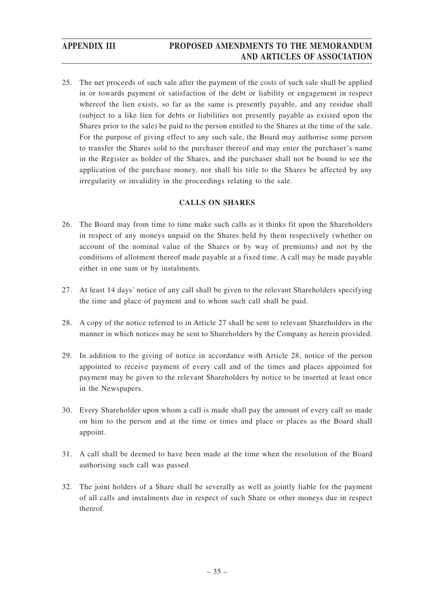25. The net proceeds of such sale after the payment of the costs of such sale shall be applied in or towards payment or satisfaction of the debt or liability or engagement in respect whereof the lien exists, so far as the same is presently payable, and any residue shall (subject to a like lien for debts or liabilities not presently payable as existed upon the Shares prior to the sale) be paid to the person entitled to the Shares at the time of the sale. For the purpose of giving effect to any such sale, the Board may authorise some person to transfer the Shares sold to the purchaser thereof and may enter the purchaser's name in the Register as holder of the Shares, and the purchaser shall not be bound to see the application of the purchase money, nor shall his title to the Shares be affected by any irregularity or invalidity in the proceedings relating to the sale.

## **CALLS ON SHARES**

- 26. The Board may from time to time make such calls as it thinks fit upon the Shareholders in respect of any moneys unpaid on the Shares held by them respectively (whether on account of the nominal value of the Shares or by way of premiums) and not by the conditions of allotment thereof made payable at a fixed time. A call may be made payable either in one sum or by instalments.
- 27. At least 14 days' notice of any call shall be given to the relevant Shareholders specifying the time and place of payment and to whom such call shall be paid.
- 28. A copy of the notice referred to in Article 27 shall be sent to relevant Shareholders in the manner in which notices may be sent to Shareholders by the Company as herein provided.
- 29. In addition to the giving of notice in accordance with Article 28, notice of the person appointed to receive payment of every call and of the times and places appointed for payment may be given to the relevant Shareholders by notice to be inserted at least once in the Newspapers.
- 30. Every Shareholder upon whom a call is made shall pay the amount of every call so made on him to the person and at the time or times and place or places as the Board shall appoint.
- 31. A call shall be deemed to have been made at the time when the resolution of the Board authorising such call was passed.
- 32. The joint holders of a Share shall be severally as well as jointly liable for the payment of all calls and instalments due in respect of such Share or other moneys due in respect thereof.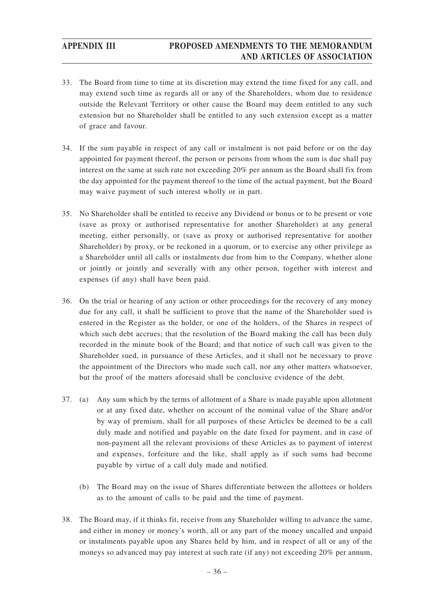- 33. The Board from time to time at its discretion may extend the time fixed for any call, and may extend such time as regards all or any of the Shareholders, whom due to residence outside the Relevant Territory or other cause the Board may deem entitled to any such extension but no Shareholder shall be entitled to any such extension except as a matter of grace and favour.
- 34. If the sum payable in respect of any call or instalment is not paid before or on the day appointed for payment thereof, the person or persons from whom the sum is due shall pay interest on the same at such rate not exceeding 20% per annum as the Board shall fix from the day appointed for the payment thereof to the time of the actual payment, but the Board may waive payment of such interest wholly or in part.
- 35. No Shareholder shall be entitled to receive any Dividend or bonus or to be present or vote (save as proxy or authorised representative for another Shareholder) at any general meeting, either personally, or (save as proxy or authorised representative for another Shareholder) by proxy, or be reckoned in a quorum, or to exercise any other privilege as a Shareholder until all calls or instalments due from him to the Company, whether alone or jointly or jointly and severally with any other person, together with interest and expenses (if any) shall have been paid.
- 36. On the trial or hearing of any action or other proceedings for the recovery of any money due for any call, it shall be sufficient to prove that the name of the Shareholder sued is entered in the Register as the holder, or one of the holders, of the Shares in respect of which such debt accrues; that the resolution of the Board making the call has been duly recorded in the minute book of the Board; and that notice of such call was given to the Shareholder sued, in pursuance of these Articles, and it shall not be necessary to prove the appointment of the Directors who made such call, nor any other matters whatsoever, but the proof of the matters aforesaid shall be conclusive evidence of the debt.
- 37. (a) Any sum which by the terms of allotment of a Share is made payable upon allotment or at any fixed date, whether on account of the nominal value of the Share and/or by way of premium, shall for all purposes of these Articles be deemed to be a call duly made and notified and payable on the date fixed for payment, and in case of non-payment all the relevant provisions of these Articles as to payment of interest and expenses, forfeiture and the like, shall apply as if such sums had become payable by virtue of a call duly made and notified.
	- (b) The Board may on the issue of Shares differentiate between the allottees or holders as to the amount of calls to be paid and the time of payment.
- 38. The Board may, if it thinks fit, receive from any Shareholder willing to advance the same, and either in money or money's worth, all or any part of the money uncalled and unpaid or instalments payable upon any Shares held by him, and in respect of all or any of the moneys so advanced may pay interest at such rate (if any) not exceeding 20% per annum,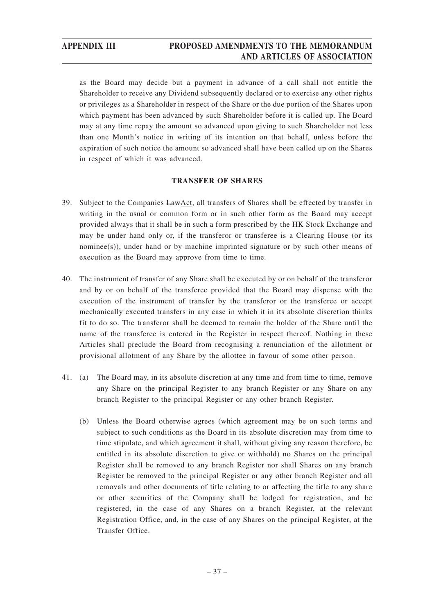as the Board may decide but a payment in advance of a call shall not entitle the Shareholder to receive any Dividend subsequently declared or to exercise any other rights or privileges as a Shareholder in respect of the Share or the due portion of the Shares upon which payment has been advanced by such Shareholder before it is called up. The Board may at any time repay the amount so advanced upon giving to such Shareholder not less than one Month's notice in writing of its intention on that behalf, unless before the expiration of such notice the amount so advanced shall have been called up on the Shares in respect of which it was advanced.

## **TRANSFER OF SHARES**

- 39. Subject to the Companies LawAct, all transfers of Shares shall be effected by transfer in writing in the usual or common form or in such other form as the Board may accept provided always that it shall be in such a form prescribed by the HK Stock Exchange and may be under hand only or, if the transferor or transferee is a Clearing House (or its nominee(s)), under hand or by machine imprinted signature or by such other means of execution as the Board may approve from time to time.
- 40. The instrument of transfer of any Share shall be executed by or on behalf of the transferor and by or on behalf of the transferee provided that the Board may dispense with the execution of the instrument of transfer by the transferor or the transferee or accept mechanically executed transfers in any case in which it in its absolute discretion thinks fit to do so. The transferor shall be deemed to remain the holder of the Share until the name of the transferee is entered in the Register in respect thereof. Nothing in these Articles shall preclude the Board from recognising a renunciation of the allotment or provisional allotment of any Share by the allottee in favour of some other person.
- 41. (a) The Board may, in its absolute discretion at any time and from time to time, remove any Share on the principal Register to any branch Register or any Share on any branch Register to the principal Register or any other branch Register.
	- (b) Unless the Board otherwise agrees (which agreement may be on such terms and subject to such conditions as the Board in its absolute discretion may from time to time stipulate, and which agreement it shall, without giving any reason therefore, be entitled in its absolute discretion to give or withhold) no Shares on the principal Register shall be removed to any branch Register nor shall Shares on any branch Register be removed to the principal Register or any other branch Register and all removals and other documents of title relating to or affecting the title to any share or other securities of the Company shall be lodged for registration, and be registered, in the case of any Shares on a branch Register, at the relevant Registration Office, and, in the case of any Shares on the principal Register, at the Transfer Office.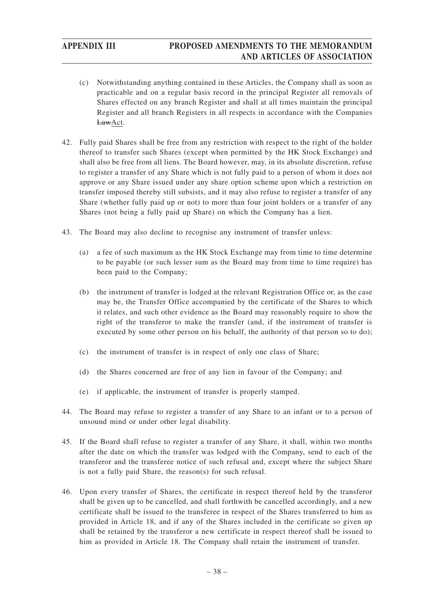- (c) Notwithstanding anything contained in these Articles, the Company shall as soon as practicable and on a regular basis record in the principal Register all removals of Shares effected on any branch Register and shall at all times maintain the principal Register and all branch Registers in all respects in accordance with the Companies LawAct.
- 42. Fully paid Shares shall be free from any restriction with respect to the right of the holder thereof to transfer such Shares (except when permitted by the HK Stock Exchange) and shall also be free from all liens. The Board however, may, in its absolute discretion, refuse to register a transfer of any Share which is not fully paid to a person of whom it does not approve or any Share issued under any share option scheme upon which a restriction on transfer imposed thereby still subsists, and it may also refuse to register a transfer of any Share (whether fully paid up or not) to more than four joint holders or a transfer of any Shares (not being a fully paid up Share) on which the Company has a lien.
- 43. The Board may also decline to recognise any instrument of transfer unless:
	- (a) a fee of such maximum as the HK Stock Exchange may from time to time determine to be payable (or such lesser sum as the Board may from time to time require) has been paid to the Company;
	- (b) the instrument of transfer is lodged at the relevant Registration Office or, as the case may be, the Transfer Office accompanied by the certificate of the Shares to which it relates, and such other evidence as the Board may reasonably require to show the right of the transferor to make the transfer (and, if the instrument of transfer is executed by some other person on his behalf, the authority of that person so to do);
	- (c) the instrument of transfer is in respect of only one class of Share;
	- (d) the Shares concerned are free of any lien in favour of the Company; and
	- (e) if applicable, the instrument of transfer is properly stamped.
- 44. The Board may refuse to register a transfer of any Share to an infant or to a person of unsound mind or under other legal disability.
- 45. If the Board shall refuse to register a transfer of any Share, it shall, within two months after the date on which the transfer was lodged with the Company, send to each of the transferor and the transferee notice of such refusal and, except where the subject Share is not a fully paid Share, the reason(s) for such refusal.
- 46. Upon every transfer of Shares, the certificate in respect thereof held by the transferor shall be given up to be cancelled, and shall forthwith be cancelled accordingly, and a new certificate shall be issued to the transferee in respect of the Shares transferred to him as provided in Article 18, and if any of the Shares included in the certificate so given up shall be retained by the transferor a new certificate in respect thereof shall be issued to him as provided in Article 18. The Company shall retain the instrument of transfer.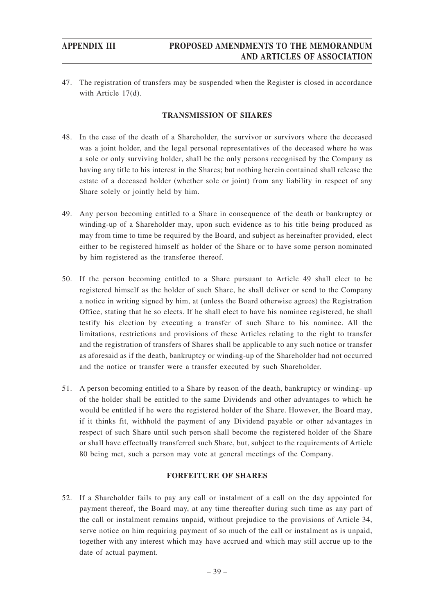47. The registration of transfers may be suspended when the Register is closed in accordance with Article 17(d).

## **TRANSMISSION OF SHARES**

- 48. In the case of the death of a Shareholder, the survivor or survivors where the deceased was a joint holder, and the legal personal representatives of the deceased where he was a sole or only surviving holder, shall be the only persons recognised by the Company as having any title to his interest in the Shares; but nothing herein contained shall release the estate of a deceased holder (whether sole or joint) from any liability in respect of any Share solely or jointly held by him.
- 49. Any person becoming entitled to a Share in consequence of the death or bankruptcy or winding-up of a Shareholder may, upon such evidence as to his title being produced as may from time to time be required by the Board, and subject as hereinafter provided, elect either to be registered himself as holder of the Share or to have some person nominated by him registered as the transferee thereof.
- 50. If the person becoming entitled to a Share pursuant to Article 49 shall elect to be registered himself as the holder of such Share, he shall deliver or send to the Company a notice in writing signed by him, at (unless the Board otherwise agrees) the Registration Office, stating that he so elects. If he shall elect to have his nominee registered, he shall testify his election by executing a transfer of such Share to his nominee. All the limitations, restrictions and provisions of these Articles relating to the right to transfer and the registration of transfers of Shares shall be applicable to any such notice or transfer as aforesaid as if the death, bankruptcy or winding-up of the Shareholder had not occurred and the notice or transfer were a transfer executed by such Shareholder.
- 51. A person becoming entitled to a Share by reason of the death, bankruptcy or winding- up of the holder shall be entitled to the same Dividends and other advantages to which he would be entitled if he were the registered holder of the Share. However, the Board may, if it thinks fit, withhold the payment of any Dividend payable or other advantages in respect of such Share until such person shall become the registered holder of the Share or shall have effectually transferred such Share, but, subject to the requirements of Article 80 being met, such a person may vote at general meetings of the Company.

## **FORFEITURE OF SHARES**

52. If a Shareholder fails to pay any call or instalment of a call on the day appointed for payment thereof, the Board may, at any time thereafter during such time as any part of the call or instalment remains unpaid, without prejudice to the provisions of Article 34, serve notice on him requiring payment of so much of the call or instalment as is unpaid, together with any interest which may have accrued and which may still accrue up to the date of actual payment.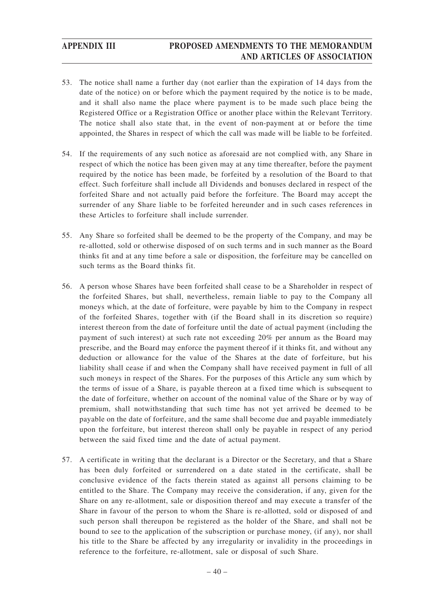- 53. The notice shall name a further day (not earlier than the expiration of 14 days from the date of the notice) on or before which the payment required by the notice is to be made, and it shall also name the place where payment is to be made such place being the Registered Office or a Registration Office or another place within the Relevant Territory. The notice shall also state that, in the event of non-payment at or before the time appointed, the Shares in respect of which the call was made will be liable to be forfeited.
- 54. If the requirements of any such notice as aforesaid are not complied with, any Share in respect of which the notice has been given may at any time thereafter, before the payment required by the notice has been made, be forfeited by a resolution of the Board to that effect. Such forfeiture shall include all Dividends and bonuses declared in respect of the forfeited Share and not actually paid before the forfeiture. The Board may accept the surrender of any Share liable to be forfeited hereunder and in such cases references in these Articles to forfeiture shall include surrender.
- 55. Any Share so forfeited shall be deemed to be the property of the Company, and may be re-allotted, sold or otherwise disposed of on such terms and in such manner as the Board thinks fit and at any time before a sale or disposition, the forfeiture may be cancelled on such terms as the Board thinks fit.
- 56. A person whose Shares have been forfeited shall cease to be a Shareholder in respect of the forfeited Shares, but shall, nevertheless, remain liable to pay to the Company all moneys which, at the date of forfeiture, were payable by him to the Company in respect of the forfeited Shares, together with (if the Board shall in its discretion so require) interest thereon from the date of forfeiture until the date of actual payment (including the payment of such interest) at such rate not exceeding 20% per annum as the Board may prescribe, and the Board may enforce the payment thereof if it thinks fit, and without any deduction or allowance for the value of the Shares at the date of forfeiture, but his liability shall cease if and when the Company shall have received payment in full of all such moneys in respect of the Shares. For the purposes of this Article any sum which by the terms of issue of a Share, is payable thereon at a fixed time which is subsequent to the date of forfeiture, whether on account of the nominal value of the Share or by way of premium, shall notwithstanding that such time has not yet arrived be deemed to be payable on the date of forfeiture, and the same shall become due and payable immediately upon the forfeiture, but interest thereon shall only be payable in respect of any period between the said fixed time and the date of actual payment.
- 57. A certificate in writing that the declarant is a Director or the Secretary, and that a Share has been duly forfeited or surrendered on a date stated in the certificate, shall be conclusive evidence of the facts therein stated as against all persons claiming to be entitled to the Share. The Company may receive the consideration, if any, given for the Share on any re-allotment, sale or disposition thereof and may execute a transfer of the Share in favour of the person to whom the Share is re-allotted, sold or disposed of and such person shall thereupon be registered as the holder of the Share, and shall not be bound to see to the application of the subscription or purchase money, (if any), nor shall his title to the Share be affected by any irregularity or invalidity in the proceedings in reference to the forfeiture, re-allotment, sale or disposal of such Share.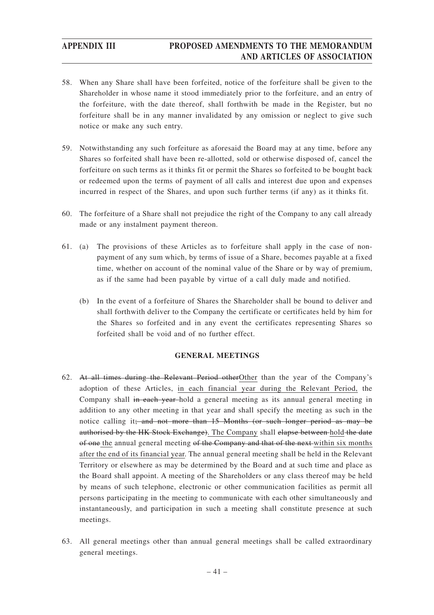- 58. When any Share shall have been forfeited, notice of the forfeiture shall be given to the Shareholder in whose name it stood immediately prior to the forfeiture, and an entry of the forfeiture, with the date thereof, shall forthwith be made in the Register, but no forfeiture shall be in any manner invalidated by any omission or neglect to give such notice or make any such entry.
- 59. Notwithstanding any such forfeiture as aforesaid the Board may at any time, before any Shares so forfeited shall have been re-allotted, sold or otherwise disposed of, cancel the forfeiture on such terms as it thinks fit or permit the Shares so forfeited to be bought back or redeemed upon the terms of payment of all calls and interest due upon and expenses incurred in respect of the Shares, and upon such further terms (if any) as it thinks fit.
- 60. The forfeiture of a Share shall not prejudice the right of the Company to any call already made or any instalment payment thereon.
- 61. (a) The provisions of these Articles as to forfeiture shall apply in the case of nonpayment of any sum which, by terms of issue of a Share, becomes payable at a fixed time, whether on account of the nominal value of the Share or by way of premium, as if the same had been payable by virtue of a call duly made and notified.
	- (b) In the event of a forfeiture of Shares the Shareholder shall be bound to deliver and shall forthwith deliver to the Company the certificate or certificates held by him for the Shares so forfeited and in any event the certificates representing Shares so forfeited shall be void and of no further effect.

## **GENERAL MEETINGS**

- 62. At all times during the Relevant Period otherOther than the year of the Company's adoption of these Articles, in each financial year during the Relevant Period, the Company shall in each year-hold a general meeting as its annual general meeting in addition to any other meeting in that year and shall specify the meeting as such in the notice calling it; and not more than 15 Months (or such longer period as may be authorised by the HK Stock Exchange). The Company shall elapse between hold the date of one the annual general meeting of the Company and that of the next within six months after the end of its financial year. The annual general meeting shall be held in the Relevant Territory or elsewhere as may be determined by the Board and at such time and place as the Board shall appoint. A meeting of the Shareholders or any class thereof may be held by means of such telephone, electronic or other communication facilities as permit all persons participating in the meeting to communicate with each other simultaneously and instantaneously, and participation in such a meeting shall constitute presence at such meetings.
- 63. All general meetings other than annual general meetings shall be called extraordinary general meetings.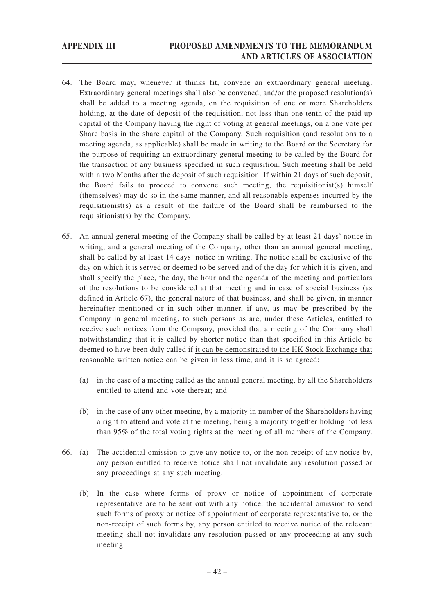- 64. The Board may, whenever it thinks fit, convene an extraordinary general meeting. Extraordinary general meetings shall also be convened, and/or the proposed resolution(s) shall be added to a meeting agenda, on the requisition of one or more Shareholders holding, at the date of deposit of the requisition, not less than one tenth of the paid up capital of the Company having the right of voting at general meetings, on a one vote per Share basis in the share capital of the Company. Such requisition (and resolutions to a meeting agenda, as applicable) shall be made in writing to the Board or the Secretary for the purpose of requiring an extraordinary general meeting to be called by the Board for the transaction of any business specified in such requisition. Such meeting shall be held within two Months after the deposit of such requisition. If within 21 days of such deposit, the Board fails to proceed to convene such meeting, the requisitionist(s) himself (themselves) may do so in the same manner, and all reasonable expenses incurred by the requisitionist(s) as a result of the failure of the Board shall be reimbursed to the requisitionist(s) by the Company.
- 65. An annual general meeting of the Company shall be called by at least 21 days' notice in writing, and a general meeting of the Company, other than an annual general meeting, shall be called by at least 14 days' notice in writing. The notice shall be exclusive of the day on which it is served or deemed to be served and of the day for which it is given, and shall specify the place, the day, the hour and the agenda of the meeting and particulars of the resolutions to be considered at that meeting and in case of special business (as defined in Article 67), the general nature of that business, and shall be given, in manner hereinafter mentioned or in such other manner, if any, as may be prescribed by the Company in general meeting, to such persons as are, under these Articles, entitled to receive such notices from the Company, provided that a meeting of the Company shall notwithstanding that it is called by shorter notice than that specified in this Article be deemed to have been duly called if it can be demonstrated to the HK Stock Exchange that reasonable written notice can be given in less time, and it is so agreed:
	- (a) in the case of a meeting called as the annual general meeting, by all the Shareholders entitled to attend and vote thereat; and
	- (b) in the case of any other meeting, by a majority in number of the Shareholders having a right to attend and vote at the meeting, being a majority together holding not less than 95% of the total voting rights at the meeting of all members of the Company.
- 66. (a) The accidental omission to give any notice to, or the non-receipt of any notice by, any person entitled to receive notice shall not invalidate any resolution passed or any proceedings at any such meeting.
	- (b) In the case where forms of proxy or notice of appointment of corporate representative are to be sent out with any notice, the accidental omission to send such forms of proxy or notice of appointment of corporate representative to, or the non-receipt of such forms by, any person entitled to receive notice of the relevant meeting shall not invalidate any resolution passed or any proceeding at any such meeting.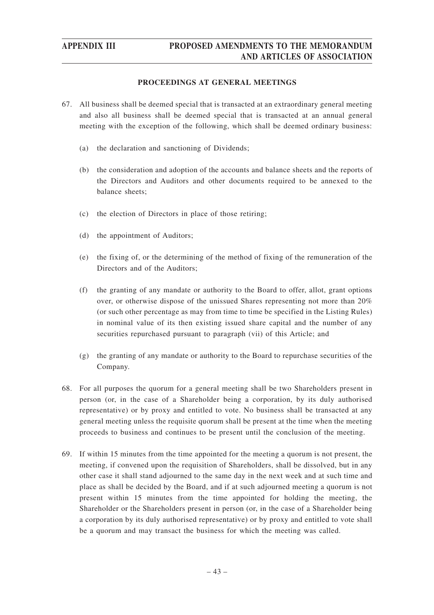## **PROCEEDINGS AT GENERAL MEETINGS**

- 67. All business shall be deemed special that is transacted at an extraordinary general meeting and also all business shall be deemed special that is transacted at an annual general meeting with the exception of the following, which shall be deemed ordinary business:
	- (a) the declaration and sanctioning of Dividends;
	- (b) the consideration and adoption of the accounts and balance sheets and the reports of the Directors and Auditors and other documents required to be annexed to the balance sheets;
	- (c) the election of Directors in place of those retiring;
	- (d) the appointment of Auditors;
	- (e) the fixing of, or the determining of the method of fixing of the remuneration of the Directors and of the Auditors;
	- (f) the granting of any mandate or authority to the Board to offer, allot, grant options over, or otherwise dispose of the unissued Shares representing not more than 20% (or such other percentage as may from time to time be specified in the Listing Rules) in nominal value of its then existing issued share capital and the number of any securities repurchased pursuant to paragraph (vii) of this Article; and
	- (g) the granting of any mandate or authority to the Board to repurchase securities of the Company.
- 68. For all purposes the quorum for a general meeting shall be two Shareholders present in person (or, in the case of a Shareholder being a corporation, by its duly authorised representative) or by proxy and entitled to vote. No business shall be transacted at any general meeting unless the requisite quorum shall be present at the time when the meeting proceeds to business and continues to be present until the conclusion of the meeting.
- 69. If within 15 minutes from the time appointed for the meeting a quorum is not present, the meeting, if convened upon the requisition of Shareholders, shall be dissolved, but in any other case it shall stand adjourned to the same day in the next week and at such time and place as shall be decided by the Board, and if at such adjourned meeting a quorum is not present within 15 minutes from the time appointed for holding the meeting, the Shareholder or the Shareholders present in person (or, in the case of a Shareholder being a corporation by its duly authorised representative) or by proxy and entitled to vote shall be a quorum and may transact the business for which the meeting was called.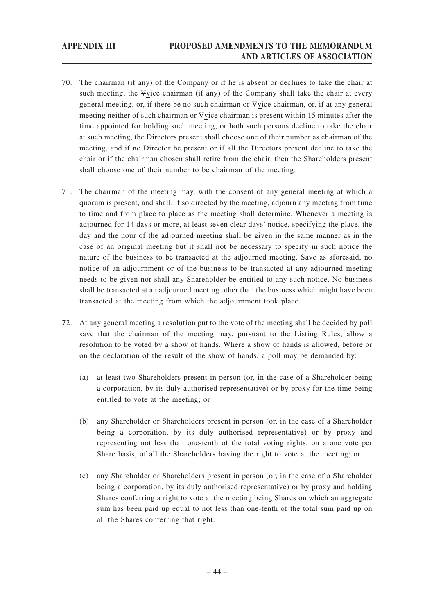- 70. The chairman (if any) of the Company or if he is absent or declines to take the chair at such meeting, the Vvice chairman (if any) of the Company shall take the chair at every general meeting, or, if there be no such chairman or Vvice chairman, or, if at any general meeting neither of such chairman or Vvice chairman is present within 15 minutes after the time appointed for holding such meeting, or both such persons decline to take the chair at such meeting, the Directors present shall choose one of their number as chairman of the meeting, and if no Director be present or if all the Directors present decline to take the chair or if the chairman chosen shall retire from the chair, then the Shareholders present shall choose one of their number to be chairman of the meeting.
- 71. The chairman of the meeting may, with the consent of any general meeting at which a quorum is present, and shall, if so directed by the meeting, adjourn any meeting from time to time and from place to place as the meeting shall determine. Whenever a meeting is adjourned for 14 days or more, at least seven clear days' notice, specifying the place, the day and the hour of the adjourned meeting shall be given in the same manner as in the case of an original meeting but it shall not be necessary to specify in such notice the nature of the business to be transacted at the adjourned meeting. Save as aforesaid, no notice of an adjournment or of the business to be transacted at any adjourned meeting needs to be given nor shall any Shareholder be entitled to any such notice. No business shall be transacted at an adjourned meeting other than the business which might have been transacted at the meeting from which the adjournment took place.
- 72. At any general meeting a resolution put to the vote of the meeting shall be decided by poll save that the chairman of the meeting may, pursuant to the Listing Rules, allow a resolution to be voted by a show of hands. Where a show of hands is allowed, before or on the declaration of the result of the show of hands, a poll may be demanded by:
	- (a) at least two Shareholders present in person (or, in the case of a Shareholder being a corporation, by its duly authorised representative) or by proxy for the time being entitled to vote at the meeting; or
	- (b) any Shareholder or Shareholders present in person (or, in the case of a Shareholder being a corporation, by its duly authorised representative) or by proxy and representing not less than one-tenth of the total voting rights, on a one vote per Share basis, of all the Shareholders having the right to vote at the meeting; or
	- (c) any Shareholder or Shareholders present in person (or, in the case of a Shareholder being a corporation, by its duly authorised representative) or by proxy and holding Shares conferring a right to vote at the meeting being Shares on which an aggregate sum has been paid up equal to not less than one-tenth of the total sum paid up on all the Shares conferring that right.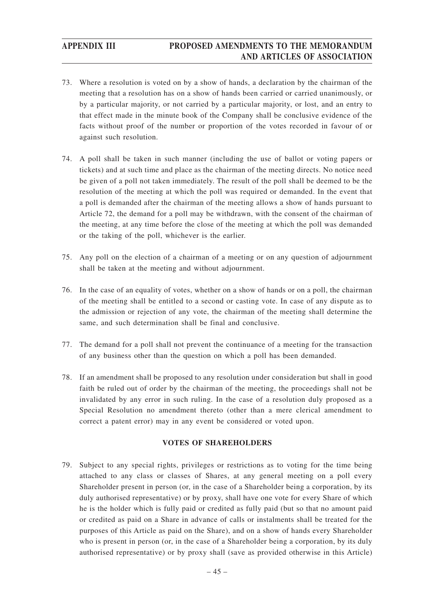- 73. Where a resolution is voted on by a show of hands, a declaration by the chairman of the meeting that a resolution has on a show of hands been carried or carried unanimously, or by a particular majority, or not carried by a particular majority, or lost, and an entry to that effect made in the minute book of the Company shall be conclusive evidence of the facts without proof of the number or proportion of the votes recorded in favour of or against such resolution.
- 74. A poll shall be taken in such manner (including the use of ballot or voting papers or tickets) and at such time and place as the chairman of the meeting directs. No notice need be given of a poll not taken immediately. The result of the poll shall be deemed to be the resolution of the meeting at which the poll was required or demanded. In the event that a poll is demanded after the chairman of the meeting allows a show of hands pursuant to Article 72, the demand for a poll may be withdrawn, with the consent of the chairman of the meeting, at any time before the close of the meeting at which the poll was demanded or the taking of the poll, whichever is the earlier.
- 75. Any poll on the election of a chairman of a meeting or on any question of adjournment shall be taken at the meeting and without adjournment.
- 76. In the case of an equality of votes, whether on a show of hands or on a poll, the chairman of the meeting shall be entitled to a second or casting vote. In case of any dispute as to the admission or rejection of any vote, the chairman of the meeting shall determine the same, and such determination shall be final and conclusive.
- 77. The demand for a poll shall not prevent the continuance of a meeting for the transaction of any business other than the question on which a poll has been demanded.
- 78. If an amendment shall be proposed to any resolution under consideration but shall in good faith be ruled out of order by the chairman of the meeting, the proceedings shall not be invalidated by any error in such ruling. In the case of a resolution duly proposed as a Special Resolution no amendment thereto (other than a mere clerical amendment to correct a patent error) may in any event be considered or voted upon.

## **VOTES OF SHAREHOLDERS**

79. Subject to any special rights, privileges or restrictions as to voting for the time being attached to any class or classes of Shares, at any general meeting on a poll every Shareholder present in person (or, in the case of a Shareholder being a corporation, by its duly authorised representative) or by proxy, shall have one vote for every Share of which he is the holder which is fully paid or credited as fully paid (but so that no amount paid or credited as paid on a Share in advance of calls or instalments shall be treated for the purposes of this Article as paid on the Share), and on a show of hands every Shareholder who is present in person (or, in the case of a Shareholder being a corporation, by its duly authorised representative) or by proxy shall (save as provided otherwise in this Article)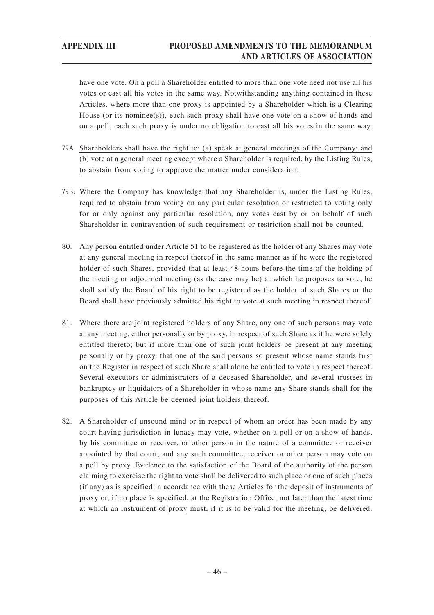have one vote. On a poll a Shareholder entitled to more than one vote need not use all his votes or cast all his votes in the same way. Notwithstanding anything contained in these Articles, where more than one proxy is appointed by a Shareholder which is a Clearing House (or its nominee(s)), each such proxy shall have one vote on a show of hands and on a poll, each such proxy is under no obligation to cast all his votes in the same way.

- 79A. Shareholders shall have the right to: (a) speak at general meetings of the Company; and (b) vote at a general meeting except where a Shareholder is required, by the Listing Rules, to abstain from voting to approve the matter under consideration.
- 79B. Where the Company has knowledge that any Shareholder is, under the Listing Rules, required to abstain from voting on any particular resolution or restricted to voting only for or only against any particular resolution, any votes cast by or on behalf of such Shareholder in contravention of such requirement or restriction shall not be counted.
- 80. Any person entitled under Article 51 to be registered as the holder of any Shares may vote at any general meeting in respect thereof in the same manner as if he were the registered holder of such Shares, provided that at least 48 hours before the time of the holding of the meeting or adjourned meeting (as the case may be) at which he proposes to vote, he shall satisfy the Board of his right to be registered as the holder of such Shares or the Board shall have previously admitted his right to vote at such meeting in respect thereof.
- 81. Where there are joint registered holders of any Share, any one of such persons may vote at any meeting, either personally or by proxy, in respect of such Share as if he were solely entitled thereto; but if more than one of such joint holders be present at any meeting personally or by proxy, that one of the said persons so present whose name stands first on the Register in respect of such Share shall alone be entitled to vote in respect thereof. Several executors or administrators of a deceased Shareholder, and several trustees in bankruptcy or liquidators of a Shareholder in whose name any Share stands shall for the purposes of this Article be deemed joint holders thereof.
- 82. A Shareholder of unsound mind or in respect of whom an order has been made by any court having jurisdiction in lunacy may vote, whether on a poll or on a show of hands, by his committee or receiver, or other person in the nature of a committee or receiver appointed by that court, and any such committee, receiver or other person may vote on a poll by proxy. Evidence to the satisfaction of the Board of the authority of the person claiming to exercise the right to vote shall be delivered to such place or one of such places (if any) as is specified in accordance with these Articles for the deposit of instruments of proxy or, if no place is specified, at the Registration Office, not later than the latest time at which an instrument of proxy must, if it is to be valid for the meeting, be delivered.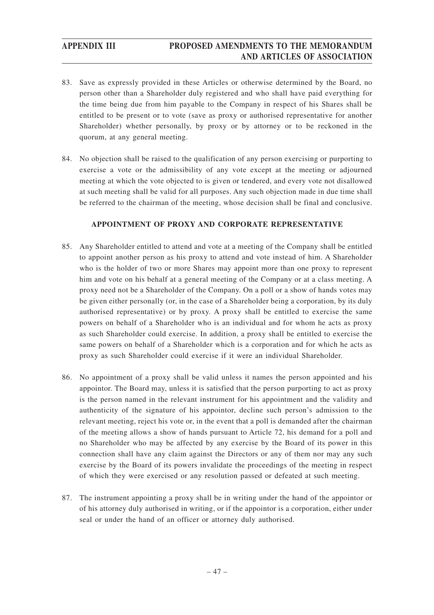- 83. Save as expressly provided in these Articles or otherwise determined by the Board, no person other than a Shareholder duly registered and who shall have paid everything for the time being due from him payable to the Company in respect of his Shares shall be entitled to be present or to vote (save as proxy or authorised representative for another Shareholder) whether personally, by proxy or by attorney or to be reckoned in the quorum, at any general meeting.
- 84. No objection shall be raised to the qualification of any person exercising or purporting to exercise a vote or the admissibility of any vote except at the meeting or adjourned meeting at which the vote objected to is given or tendered, and every vote not disallowed at such meeting shall be valid for all purposes. Any such objection made in due time shall be referred to the chairman of the meeting, whose decision shall be final and conclusive.

## **APPOINTMENT OF PROXY AND CORPORATE REPRESENTATIVE**

- 85. Any Shareholder entitled to attend and vote at a meeting of the Company shall be entitled to appoint another person as his proxy to attend and vote instead of him. A Shareholder who is the holder of two or more Shares may appoint more than one proxy to represent him and vote on his behalf at a general meeting of the Company or at a class meeting. A proxy need not be a Shareholder of the Company. On a poll or a show of hands votes may be given either personally (or, in the case of a Shareholder being a corporation, by its duly authorised representative) or by proxy. A proxy shall be entitled to exercise the same powers on behalf of a Shareholder who is an individual and for whom he acts as proxy as such Shareholder could exercise. In addition, a proxy shall be entitled to exercise the same powers on behalf of a Shareholder which is a corporation and for which he acts as proxy as such Shareholder could exercise if it were an individual Shareholder.
- 86. No appointment of a proxy shall be valid unless it names the person appointed and his appointor. The Board may, unless it is satisfied that the person purporting to act as proxy is the person named in the relevant instrument for his appointment and the validity and authenticity of the signature of his appointor, decline such person's admission to the relevant meeting, reject his vote or, in the event that a poll is demanded after the chairman of the meeting allows a show of hands pursuant to Article 72, his demand for a poll and no Shareholder who may be affected by any exercise by the Board of its power in this connection shall have any claim against the Directors or any of them nor may any such exercise by the Board of its powers invalidate the proceedings of the meeting in respect of which they were exercised or any resolution passed or defeated at such meeting.
- 87. The instrument appointing a proxy shall be in writing under the hand of the appointor or of his attorney duly authorised in writing, or if the appointor is a corporation, either under seal or under the hand of an officer or attorney duly authorised.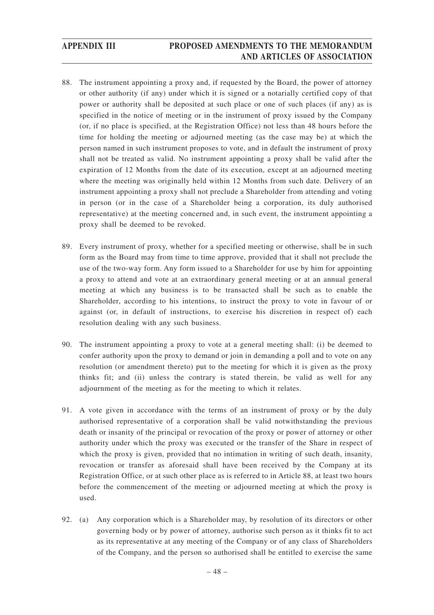- 88. The instrument appointing a proxy and, if requested by the Board, the power of attorney or other authority (if any) under which it is signed or a notarially certified copy of that power or authority shall be deposited at such place or one of such places (if any) as is specified in the notice of meeting or in the instrument of proxy issued by the Company (or, if no place is specified, at the Registration Office) not less than 48 hours before the time for holding the meeting or adjourned meeting (as the case may be) at which the person named in such instrument proposes to vote, and in default the instrument of proxy shall not be treated as valid. No instrument appointing a proxy shall be valid after the expiration of 12 Months from the date of its execution, except at an adjourned meeting where the meeting was originally held within 12 Months from such date. Delivery of an instrument appointing a proxy shall not preclude a Shareholder from attending and voting in person (or in the case of a Shareholder being a corporation, its duly authorised representative) at the meeting concerned and, in such event, the instrument appointing a proxy shall be deemed to be revoked.
- 89. Every instrument of proxy, whether for a specified meeting or otherwise, shall be in such form as the Board may from time to time approve, provided that it shall not preclude the use of the two-way form. Any form issued to a Shareholder for use by him for appointing a proxy to attend and vote at an extraordinary general meeting or at an annual general meeting at which any business is to be transacted shall be such as to enable the Shareholder, according to his intentions, to instruct the proxy to vote in favour of or against (or, in default of instructions, to exercise his discretion in respect of) each resolution dealing with any such business.
- 90. The instrument appointing a proxy to vote at a general meeting shall: (i) be deemed to confer authority upon the proxy to demand or join in demanding a poll and to vote on any resolution (or amendment thereto) put to the meeting for which it is given as the proxy thinks fit; and (ii) unless the contrary is stated therein, be valid as well for any adjournment of the meeting as for the meeting to which it relates.
- 91. A vote given in accordance with the terms of an instrument of proxy or by the duly authorised representative of a corporation shall be valid notwithstanding the previous death or insanity of the principal or revocation of the proxy or power of attorney or other authority under which the proxy was executed or the transfer of the Share in respect of which the proxy is given, provided that no intimation in writing of such death, insanity, revocation or transfer as aforesaid shall have been received by the Company at its Registration Office, or at such other place as is referred to in Article 88, at least two hours before the commencement of the meeting or adjourned meeting at which the proxy is used.
- 92. (a) Any corporation which is a Shareholder may, by resolution of its directors or other governing body or by power of attorney, authorise such person as it thinks fit to act as its representative at any meeting of the Company or of any class of Shareholders of the Company, and the person so authorised shall be entitled to exercise the same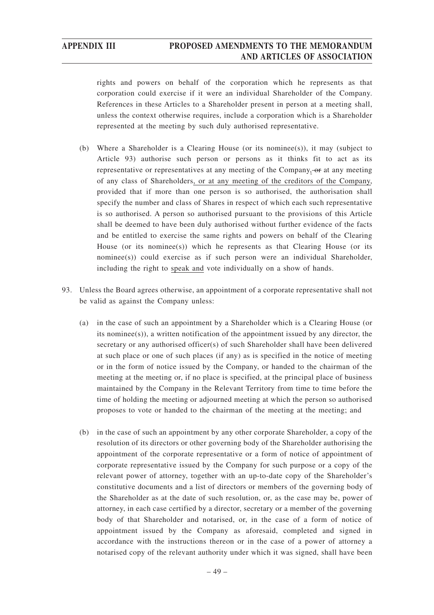rights and powers on behalf of the corporation which he represents as that corporation could exercise if it were an individual Shareholder of the Company. References in these Articles to a Shareholder present in person at a meeting shall, unless the context otherwise requires, include a corporation which is a Shareholder represented at the meeting by such duly authorised representative.

- (b) Where a Shareholder is a Clearing House (or its nominee(s)), it may (subject to Article 93) authorise such person or persons as it thinks fit to act as its representative or representatives at any meeting of the Company, or at any meeting of any class of Shareholders, or at any meeting of the creditors of the Company, provided that if more than one person is so authorised, the authorisation shall specify the number and class of Shares in respect of which each such representative is so authorised. A person so authorised pursuant to the provisions of this Article shall be deemed to have been duly authorised without further evidence of the facts and be entitled to exercise the same rights and powers on behalf of the Clearing House (or its nominee(s)) which he represents as that Clearing House (or its nominee(s)) could exercise as if such person were an individual Shareholder, including the right to speak and vote individually on a show of hands.
- 93. Unless the Board agrees otherwise, an appointment of a corporate representative shall not be valid as against the Company unless:
	- (a) in the case of such an appointment by a Shareholder which is a Clearing House (or its nominee(s)), a written notification of the appointment issued by any director, the secretary or any authorised officer(s) of such Shareholder shall have been delivered at such place or one of such places (if any) as is specified in the notice of meeting or in the form of notice issued by the Company, or handed to the chairman of the meeting at the meeting or, if no place is specified, at the principal place of business maintained by the Company in the Relevant Territory from time to time before the time of holding the meeting or adjourned meeting at which the person so authorised proposes to vote or handed to the chairman of the meeting at the meeting; and
	- (b) in the case of such an appointment by any other corporate Shareholder, a copy of the resolution of its directors or other governing body of the Shareholder authorising the appointment of the corporate representative or a form of notice of appointment of corporate representative issued by the Company for such purpose or a copy of the relevant power of attorney, together with an up-to-date copy of the Shareholder's constitutive documents and a list of directors or members of the governing body of the Shareholder as at the date of such resolution, or, as the case may be, power of attorney, in each case certified by a director, secretary or a member of the governing body of that Shareholder and notarised, or, in the case of a form of notice of appointment issued by the Company as aforesaid, completed and signed in accordance with the instructions thereon or in the case of a power of attorney a notarised copy of the relevant authority under which it was signed, shall have been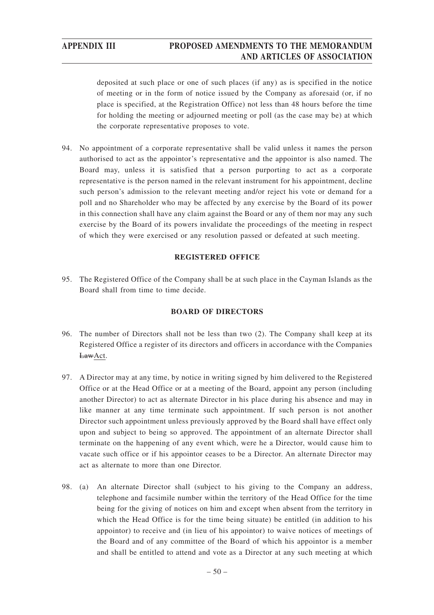deposited at such place or one of such places (if any) as is specified in the notice of meeting or in the form of notice issued by the Company as aforesaid (or, if no place is specified, at the Registration Office) not less than 48 hours before the time for holding the meeting or adjourned meeting or poll (as the case may be) at which the corporate representative proposes to vote.

94. No appointment of a corporate representative shall be valid unless it names the person authorised to act as the appointor's representative and the appointor is also named. The Board may, unless it is satisfied that a person purporting to act as a corporate representative is the person named in the relevant instrument for his appointment, decline such person's admission to the relevant meeting and/or reject his vote or demand for a poll and no Shareholder who may be affected by any exercise by the Board of its power in this connection shall have any claim against the Board or any of them nor may any such exercise by the Board of its powers invalidate the proceedings of the meeting in respect of which they were exercised or any resolution passed or defeated at such meeting.

## **REGISTERED OFFICE**

95. The Registered Office of the Company shall be at such place in the Cayman Islands as the Board shall from time to time decide.

## **BOARD OF DIRECTORS**

- 96. The number of Directors shall not be less than two (2). The Company shall keep at its Registered Office a register of its directors and officers in accordance with the Companies LawAct.
- 97. A Director may at any time, by notice in writing signed by him delivered to the Registered Office or at the Head Office or at a meeting of the Board, appoint any person (including another Director) to act as alternate Director in his place during his absence and may in like manner at any time terminate such appointment. If such person is not another Director such appointment unless previously approved by the Board shall have effect only upon and subject to being so approved. The appointment of an alternate Director shall terminate on the happening of any event which, were he a Director, would cause him to vacate such office or if his appointor ceases to be a Director. An alternate Director may act as alternate to more than one Director.
- 98. (a) An alternate Director shall (subject to his giving to the Company an address, telephone and facsimile number within the territory of the Head Office for the time being for the giving of notices on him and except when absent from the territory in which the Head Office is for the time being situate) be entitled (in addition to his appointor) to receive and (in lieu of his appointor) to waive notices of meetings of the Board and of any committee of the Board of which his appointor is a member and shall be entitled to attend and vote as a Director at any such meeting at which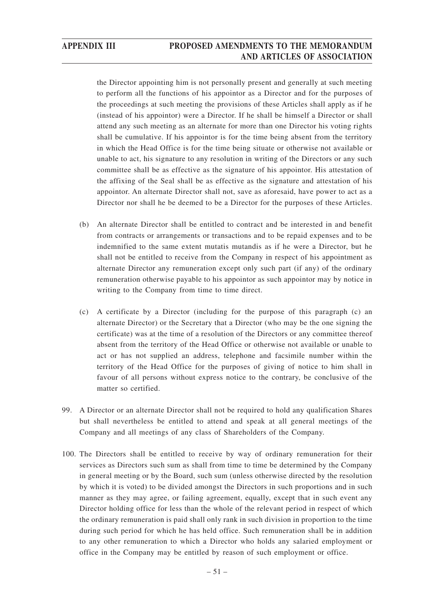the Director appointing him is not personally present and generally at such meeting to perform all the functions of his appointor as a Director and for the purposes of the proceedings at such meeting the provisions of these Articles shall apply as if he (instead of his appointor) were a Director. If he shall be himself a Director or shall attend any such meeting as an alternate for more than one Director his voting rights shall be cumulative. If his appointor is for the time being absent from the territory in which the Head Office is for the time being situate or otherwise not available or unable to act, his signature to any resolution in writing of the Directors or any such committee shall be as effective as the signature of his appointor. His attestation of the affixing of the Seal shall be as effective as the signature and attestation of his appointor. An alternate Director shall not, save as aforesaid, have power to act as a Director nor shall he be deemed to be a Director for the purposes of these Articles.

- (b) An alternate Director shall be entitled to contract and be interested in and benefit from contracts or arrangements or transactions and to be repaid expenses and to be indemnified to the same extent mutatis mutandis as if he were a Director, but he shall not be entitled to receive from the Company in respect of his appointment as alternate Director any remuneration except only such part (if any) of the ordinary remuneration otherwise payable to his appointor as such appointor may by notice in writing to the Company from time to time direct.
- (c) A certificate by a Director (including for the purpose of this paragraph (c) an alternate Director) or the Secretary that a Director (who may be the one signing the certificate) was at the time of a resolution of the Directors or any committee thereof absent from the territory of the Head Office or otherwise not available or unable to act or has not supplied an address, telephone and facsimile number within the territory of the Head Office for the purposes of giving of notice to him shall in favour of all persons without express notice to the contrary, be conclusive of the matter so certified.
- 99. A Director or an alternate Director shall not be required to hold any qualification Shares but shall nevertheless be entitled to attend and speak at all general meetings of the Company and all meetings of any class of Shareholders of the Company.
- 100. The Directors shall be entitled to receive by way of ordinary remuneration for their services as Directors such sum as shall from time to time be determined by the Company in general meeting or by the Board, such sum (unless otherwise directed by the resolution by which it is voted) to be divided amongst the Directors in such proportions and in such manner as they may agree, or failing agreement, equally, except that in such event any Director holding office for less than the whole of the relevant period in respect of which the ordinary remuneration is paid shall only rank in such division in proportion to the time during such period for which he has held office. Such remuneration shall be in addition to any other remuneration to which a Director who holds any salaried employment or office in the Company may be entitled by reason of such employment or office.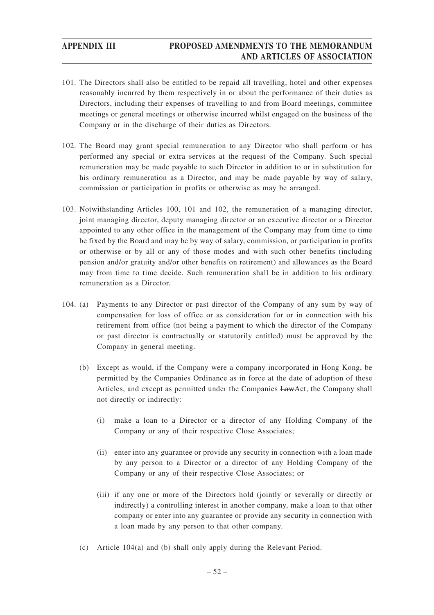- 101. The Directors shall also be entitled to be repaid all travelling, hotel and other expenses reasonably incurred by them respectively in or about the performance of their duties as Directors, including their expenses of travelling to and from Board meetings, committee meetings or general meetings or otherwise incurred whilst engaged on the business of the Company or in the discharge of their duties as Directors.
- 102. The Board may grant special remuneration to any Director who shall perform or has performed any special or extra services at the request of the Company. Such special remuneration may be made payable to such Director in addition to or in substitution for his ordinary remuneration as a Director, and may be made payable by way of salary, commission or participation in profits or otherwise as may be arranged.
- 103. Notwithstanding Articles 100, 101 and 102, the remuneration of a managing director, joint managing director, deputy managing director or an executive director or a Director appointed to any other office in the management of the Company may from time to time be fixed by the Board and may be by way of salary, commission, or participation in profits or otherwise or by all or any of those modes and with such other benefits (including pension and/or gratuity and/or other benefits on retirement) and allowances as the Board may from time to time decide. Such remuneration shall be in addition to his ordinary remuneration as a Director.
- 104. (a) Payments to any Director or past director of the Company of any sum by way of compensation for loss of office or as consideration for or in connection with his retirement from office (not being a payment to which the director of the Company or past director is contractually or statutorily entitled) must be approved by the Company in general meeting.
	- (b) Except as would, if the Company were a company incorporated in Hong Kong, be permitted by the Companies Ordinance as in force at the date of adoption of these Articles, and except as permitted under the Companies LawAct, the Company shall not directly or indirectly:
		- (i) make a loan to a Director or a director of any Holding Company of the Company or any of their respective Close Associates;
		- (ii) enter into any guarantee or provide any security in connection with a loan made by any person to a Director or a director of any Holding Company of the Company or any of their respective Close Associates; or
		- (iii) if any one or more of the Directors hold (jointly or severally or directly or indirectly) a controlling interest in another company, make a loan to that other company or enter into any guarantee or provide any security in connection with a loan made by any person to that other company.
	- (c) Article 104(a) and (b) shall only apply during the Relevant Period.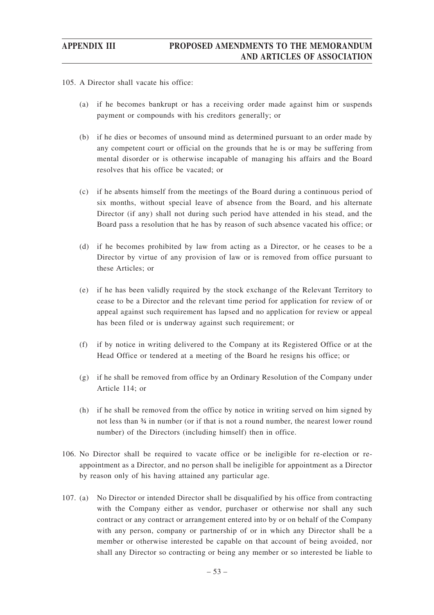- 105. A Director shall vacate his office:
	- (a) if he becomes bankrupt or has a receiving order made against him or suspends payment or compounds with his creditors generally; or
	- (b) if he dies or becomes of unsound mind as determined pursuant to an order made by any competent court or official on the grounds that he is or may be suffering from mental disorder or is otherwise incapable of managing his affairs and the Board resolves that his office be vacated; or
	- (c) if he absents himself from the meetings of the Board during a continuous period of six months, without special leave of absence from the Board, and his alternate Director (if any) shall not during such period have attended in his stead, and the Board pass a resolution that he has by reason of such absence vacated his office; or
	- (d) if he becomes prohibited by law from acting as a Director, or he ceases to be a Director by virtue of any provision of law or is removed from office pursuant to these Articles; or
	- (e) if he has been validly required by the stock exchange of the Relevant Territory to cease to be a Director and the relevant time period for application for review of or appeal against such requirement has lapsed and no application for review or appeal has been filed or is underway against such requirement; or
	- (f) if by notice in writing delivered to the Company at its Registered Office or at the Head Office or tendered at a meeting of the Board he resigns his office; or
	- (g) if he shall be removed from office by an Ordinary Resolution of the Company under Article 114; or
	- (h) if he shall be removed from the office by notice in writing served on him signed by not less than ¾ in number (or if that is not a round number, the nearest lower round number) of the Directors (including himself) then in office.
- 106. No Director shall be required to vacate office or be ineligible for re-election or reappointment as a Director, and no person shall be ineligible for appointment as a Director by reason only of his having attained any particular age.
- 107. (a) No Director or intended Director shall be disqualified by his office from contracting with the Company either as vendor, purchaser or otherwise nor shall any such contract or any contract or arrangement entered into by or on behalf of the Company with any person, company or partnership of or in which any Director shall be a member or otherwise interested be capable on that account of being avoided, nor shall any Director so contracting or being any member or so interested be liable to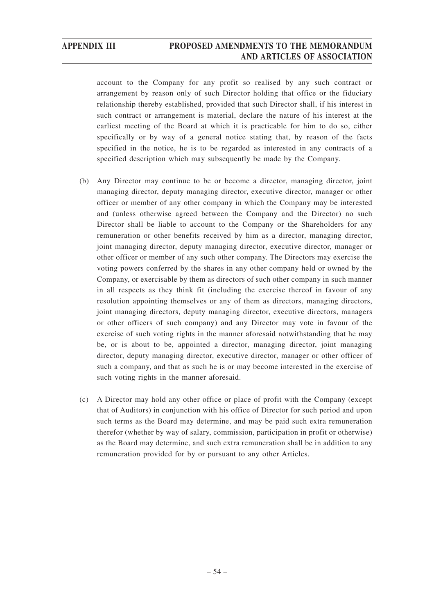account to the Company for any profit so realised by any such contract or arrangement by reason only of such Director holding that office or the fiduciary relationship thereby established, provided that such Director shall, if his interest in such contract or arrangement is material, declare the nature of his interest at the earliest meeting of the Board at which it is practicable for him to do so, either specifically or by way of a general notice stating that, by reason of the facts specified in the notice, he is to be regarded as interested in any contracts of a specified description which may subsequently be made by the Company.

- (b) Any Director may continue to be or become a director, managing director, joint managing director, deputy managing director, executive director, manager or other officer or member of any other company in which the Company may be interested and (unless otherwise agreed between the Company and the Director) no such Director shall be liable to account to the Company or the Shareholders for any remuneration or other benefits received by him as a director, managing director, joint managing director, deputy managing director, executive director, manager or other officer or member of any such other company. The Directors may exercise the voting powers conferred by the shares in any other company held or owned by the Company, or exercisable by them as directors of such other company in such manner in all respects as they think fit (including the exercise thereof in favour of any resolution appointing themselves or any of them as directors, managing directors, joint managing directors, deputy managing director, executive directors, managers or other officers of such company) and any Director may vote in favour of the exercise of such voting rights in the manner aforesaid notwithstanding that he may be, or is about to be, appointed a director, managing director, joint managing director, deputy managing director, executive director, manager or other officer of such a company, and that as such he is or may become interested in the exercise of such voting rights in the manner aforesaid.
- (c) A Director may hold any other office or place of profit with the Company (except that of Auditors) in conjunction with his office of Director for such period and upon such terms as the Board may determine, and may be paid such extra remuneration therefor (whether by way of salary, commission, participation in profit or otherwise) as the Board may determine, and such extra remuneration shall be in addition to any remuneration provided for by or pursuant to any other Articles.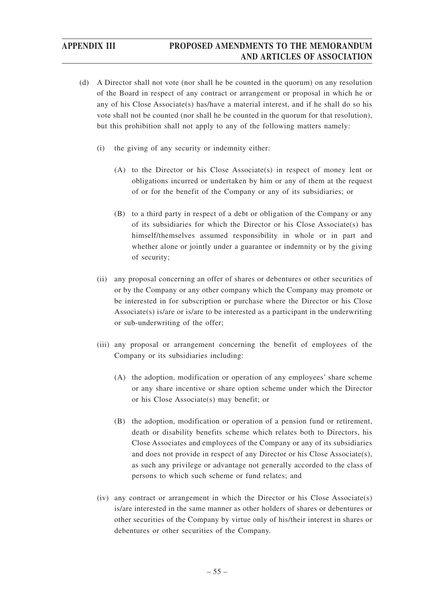- (d) A Director shall not vote (nor shall he be counted in the quorum) on any resolution of the Board in respect of any contract or arrangement or proposal in which he or any of his Close Associate(s) has/have a material interest, and if he shall do so his vote shall not be counted (nor shall he be counted in the quorum for that resolution), but this prohibition shall not apply to any of the following matters namely:
	- (i) the giving of any security or indemnity either:
		- (A) to the Director or his Close Associate(s) in respect of money lent or obligations incurred or undertaken by him or any of them at the request of or for the benefit of the Company or any of its subsidiaries; or
		- (B) to a third party in respect of a debt or obligation of the Company or any of its subsidiaries for which the Director or his Close Associate(s) has himself/themselves assumed responsibility in whole or in part and whether alone or jointly under a guarantee or indemnity or by the giving of security;
	- (ii) any proposal concerning an offer of shares or debentures or other securities of or by the Company or any other company which the Company may promote or be interested in for subscription or purchase where the Director or his Close Associate(s) is/are or is/are to be interested as a participant in the underwriting or sub-underwriting of the offer;
	- (iii) any proposal or arrangement concerning the benefit of employees of the Company or its subsidiaries including:
		- (A) the adoption, modification or operation of any employees' share scheme or any share incentive or share option scheme under which the Director or his Close Associate(s) may benefit; or
		- (B) the adoption, modification or operation of a pension fund or retirement, death or disability benefits scheme which relates both to Directors, his Close Associates and employees of the Company or any of its subsidiaries and does not provide in respect of any Director or his Close Associate(s), as such any privilege or advantage not generally accorded to the class of persons to which such scheme or fund relates; and
	- (iv) any contract or arrangement in which the Director or his Close Associate(s) is/are interested in the same manner as other holders of shares or debentures or other securities of the Company by virtue only of his/their interest in shares or debentures or other securities of the Company.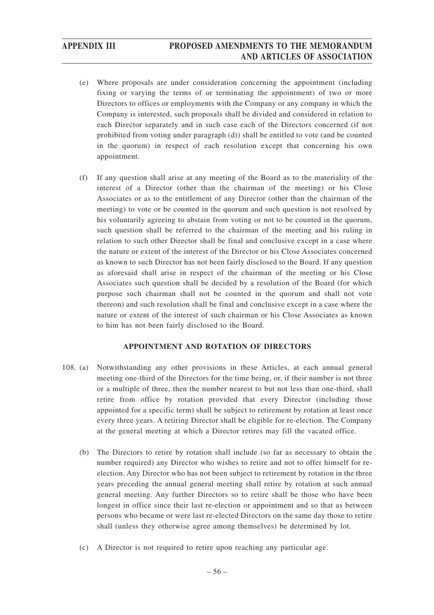- (e) Where proposals are under consideration concerning the appointment (including fixing or varying the terms of or terminating the appointment) of two or more Directors to offices or employments with the Company or any company in which the Company is interested, such proposals shall be divided and considered in relation to each Director separately and in such case each of the Directors concerned (if not prohibited from voting under paragraph (d)) shall be entitled to vote (and be counted in the quorum) in respect of each resolution except that concerning his own appointment.
- (f) If any question shall arise at any meeting of the Board as to the materiality of the interest of a Director (other than the chairman of the meeting) or his Close Associates or as to the entitlement of any Director (other than the chairman of the meeting) to vote or be counted in the quorum and such question is not resolved by his voluntarily agreeing to abstain from voting or not to be counted in the quorum, such question shall be referred to the chairman of the meeting and his ruling in relation to such other Director shall be final and conclusive except in a case where the nature or extent of the interest of the Director or his Close Associates concerned as known to such Director has not been fairly disclosed to the Board. If any question as aforesaid shall arise in respect of the chairman of the meeting or his Close Associates such question shall be decided by a resolution of the Board (for which purpose such chairman shall not be counted in the quorum and shall not vote thereon) and such resolution shall be final and conclusive except in a case where the nature or extent of the interest of such chairman or his Close Associates as known to him has not been fairly disclosed to the Board.

## **APPOINTMENT AND ROTATION OF DIRECTORS**

- 108. (a) Notwithstanding any other provisions in these Articles, at each annual general meeting one-third of the Directors for the time being, or, if their number is not three or a multiple of three, then the number nearest to but not less than one-third, shall retire from office by rotation provided that every Director (including those appointed for a specific term) shall be subject to retirement by rotation at least once every three years. A retiring Director shall be eligible for re-election. The Company at the general meeting at which a Director retires may fill the vacated office.
	- (b) The Directors to retire by rotation shall include (so far as necessary to obtain the number required) any Director who wishes to retire and not to offer himself for reelection. Any Director who has not been subject to retirement by rotation in the three years preceding the annual general meeting shall retire by rotation at such annual general meeting. Any further Directors so to retire shall be those who have been longest in office since their last re-election or appointment and so that as between persons who became or were last re-elected Directors on the same day those to retire shall (unless they otherwise agree among themselves) be determined by lot.
	- (c) A Director is not required to retire upon reaching any particular age.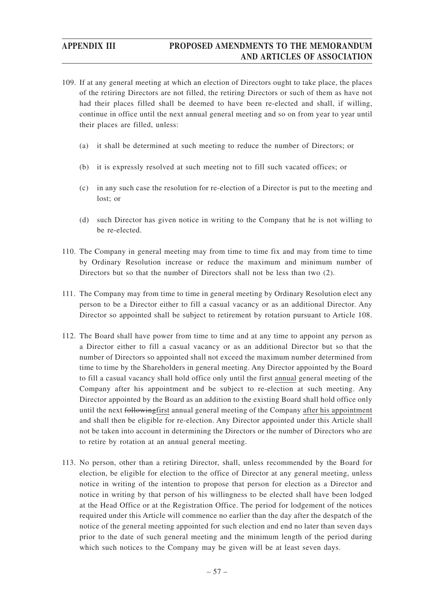- 109. If at any general meeting at which an election of Directors ought to take place, the places of the retiring Directors are not filled, the retiring Directors or such of them as have not had their places filled shall be deemed to have been re-elected and shall, if willing, continue in office until the next annual general meeting and so on from year to year until their places are filled, unless:
	- (a) it shall be determined at such meeting to reduce the number of Directors; or
	- (b) it is expressly resolved at such meeting not to fill such vacated offices; or
	- (c) in any such case the resolution for re-election of a Director is put to the meeting and lost; or
	- (d) such Director has given notice in writing to the Company that he is not willing to be re-elected.
- 110. The Company in general meeting may from time to time fix and may from time to time by Ordinary Resolution increase or reduce the maximum and minimum number of Directors but so that the number of Directors shall not be less than two (2).
- 111. The Company may from time to time in general meeting by Ordinary Resolution elect any person to be a Director either to fill a casual vacancy or as an additional Director. Any Director so appointed shall be subject to retirement by rotation pursuant to Article 108.
- 112. The Board shall have power from time to time and at any time to appoint any person as a Director either to fill a casual vacancy or as an additional Director but so that the number of Directors so appointed shall not exceed the maximum number determined from time to time by the Shareholders in general meeting. Any Director appointed by the Board to fill a casual vacancy shall hold office only until the first annual general meeting of the Company after his appointment and be subject to re-election at such meeting. Any Director appointed by the Board as an addition to the existing Board shall hold office only until the next followingfirst annual general meeting of the Company after his appointment and shall then be eligible for re-election. Any Director appointed under this Article shall not be taken into account in determining the Directors or the number of Directors who are to retire by rotation at an annual general meeting.
- 113. No person, other than a retiring Director, shall, unless recommended by the Board for election, be eligible for election to the office of Director at any general meeting, unless notice in writing of the intention to propose that person for election as a Director and notice in writing by that person of his willingness to be elected shall have been lodged at the Head Office or at the Registration Office. The period for lodgement of the notices required under this Article will commence no earlier than the day after the despatch of the notice of the general meeting appointed for such election and end no later than seven days prior to the date of such general meeting and the minimum length of the period during which such notices to the Company may be given will be at least seven days.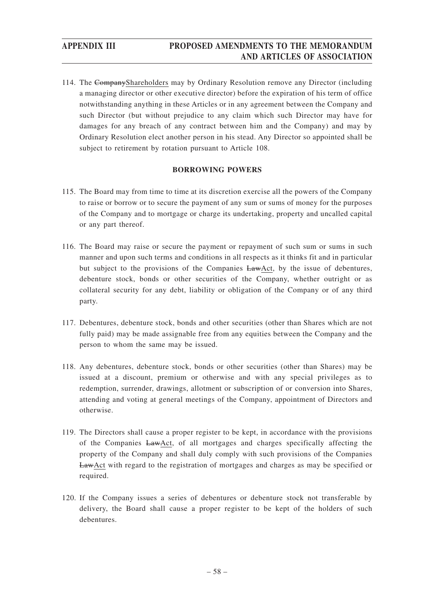114. The CompanyShareholders may by Ordinary Resolution remove any Director (including a managing director or other executive director) before the expiration of his term of office notwithstanding anything in these Articles or in any agreement between the Company and such Director (but without prejudice to any claim which such Director may have for damages for any breach of any contract between him and the Company) and may by Ordinary Resolution elect another person in his stead. Any Director so appointed shall be subject to retirement by rotation pursuant to Article 108.

## **BORROWING POWERS**

- 115. The Board may from time to time at its discretion exercise all the powers of the Company to raise or borrow or to secure the payment of any sum or sums of money for the purposes of the Company and to mortgage or charge its undertaking, property and uncalled capital or any part thereof.
- 116. The Board may raise or secure the payment or repayment of such sum or sums in such manner and upon such terms and conditions in all respects as it thinks fit and in particular but subject to the provisions of the Companies LawAct, by the issue of debentures, debenture stock, bonds or other securities of the Company, whether outright or as collateral security for any debt, liability or obligation of the Company or of any third party.
- 117. Debentures, debenture stock, bonds and other securities (other than Shares which are not fully paid) may be made assignable free from any equities between the Company and the person to whom the same may be issued.
- 118. Any debentures, debenture stock, bonds or other securities (other than Shares) may be issued at a discount, premium or otherwise and with any special privileges as to redemption, surrender, drawings, allotment or subscription of or conversion into Shares, attending and voting at general meetings of the Company, appointment of Directors and otherwise.
- 119. The Directors shall cause a proper register to be kept, in accordance with the provisions of the Companies LawAct, of all mortgages and charges specifically affecting the property of the Company and shall duly comply with such provisions of the Companies LawAct with regard to the registration of mortgages and charges as may be specified or required.
- 120. If the Company issues a series of debentures or debenture stock not transferable by delivery, the Board shall cause a proper register to be kept of the holders of such debentures.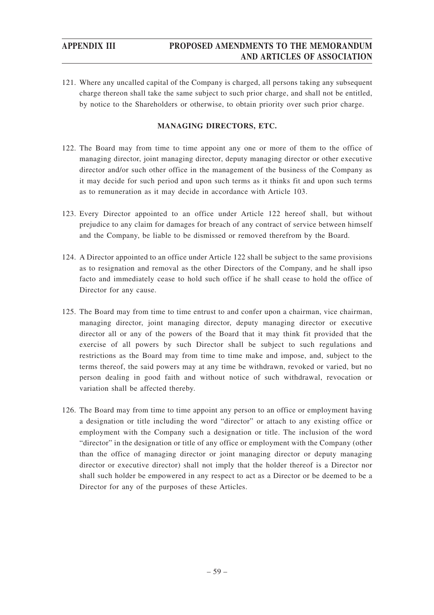121. Where any uncalled capital of the Company is charged, all persons taking any subsequent charge thereon shall take the same subject to such prior charge, and shall not be entitled, by notice to the Shareholders or otherwise, to obtain priority over such prior charge.

## **MANAGING DIRECTORS, ETC.**

- 122. The Board may from time to time appoint any one or more of them to the office of managing director, joint managing director, deputy managing director or other executive director and/or such other office in the management of the business of the Company as it may decide for such period and upon such terms as it thinks fit and upon such terms as to remuneration as it may decide in accordance with Article 103.
- 123. Every Director appointed to an office under Article 122 hereof shall, but without prejudice to any claim for damages for breach of any contract of service between himself and the Company, be liable to be dismissed or removed therefrom by the Board.
- 124. A Director appointed to an office under Article 122 shall be subject to the same provisions as to resignation and removal as the other Directors of the Company, and he shall ipso facto and immediately cease to hold such office if he shall cease to hold the office of Director for any cause.
- 125. The Board may from time to time entrust to and confer upon a chairman, vice chairman, managing director, joint managing director, deputy managing director or executive director all or any of the powers of the Board that it may think fit provided that the exercise of all powers by such Director shall be subject to such regulations and restrictions as the Board may from time to time make and impose, and, subject to the terms thereof, the said powers may at any time be withdrawn, revoked or varied, but no person dealing in good faith and without notice of such withdrawal, revocation or variation shall be affected thereby.
- 126. The Board may from time to time appoint any person to an office or employment having a designation or title including the word "director" or attach to any existing office or employment with the Company such a designation or title. The inclusion of the word "director" in the designation or title of any office or employment with the Company (other than the office of managing director or joint managing director or deputy managing director or executive director) shall not imply that the holder thereof is a Director nor shall such holder be empowered in any respect to act as a Director or be deemed to be a Director for any of the purposes of these Articles.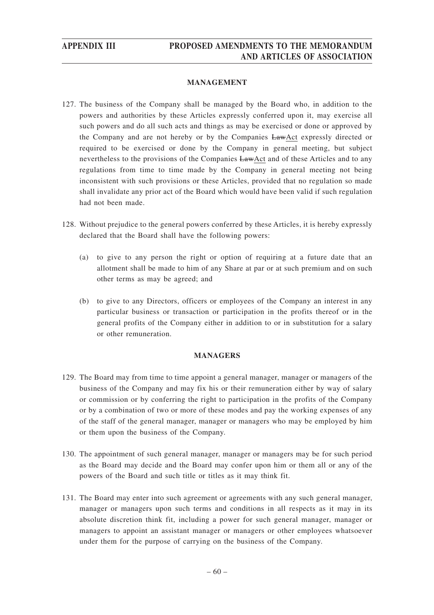## **MANAGEMENT**

- 127. The business of the Company shall be managed by the Board who, in addition to the powers and authorities by these Articles expressly conferred upon it, may exercise all such powers and do all such acts and things as may be exercised or done or approved by the Company and are not hereby or by the Companies LawAct expressly directed or required to be exercised or done by the Company in general meeting, but subject nevertheless to the provisions of the Companies LawAct and of these Articles and to any regulations from time to time made by the Company in general meeting not being inconsistent with such provisions or these Articles, provided that no regulation so made shall invalidate any prior act of the Board which would have been valid if such regulation had not been made.
- 128. Without prejudice to the general powers conferred by these Articles, it is hereby expressly declared that the Board shall have the following powers:
	- (a) to give to any person the right or option of requiring at a future date that an allotment shall be made to him of any Share at par or at such premium and on such other terms as may be agreed; and
	- (b) to give to any Directors, officers or employees of the Company an interest in any particular business or transaction or participation in the profits thereof or in the general profits of the Company either in addition to or in substitution for a salary or other remuneration.

## **MANAGERS**

- 129. The Board may from time to time appoint a general manager, manager or managers of the business of the Company and may fix his or their remuneration either by way of salary or commission or by conferring the right to participation in the profits of the Company or by a combination of two or more of these modes and pay the working expenses of any of the staff of the general manager, manager or managers who may be employed by him or them upon the business of the Company.
- 130. The appointment of such general manager, manager or managers may be for such period as the Board may decide and the Board may confer upon him or them all or any of the powers of the Board and such title or titles as it may think fit.
- 131. The Board may enter into such agreement or agreements with any such general manager, manager or managers upon such terms and conditions in all respects as it may in its absolute discretion think fit, including a power for such general manager, manager or managers to appoint an assistant manager or managers or other employees whatsoever under them for the purpose of carrying on the business of the Company.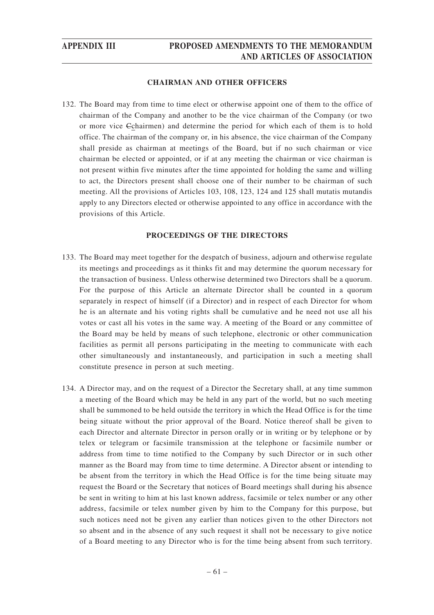## **CHAIRMAN AND OTHER OFFICERS**

132. The Board may from time to time elect or otherwise appoint one of them to the office of chairman of the Company and another to be the vice chairman of the Company (or two or more vice Cchairmen) and determine the period for which each of them is to hold office. The chairman of the company or, in his absence, the vice chairman of the Company shall preside as chairman at meetings of the Board, but if no such chairman or vice chairman be elected or appointed, or if at any meeting the chairman or vice chairman is not present within five minutes after the time appointed for holding the same and willing to act, the Directors present shall choose one of their number to be chairman of such meeting. All the provisions of Articles 103, 108, 123, 124 and 125 shall mutatis mutandis apply to any Directors elected or otherwise appointed to any office in accordance with the provisions of this Article.

## **PROCEEDINGS OF THE DIRECTORS**

- 133. The Board may meet together for the despatch of business, adjourn and otherwise regulate its meetings and proceedings as it thinks fit and may determine the quorum necessary for the transaction of business. Unless otherwise determined two Directors shall be a quorum. For the purpose of this Article an alternate Director shall be counted in a quorum separately in respect of himself (if a Director) and in respect of each Director for whom he is an alternate and his voting rights shall be cumulative and he need not use all his votes or cast all his votes in the same way. A meeting of the Board or any committee of the Board may be held by means of such telephone, electronic or other communication facilities as permit all persons participating in the meeting to communicate with each other simultaneously and instantaneously, and participation in such a meeting shall constitute presence in person at such meeting.
- 134. A Director may, and on the request of a Director the Secretary shall, at any time summon a meeting of the Board which may be held in any part of the world, but no such meeting shall be summoned to be held outside the territory in which the Head Office is for the time being situate without the prior approval of the Board. Notice thereof shall be given to each Director and alternate Director in person orally or in writing or by telephone or by telex or telegram or facsimile transmission at the telephone or facsimile number or address from time to time notified to the Company by such Director or in such other manner as the Board may from time to time determine. A Director absent or intending to be absent from the territory in which the Head Office is for the time being situate may request the Board or the Secretary that notices of Board meetings shall during his absence be sent in writing to him at his last known address, facsimile or telex number or any other address, facsimile or telex number given by him to the Company for this purpose, but such notices need not be given any earlier than notices given to the other Directors not so absent and in the absence of any such request it shall not be necessary to give notice of a Board meeting to any Director who is for the time being absent from such territory.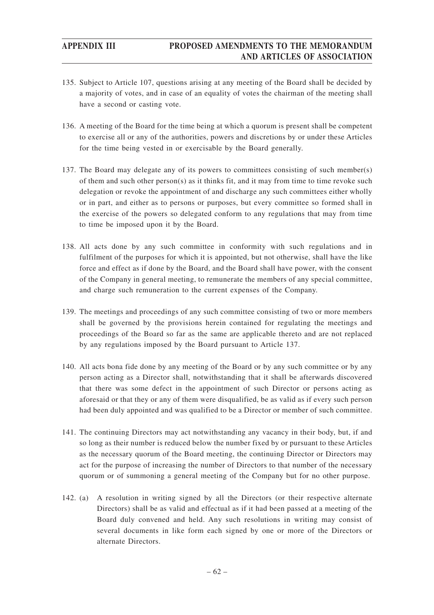- 135. Subject to Article 107, questions arising at any meeting of the Board shall be decided by a majority of votes, and in case of an equality of votes the chairman of the meeting shall have a second or casting vote.
- 136. A meeting of the Board for the time being at which a quorum is present shall be competent to exercise all or any of the authorities, powers and discretions by or under these Articles for the time being vested in or exercisable by the Board generally.
- 137. The Board may delegate any of its powers to committees consisting of such member(s) of them and such other  $person(s)$  as it thinks fit, and it may from time to time revoke such delegation or revoke the appointment of and discharge any such committees either wholly or in part, and either as to persons or purposes, but every committee so formed shall in the exercise of the powers so delegated conform to any regulations that may from time to time be imposed upon it by the Board.
- 138. All acts done by any such committee in conformity with such regulations and in fulfilment of the purposes for which it is appointed, but not otherwise, shall have the like force and effect as if done by the Board, and the Board shall have power, with the consent of the Company in general meeting, to remunerate the members of any special committee, and charge such remuneration to the current expenses of the Company.
- 139. The meetings and proceedings of any such committee consisting of two or more members shall be governed by the provisions herein contained for regulating the meetings and proceedings of the Board so far as the same are applicable thereto and are not replaced by any regulations imposed by the Board pursuant to Article 137.
- 140. All acts bona fide done by any meeting of the Board or by any such committee or by any person acting as a Director shall, notwithstanding that it shall be afterwards discovered that there was some defect in the appointment of such Director or persons acting as aforesaid or that they or any of them were disqualified, be as valid as if every such person had been duly appointed and was qualified to be a Director or member of such committee.
- 141. The continuing Directors may act notwithstanding any vacancy in their body, but, if and so long as their number is reduced below the number fixed by or pursuant to these Articles as the necessary quorum of the Board meeting, the continuing Director or Directors may act for the purpose of increasing the number of Directors to that number of the necessary quorum or of summoning a general meeting of the Company but for no other purpose.
- 142. (a) A resolution in writing signed by all the Directors (or their respective alternate Directors) shall be as valid and effectual as if it had been passed at a meeting of the Board duly convened and held. Any such resolutions in writing may consist of several documents in like form each signed by one or more of the Directors or alternate Directors.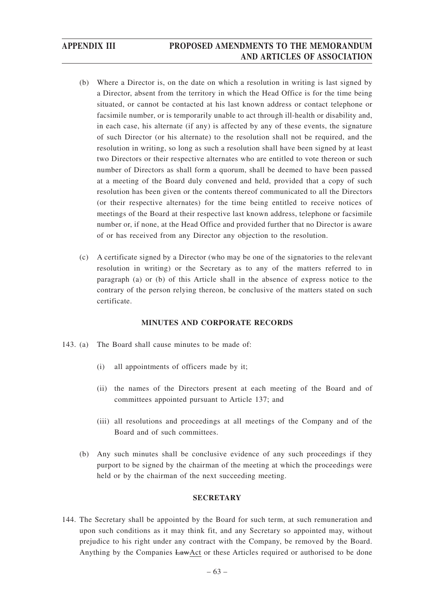- (b) Where a Director is, on the date on which a resolution in writing is last signed by a Director, absent from the territory in which the Head Office is for the time being situated, or cannot be contacted at his last known address or contact telephone or facsimile number, or is temporarily unable to act through ill-health or disability and, in each case, his alternate (if any) is affected by any of these events, the signature of such Director (or his alternate) to the resolution shall not be required, and the resolution in writing, so long as such a resolution shall have been signed by at least two Directors or their respective alternates who are entitled to vote thereon or such number of Directors as shall form a quorum, shall be deemed to have been passed at a meeting of the Board duly convened and held, provided that a copy of such resolution has been given or the contents thereof communicated to all the Directors (or their respective alternates) for the time being entitled to receive notices of meetings of the Board at their respective last known address, telephone or facsimile number or, if none, at the Head Office and provided further that no Director is aware of or has received from any Director any objection to the resolution.
- (c) A certificate signed by a Director (who may be one of the signatories to the relevant resolution in writing) or the Secretary as to any of the matters referred to in paragraph (a) or (b) of this Article shall in the absence of express notice to the contrary of the person relying thereon, be conclusive of the matters stated on such certificate.

## **MINUTES AND CORPORATE RECORDS**

- 143. (a) The Board shall cause minutes to be made of:
	- (i) all appointments of officers made by it;
	- (ii) the names of the Directors present at each meeting of the Board and of committees appointed pursuant to Article 137; and
	- (iii) all resolutions and proceedings at all meetings of the Company and of the Board and of such committees.
	- (b) Any such minutes shall be conclusive evidence of any such proceedings if they purport to be signed by the chairman of the meeting at which the proceedings were held or by the chairman of the next succeeding meeting.

## **SECRETARY**

144. The Secretary shall be appointed by the Board for such term, at such remuneration and upon such conditions as it may think fit, and any Secretary so appointed may, without prejudice to his right under any contract with the Company, be removed by the Board. Anything by the Companies LawAct or these Articles required or authorised to be done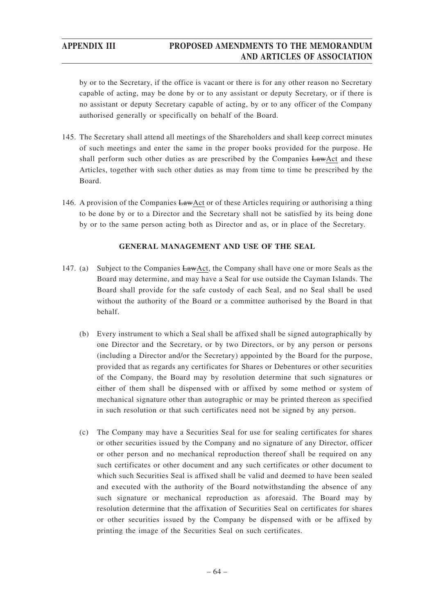by or to the Secretary, if the office is vacant or there is for any other reason no Secretary capable of acting, may be done by or to any assistant or deputy Secretary, or if there is no assistant or deputy Secretary capable of acting, by or to any officer of the Company authorised generally or specifically on behalf of the Board.

- 145. The Secretary shall attend all meetings of the Shareholders and shall keep correct minutes of such meetings and enter the same in the proper books provided for the purpose. He shall perform such other duties as are prescribed by the Companies LawAct and these Articles, together with such other duties as may from time to time be prescribed by the Board.
- 146. A provision of the Companies LawAct or of these Articles requiring or authorising a thing to be done by or to a Director and the Secretary shall not be satisfied by its being done by or to the same person acting both as Director and as, or in place of the Secretary.

## **GENERAL MANAGEMENT AND USE OF THE SEAL**

- 147. (a) Subject to the Companies LawAct, the Company shall have one or more Seals as the Board may determine, and may have a Seal for use outside the Cayman Islands. The Board shall provide for the safe custody of each Seal, and no Seal shall be used without the authority of the Board or a committee authorised by the Board in that behalf.
	- (b) Every instrument to which a Seal shall be affixed shall be signed autographically by one Director and the Secretary, or by two Directors, or by any person or persons (including a Director and/or the Secretary) appointed by the Board for the purpose, provided that as regards any certificates for Shares or Debentures or other securities of the Company, the Board may by resolution determine that such signatures or either of them shall be dispensed with or affixed by some method or system of mechanical signature other than autographic or may be printed thereon as specified in such resolution or that such certificates need not be signed by any person.
	- (c) The Company may have a Securities Seal for use for sealing certificates for shares or other securities issued by the Company and no signature of any Director, officer or other person and no mechanical reproduction thereof shall be required on any such certificates or other document and any such certificates or other document to which such Securities Seal is affixed shall be valid and deemed to have been sealed and executed with the authority of the Board notwithstanding the absence of any such signature or mechanical reproduction as aforesaid. The Board may by resolution determine that the affixation of Securities Seal on certificates for shares or other securities issued by the Company be dispensed with or be affixed by printing the image of the Securities Seal on such certificates.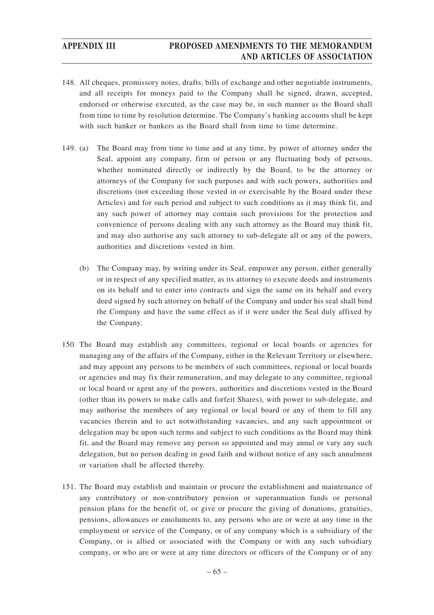- 148. All cheques, promissory notes, drafts, bills of exchange and other negotiable instruments, and all receipts for moneys paid to the Company shall be signed, drawn, accepted, endorsed or otherwise executed, as the case may be, in such manner as the Board shall from time to time by resolution determine. The Company's banking accounts shall be kept with such banker or bankers as the Board shall from time to time determine.
- 149. (a) The Board may from time to time and at any time, by power of attorney under the Seal, appoint any company, firm or person or any fluctuating body of persons, whether nominated directly or indirectly by the Board, to be the attorney or attorneys of the Company for such purposes and with such powers, authorities and discretions (not exceeding those vested in or exercisable by the Board under these Articles) and for such period and subject to such conditions as it may think fit, and any such power of attorney may contain such provisions for the protection and convenience of persons dealing with any such attorney as the Board may think fit, and may also authorise any such attorney to sub-delegate all or any of the powers, authorities and discretions vested in him.
	- (b) The Company may, by writing under its Seal, empower any person, either generally or in respect of any specified matter, as its attorney to execute deeds and instruments on its behalf and to enter into contracts and sign the same on its behalf and every deed signed by such attorney on behalf of the Company and under his seal shall bind the Company and have the same effect as if it were under the Seal duly affixed by the Company.
- 150. The Board may establish any committees, regional or local boards or agencies for managing any of the affairs of the Company, either in the Relevant Territory or elsewhere, and may appoint any persons to be members of such committees, regional or local boards or agencies and may fix their remuneration, and may delegate to any committee, regional or local board or agent any of the powers, authorities and discretions vested in the Board (other than its powers to make calls and forfeit Shares), with power to sub-delegate, and may authorise the members of any regional or local board or any of them to fill any vacancies therein and to act notwithstanding vacancies, and any such appointment or delegation may be upon such terms and subject to such conditions as the Board may think fit, and the Board may remove any person so appointed and may annul or vary any such delegation, but no person dealing in good faith and without notice of any such annulment or variation shall be affected thereby.
- 151. The Board may establish and maintain or procure the establishment and maintenance of any contributory or non-contributory pension or superannuation funds or personal pension plans for the benefit of, or give or procure the giving of donations, gratuities, pensions, allowances or emoluments to, any persons who are or were at any time in the employment or service of the Company, or of any company which is a subsidiary of the Company, or is allied or associated with the Company or with any such subsidiary company, or who are or were at any time directors or officers of the Company or of any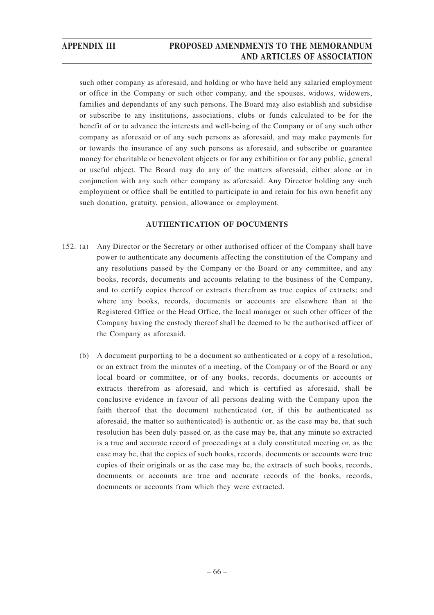such other company as aforesaid, and holding or who have held any salaried employment or office in the Company or such other company, and the spouses, widows, widowers, families and dependants of any such persons. The Board may also establish and subsidise or subscribe to any institutions, associations, clubs or funds calculated to be for the benefit of or to advance the interests and well-being of the Company or of any such other company as aforesaid or of any such persons as aforesaid, and may make payments for or towards the insurance of any such persons as aforesaid, and subscribe or guarantee money for charitable or benevolent objects or for any exhibition or for any public, general or useful object. The Board may do any of the matters aforesaid, either alone or in conjunction with any such other company as aforesaid. Any Director holding any such employment or office shall be entitled to participate in and retain for his own benefit any such donation, gratuity, pension, allowance or employment.

## **AUTHENTICATION OF DOCUMENTS**

- 152. (a) Any Director or the Secretary or other authorised officer of the Company shall have power to authenticate any documents affecting the constitution of the Company and any resolutions passed by the Company or the Board or any committee, and any books, records, documents and accounts relating to the business of the Company, and to certify copies thereof or extracts therefrom as true copies of extracts; and where any books, records, documents or accounts are elsewhere than at the Registered Office or the Head Office, the local manager or such other officer of the Company having the custody thereof shall be deemed to be the authorised officer of the Company as aforesaid.
	- (b) A document purporting to be a document so authenticated or a copy of a resolution, or an extract from the minutes of a meeting, of the Company or of the Board or any local board or committee, or of any books, records, documents or accounts or extracts therefrom as aforesaid, and which is certified as aforesaid, shall be conclusive evidence in favour of all persons dealing with the Company upon the faith thereof that the document authenticated (or, if this be authenticated as aforesaid, the matter so authenticated) is authentic or, as the case may be, that such resolution has been duly passed or, as the case may be, that any minute so extracted is a true and accurate record of proceedings at a duly constituted meeting or, as the case may be, that the copies of such books, records, documents or accounts were true copies of their originals or as the case may be, the extracts of such books, records, documents or accounts are true and accurate records of the books, records, documents or accounts from which they were extracted.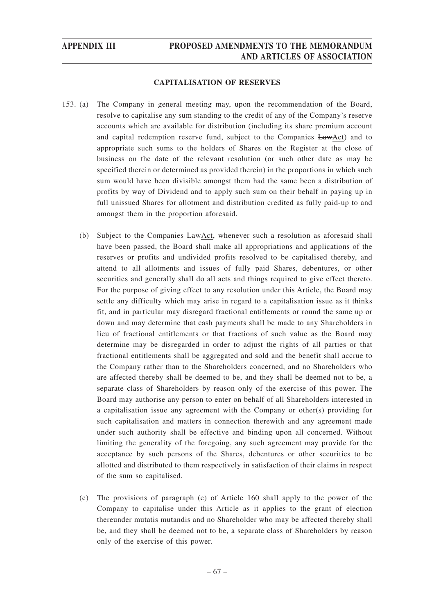### **CAPITALISATION OF RESERVES**

- 153. (a) The Company in general meeting may, upon the recommendation of the Board, resolve to capitalise any sum standing to the credit of any of the Company's reserve accounts which are available for distribution (including its share premium account and capital redemption reserve fund, subject to the Companies LawAct) and to appropriate such sums to the holders of Shares on the Register at the close of business on the date of the relevant resolution (or such other date as may be specified therein or determined as provided therein) in the proportions in which such sum would have been divisible amongst them had the same been a distribution of profits by way of Dividend and to apply such sum on their behalf in paying up in full unissued Shares for allotment and distribution credited as fully paid-up to and amongst them in the proportion aforesaid.
	- (b) Subject to the Companies LawAct, whenever such a resolution as aforesaid shall have been passed, the Board shall make all appropriations and applications of the reserves or profits and undivided profits resolved to be capitalised thereby, and attend to all allotments and issues of fully paid Shares, debentures, or other securities and generally shall do all acts and things required to give effect thereto. For the purpose of giving effect to any resolution under this Article, the Board may settle any difficulty which may arise in regard to a capitalisation issue as it thinks fit, and in particular may disregard fractional entitlements or round the same up or down and may determine that cash payments shall be made to any Shareholders in lieu of fractional entitlements or that fractions of such value as the Board may determine may be disregarded in order to adjust the rights of all parties or that fractional entitlements shall be aggregated and sold and the benefit shall accrue to the Company rather than to the Shareholders concerned, and no Shareholders who are affected thereby shall be deemed to be, and they shall be deemed not to be, a separate class of Shareholders by reason only of the exercise of this power. The Board may authorise any person to enter on behalf of all Shareholders interested in a capitalisation issue any agreement with the Company or other(s) providing for such capitalisation and matters in connection therewith and any agreement made under such authority shall be effective and binding upon all concerned. Without limiting the generality of the foregoing, any such agreement may provide for the acceptance by such persons of the Shares, debentures or other securities to be allotted and distributed to them respectively in satisfaction of their claims in respect of the sum so capitalised.
	- (c) The provisions of paragraph (e) of Article 160 shall apply to the power of the Company to capitalise under this Article as it applies to the grant of election thereunder mutatis mutandis and no Shareholder who may be affected thereby shall be, and they shall be deemed not to be, a separate class of Shareholders by reason only of the exercise of this power.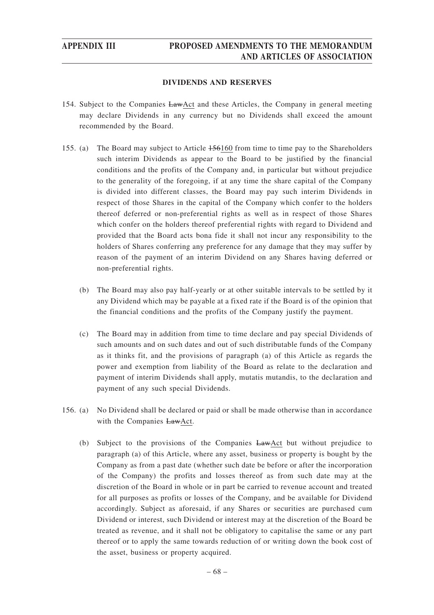## **DIVIDENDS AND RESERVES**

- 154. Subject to the Companies LawAct and these Articles, the Company in general meeting may declare Dividends in any currency but no Dividends shall exceed the amount recommended by the Board.
- 155. (a) The Board may subject to Article 156160 from time to time pay to the Shareholders such interim Dividends as appear to the Board to be justified by the financial conditions and the profits of the Company and, in particular but without prejudice to the generality of the foregoing, if at any time the share capital of the Company is divided into different classes, the Board may pay such interim Dividends in respect of those Shares in the capital of the Company which confer to the holders thereof deferred or non-preferential rights as well as in respect of those Shares which confer on the holders thereof preferential rights with regard to Dividend and provided that the Board acts bona fide it shall not incur any responsibility to the holders of Shares conferring any preference for any damage that they may suffer by reason of the payment of an interim Dividend on any Shares having deferred or non-preferential rights.
	- (b) The Board may also pay half-yearly or at other suitable intervals to be settled by it any Dividend which may be payable at a fixed rate if the Board is of the opinion that the financial conditions and the profits of the Company justify the payment.
	- (c) The Board may in addition from time to time declare and pay special Dividends of such amounts and on such dates and out of such distributable funds of the Company as it thinks fit, and the provisions of paragraph (a) of this Article as regards the power and exemption from liability of the Board as relate to the declaration and payment of interim Dividends shall apply, mutatis mutandis, to the declaration and payment of any such special Dividends.
- 156. (a) No Dividend shall be declared or paid or shall be made otherwise than in accordance with the Companies LawAct.
	- (b) Subject to the provisions of the Companies LawAct but without prejudice to paragraph (a) of this Article, where any asset, business or property is bought by the Company as from a past date (whether such date be before or after the incorporation of the Company) the profits and losses thereof as from such date may at the discretion of the Board in whole or in part be carried to revenue account and treated for all purposes as profits or losses of the Company, and be available for Dividend accordingly. Subject as aforesaid, if any Shares or securities are purchased cum Dividend or interest, such Dividend or interest may at the discretion of the Board be treated as revenue, and it shall not be obligatory to capitalise the same or any part thereof or to apply the same towards reduction of or writing down the book cost of the asset, business or property acquired.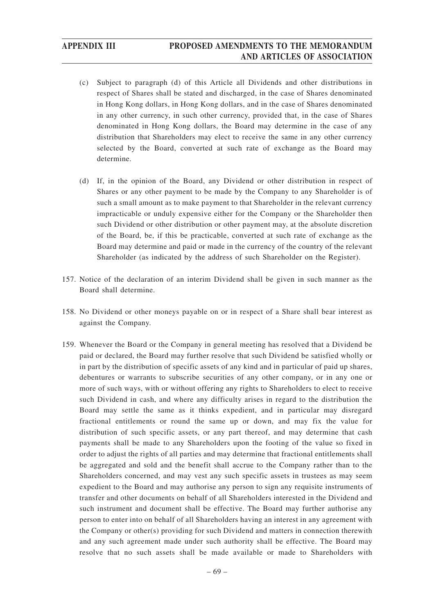- (c) Subject to paragraph (d) of this Article all Dividends and other distributions in respect of Shares shall be stated and discharged, in the case of Shares denominated in Hong Kong dollars, in Hong Kong dollars, and in the case of Shares denominated in any other currency, in such other currency, provided that, in the case of Shares denominated in Hong Kong dollars, the Board may determine in the case of any distribution that Shareholders may elect to receive the same in any other currency selected by the Board, converted at such rate of exchange as the Board may determine.
- (d) If, in the opinion of the Board, any Dividend or other distribution in respect of Shares or any other payment to be made by the Company to any Shareholder is of such a small amount as to make payment to that Shareholder in the relevant currency impracticable or unduly expensive either for the Company or the Shareholder then such Dividend or other distribution or other payment may, at the absolute discretion of the Board, be, if this be practicable, converted at such rate of exchange as the Board may determine and paid or made in the currency of the country of the relevant Shareholder (as indicated by the address of such Shareholder on the Register).
- 157. Notice of the declaration of an interim Dividend shall be given in such manner as the Board shall determine.
- 158. No Dividend or other moneys payable on or in respect of a Share shall bear interest as against the Company.
- 159. Whenever the Board or the Company in general meeting has resolved that a Dividend be paid or declared, the Board may further resolve that such Dividend be satisfied wholly or in part by the distribution of specific assets of any kind and in particular of paid up shares, debentures or warrants to subscribe securities of any other company, or in any one or more of such ways, with or without offering any rights to Shareholders to elect to receive such Dividend in cash, and where any difficulty arises in regard to the distribution the Board may settle the same as it thinks expedient, and in particular may disregard fractional entitlements or round the same up or down, and may fix the value for distribution of such specific assets, or any part thereof, and may determine that cash payments shall be made to any Shareholders upon the footing of the value so fixed in order to adjust the rights of all parties and may determine that fractional entitlements shall be aggregated and sold and the benefit shall accrue to the Company rather than to the Shareholders concerned, and may vest any such specific assets in trustees as may seem expedient to the Board and may authorise any person to sign any requisite instruments of transfer and other documents on behalf of all Shareholders interested in the Dividend and such instrument and document shall be effective. The Board may further authorise any person to enter into on behalf of all Shareholders having an interest in any agreement with the Company or other(s) providing for such Dividend and matters in connection therewith and any such agreement made under such authority shall be effective. The Board may resolve that no such assets shall be made available or made to Shareholders with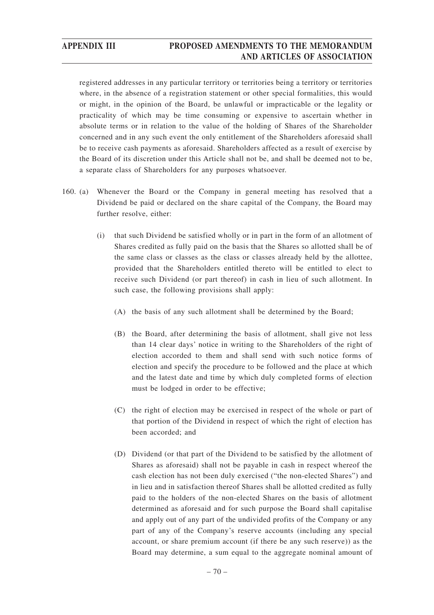registered addresses in any particular territory or territories being a territory or territories where, in the absence of a registration statement or other special formalities, this would or might, in the opinion of the Board, be unlawful or impracticable or the legality or practicality of which may be time consuming or expensive to ascertain whether in absolute terms or in relation to the value of the holding of Shares of the Shareholder concerned and in any such event the only entitlement of the Shareholders aforesaid shall be to receive cash payments as aforesaid. Shareholders affected as a result of exercise by the Board of its discretion under this Article shall not be, and shall be deemed not to be, a separate class of Shareholders for any purposes whatsoever.

- 160. (a) Whenever the Board or the Company in general meeting has resolved that a Dividend be paid or declared on the share capital of the Company, the Board may further resolve, either:
	- (i) that such Dividend be satisfied wholly or in part in the form of an allotment of Shares credited as fully paid on the basis that the Shares so allotted shall be of the same class or classes as the class or classes already held by the allottee, provided that the Shareholders entitled thereto will be entitled to elect to receive such Dividend (or part thereof) in cash in lieu of such allotment. In such case, the following provisions shall apply:
		- (A) the basis of any such allotment shall be determined by the Board;
		- (B) the Board, after determining the basis of allotment, shall give not less than 14 clear days' notice in writing to the Shareholders of the right of election accorded to them and shall send with such notice forms of election and specify the procedure to be followed and the place at which and the latest date and time by which duly completed forms of election must be lodged in order to be effective;
		- (C) the right of election may be exercised in respect of the whole or part of that portion of the Dividend in respect of which the right of election has been accorded; and
		- (D) Dividend (or that part of the Dividend to be satisfied by the allotment of Shares as aforesaid) shall not be payable in cash in respect whereof the cash election has not been duly exercised ("the non-elected Shares") and in lieu and in satisfaction thereof Shares shall be allotted credited as fully paid to the holders of the non-elected Shares on the basis of allotment determined as aforesaid and for such purpose the Board shall capitalise and apply out of any part of the undivided profits of the Company or any part of any of the Company's reserve accounts (including any special account, or share premium account (if there be any such reserve)) as the Board may determine, a sum equal to the aggregate nominal amount of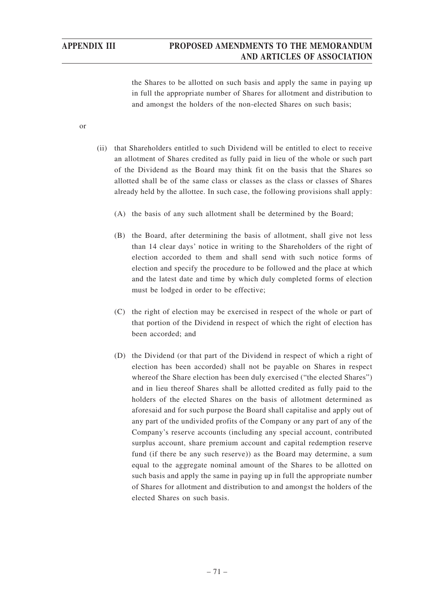the Shares to be allotted on such basis and apply the same in paying up in full the appropriate number of Shares for allotment and distribution to and amongst the holders of the non-elected Shares on such basis;

or

- (ii) that Shareholders entitled to such Dividend will be entitled to elect to receive an allotment of Shares credited as fully paid in lieu of the whole or such part of the Dividend as the Board may think fit on the basis that the Shares so allotted shall be of the same class or classes as the class or classes of Shares already held by the allottee. In such case, the following provisions shall apply:
	- (A) the basis of any such allotment shall be determined by the Board;
	- (B) the Board, after determining the basis of allotment, shall give not less than 14 clear days' notice in writing to the Shareholders of the right of election accorded to them and shall send with such notice forms of election and specify the procedure to be followed and the place at which and the latest date and time by which duly completed forms of election must be lodged in order to be effective;
	- (C) the right of election may be exercised in respect of the whole or part of that portion of the Dividend in respect of which the right of election has been accorded; and
	- (D) the Dividend (or that part of the Dividend in respect of which a right of election has been accorded) shall not be payable on Shares in respect whereof the Share election has been duly exercised ("the elected Shares") and in lieu thereof Shares shall be allotted credited as fully paid to the holders of the elected Shares on the basis of allotment determined as aforesaid and for such purpose the Board shall capitalise and apply out of any part of the undivided profits of the Company or any part of any of the Company's reserve accounts (including any special account, contributed surplus account, share premium account and capital redemption reserve fund (if there be any such reserve)) as the Board may determine, a sum equal to the aggregate nominal amount of the Shares to be allotted on such basis and apply the same in paying up in full the appropriate number of Shares for allotment and distribution to and amongst the holders of the elected Shares on such basis.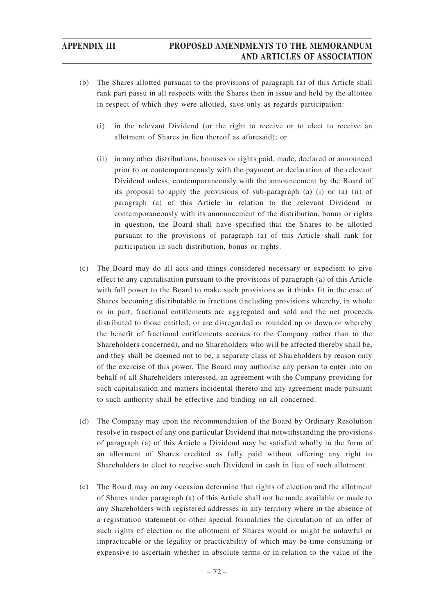- (b) The Shares allotted pursuant to the provisions of paragraph (a) of this Article shall rank pari passu in all respects with the Shares then in issue and held by the allottee in respect of which they were allotted, save only as regards participation:
	- (i) in the relevant Dividend (or the right to receive or to elect to receive an allotment of Shares in lieu thereof as aforesaid); or
	- (ii) in any other distributions, bonuses or rights paid, made, declared or announced prior to or contemporaneously with the payment or declaration of the relevant Dividend unless, contemporaneously with the announcement by the Board of its proposal to apply the provisions of sub-paragraph (a) (i) or (a) (ii) of paragraph (a) of this Article in relation to the relevant Dividend or contemporaneously with its announcement of the distribution, bonus or rights in question, the Board shall have specified that the Shares to be allotted pursuant to the provisions of paragraph (a) of this Article shall rank for participation in such distribution, bonus or rights.
- (c) The Board may do all acts and things considered necessary or expedient to give effect to any capitalisation pursuant to the provisions of paragraph (a) of this Article with full power to the Board to make such provisions as it thinks fit in the case of Shares becoming distributable in fractions (including provisions whereby, in whole or in part, fractional entitlements are aggregated and sold and the net proceeds distributed to those entitled, or are disregarded or rounded up or down or whereby the benefit of fractional entitlements accrues to the Company rather than to the Shareholders concerned), and no Shareholders who will be affected thereby shall be, and they shall be deemed not to be, a separate class of Shareholders by reason only of the exercise of this power. The Board may authorise any person to enter into on behalf of all Shareholders interested, an agreement with the Company providing for such capitalisation and matters incidental thereto and any agreement made pursuant to such authority shall be effective and binding on all concerned.
- (d) The Company may upon the recommendation of the Board by Ordinary Resolution resolve in respect of any one particular Dividend that notwithstanding the provisions of paragraph (a) of this Article a Dividend may be satisfied wholly in the form of an allotment of Shares credited as fully paid without offering any right to Shareholders to elect to receive such Dividend in cash in lieu of such allotment.
- (e) The Board may on any occasion determine that rights of election and the allotment of Shares under paragraph (a) of this Article shall not be made available or made to any Shareholders with registered addresses in any territory where in the absence of a registration statement or other special formalities the circulation of an offer of such rights of election or the allotment of Shares would or might be unlawful or impracticable or the legality or practicability of which may be time consuming or expensive to ascertain whether in absolute terms or in relation to the value of the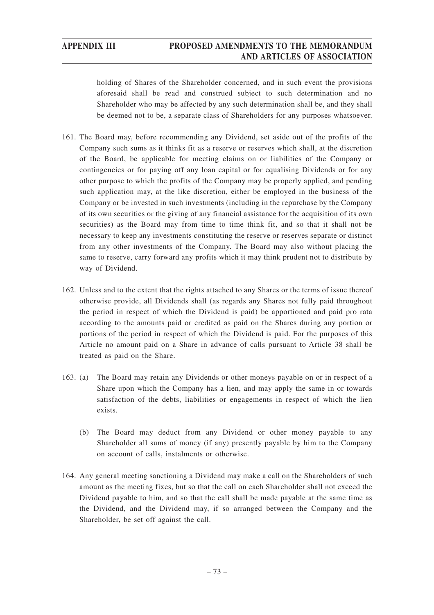holding of Shares of the Shareholder concerned, and in such event the provisions aforesaid shall be read and construed subject to such determination and no Shareholder who may be affected by any such determination shall be, and they shall be deemed not to be, a separate class of Shareholders for any purposes whatsoever.

- 161. The Board may, before recommending any Dividend, set aside out of the profits of the Company such sums as it thinks fit as a reserve or reserves which shall, at the discretion of the Board, be applicable for meeting claims on or liabilities of the Company or contingencies or for paying off any loan capital or for equalising Dividends or for any other purpose to which the profits of the Company may be properly applied, and pending such application may, at the like discretion, either be employed in the business of the Company or be invested in such investments (including in the repurchase by the Company of its own securities or the giving of any financial assistance for the acquisition of its own securities) as the Board may from time to time think fit, and so that it shall not be necessary to keep any investments constituting the reserve or reserves separate or distinct from any other investments of the Company. The Board may also without placing the same to reserve, carry forward any profits which it may think prudent not to distribute by way of Dividend.
- 162. Unless and to the extent that the rights attached to any Shares or the terms of issue thereof otherwise provide, all Dividends shall (as regards any Shares not fully paid throughout the period in respect of which the Dividend is paid) be apportioned and paid pro rata according to the amounts paid or credited as paid on the Shares during any portion or portions of the period in respect of which the Dividend is paid. For the purposes of this Article no amount paid on a Share in advance of calls pursuant to Article 38 shall be treated as paid on the Share.
- 163. (a) The Board may retain any Dividends or other moneys payable on or in respect of a Share upon which the Company has a lien, and may apply the same in or towards satisfaction of the debts, liabilities or engagements in respect of which the lien exists.
	- (b) The Board may deduct from any Dividend or other money payable to any Shareholder all sums of money (if any) presently payable by him to the Company on account of calls, instalments or otherwise.
- 164. Any general meeting sanctioning a Dividend may make a call on the Shareholders of such amount as the meeting fixes, but so that the call on each Shareholder shall not exceed the Dividend payable to him, and so that the call shall be made payable at the same time as the Dividend, and the Dividend may, if so arranged between the Company and the Shareholder, be set off against the call.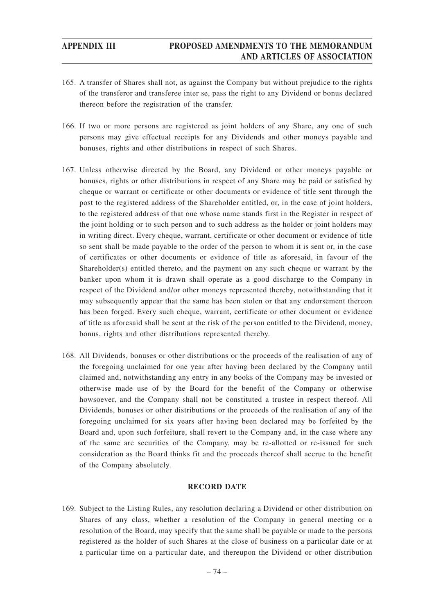- 165. A transfer of Shares shall not, as against the Company but without prejudice to the rights of the transferor and transferee inter se, pass the right to any Dividend or bonus declared thereon before the registration of the transfer.
- 166. If two or more persons are registered as joint holders of any Share, any one of such persons may give effectual receipts for any Dividends and other moneys payable and bonuses, rights and other distributions in respect of such Shares.
- 167. Unless otherwise directed by the Board, any Dividend or other moneys payable or bonuses, rights or other distributions in respect of any Share may be paid or satisfied by cheque or warrant or certificate or other documents or evidence of title sent through the post to the registered address of the Shareholder entitled, or, in the case of joint holders, to the registered address of that one whose name stands first in the Register in respect of the joint holding or to such person and to such address as the holder or joint holders may in writing direct. Every cheque, warrant, certificate or other document or evidence of title so sent shall be made payable to the order of the person to whom it is sent or, in the case of certificates or other documents or evidence of title as aforesaid, in favour of the Shareholder(s) entitled thereto, and the payment on any such cheque or warrant by the banker upon whom it is drawn shall operate as a good discharge to the Company in respect of the Dividend and/or other moneys represented thereby, notwithstanding that it may subsequently appear that the same has been stolen or that any endorsement thereon has been forged. Every such cheque, warrant, certificate or other document or evidence of title as aforesaid shall be sent at the risk of the person entitled to the Dividend, money, bonus, rights and other distributions represented thereby.
- 168. All Dividends, bonuses or other distributions or the proceeds of the realisation of any of the foregoing unclaimed for one year after having been declared by the Company until claimed and, notwithstanding any entry in any books of the Company may be invested or otherwise made use of by the Board for the benefit of the Company or otherwise howsoever, and the Company shall not be constituted a trustee in respect thereof. All Dividends, bonuses or other distributions or the proceeds of the realisation of any of the foregoing unclaimed for six years after having been declared may be forfeited by the Board and, upon such forfeiture, shall revert to the Company and, in the case where any of the same are securities of the Company, may be re-allotted or re-issued for such consideration as the Board thinks fit and the proceeds thereof shall accrue to the benefit of the Company absolutely.

### **RECORD DATE**

169. Subject to the Listing Rules, any resolution declaring a Dividend or other distribution on Shares of any class, whether a resolution of the Company in general meeting or a resolution of the Board, may specify that the same shall be payable or made to the persons registered as the holder of such Shares at the close of business on a particular date or at a particular time on a particular date, and thereupon the Dividend or other distribution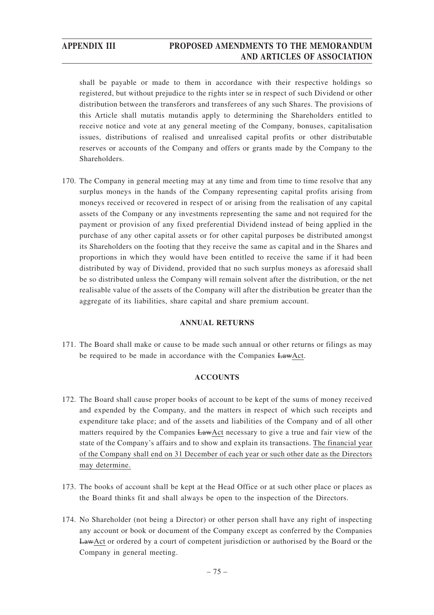shall be payable or made to them in accordance with their respective holdings so registered, but without prejudice to the rights inter se in respect of such Dividend or other distribution between the transferors and transferees of any such Shares. The provisions of this Article shall mutatis mutandis apply to determining the Shareholders entitled to receive notice and vote at any general meeting of the Company, bonuses, capitalisation issues, distributions of realised and unrealised capital profits or other distributable reserves or accounts of the Company and offers or grants made by the Company to the Shareholders.

170. The Company in general meeting may at any time and from time to time resolve that any surplus moneys in the hands of the Company representing capital profits arising from moneys received or recovered in respect of or arising from the realisation of any capital assets of the Company or any investments representing the same and not required for the payment or provision of any fixed preferential Dividend instead of being applied in the purchase of any other capital assets or for other capital purposes be distributed amongst its Shareholders on the footing that they receive the same as capital and in the Shares and proportions in which they would have been entitled to receive the same if it had been distributed by way of Dividend, provided that no such surplus moneys as aforesaid shall be so distributed unless the Company will remain solvent after the distribution, or the net realisable value of the assets of the Company will after the distribution be greater than the aggregate of its liabilities, share capital and share premium account.

### **ANNUAL RETURNS**

171. The Board shall make or cause to be made such annual or other returns or filings as may be required to be made in accordance with the Companies LawAct.

### **ACCOUNTS**

- 172. The Board shall cause proper books of account to be kept of the sums of money received and expended by the Company, and the matters in respect of which such receipts and expenditure take place; and of the assets and liabilities of the Company and of all other matters required by the Companies LawAct necessary to give a true and fair view of the state of the Company's affairs and to show and explain its transactions. The financial year of the Company shall end on 31 December of each year or such other date as the Directors may determine.
- 173. The books of account shall be kept at the Head Office or at such other place or places as the Board thinks fit and shall always be open to the inspection of the Directors.
- 174. No Shareholder (not being a Director) or other person shall have any right of inspecting any account or book or document of the Company except as conferred by the Companies LawAct or ordered by a court of competent jurisdiction or authorised by the Board or the Company in general meeting.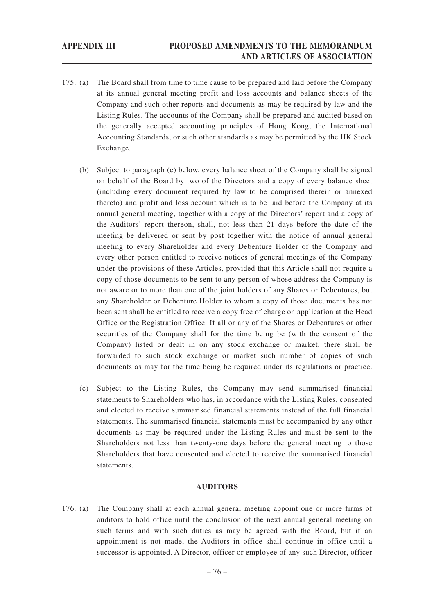- 175. (a) The Board shall from time to time cause to be prepared and laid before the Company at its annual general meeting profit and loss accounts and balance sheets of the Company and such other reports and documents as may be required by law and the Listing Rules. The accounts of the Company shall be prepared and audited based on the generally accepted accounting principles of Hong Kong, the International Accounting Standards, or such other standards as may be permitted by the HK Stock Exchange.
	- (b) Subject to paragraph (c) below, every balance sheet of the Company shall be signed on behalf of the Board by two of the Directors and a copy of every balance sheet (including every document required by law to be comprised therein or annexed thereto) and profit and loss account which is to be laid before the Company at its annual general meeting, together with a copy of the Directors' report and a copy of the Auditors' report thereon, shall, not less than 21 days before the date of the meeting be delivered or sent by post together with the notice of annual general meeting to every Shareholder and every Debenture Holder of the Company and every other person entitled to receive notices of general meetings of the Company under the provisions of these Articles, provided that this Article shall not require a copy of those documents to be sent to any person of whose address the Company is not aware or to more than one of the joint holders of any Shares or Debentures, but any Shareholder or Debenture Holder to whom a copy of those documents has not been sent shall be entitled to receive a copy free of charge on application at the Head Office or the Registration Office. If all or any of the Shares or Debentures or other securities of the Company shall for the time being be (with the consent of the Company) listed or dealt in on any stock exchange or market, there shall be forwarded to such stock exchange or market such number of copies of such documents as may for the time being be required under its regulations or practice.
	- (c) Subject to the Listing Rules, the Company may send summarised financial statements to Shareholders who has, in accordance with the Listing Rules, consented and elected to receive summarised financial statements instead of the full financial statements. The summarised financial statements must be accompanied by any other documents as may be required under the Listing Rules and must be sent to the Shareholders not less than twenty-one days before the general meeting to those Shareholders that have consented and elected to receive the summarised financial statements.

### **AUDITORS**

176. (a) The Company shall at each annual general meeting appoint one or more firms of auditors to hold office until the conclusion of the next annual general meeting on such terms and with such duties as may be agreed with the Board, but if an appointment is not made, the Auditors in office shall continue in office until a successor is appointed. A Director, officer or employee of any such Director, officer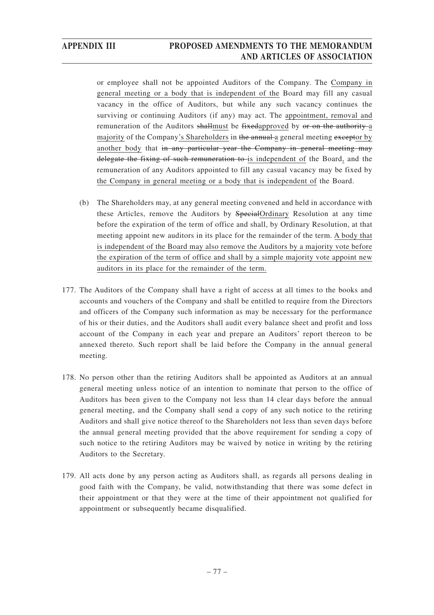or employee shall not be appointed Auditors of the Company. The Company in general meeting or a body that is independent of the Board may fill any casual vacancy in the office of Auditors, but while any such vacancy continues the surviving or continuing Auditors (if any) may act. The appointment, removal and remuneration of the Auditors shallmust be fixedapproved by or on the authority-a majority of the Company's Shareholders in the annual a general meeting exceptor by another body that in any particular year the Company in general meeting may delegate the fixing of such remuneration to is independent of the Board, and the remuneration of any Auditors appointed to fill any casual vacancy may be fixed by the Company in general meeting or a body that is independent of the Board.

- (b) The Shareholders may, at any general meeting convened and held in accordance with these Articles, remove the Auditors by SpecialOrdinary Resolution at any time before the expiration of the term of office and shall, by Ordinary Resolution, at that meeting appoint new auditors in its place for the remainder of the term. A body that is independent of the Board may also remove the Auditors by a majority vote before the expiration of the term of office and shall by a simple majority vote appoint new auditors in its place for the remainder of the term.
- 177. The Auditors of the Company shall have a right of access at all times to the books and accounts and vouchers of the Company and shall be entitled to require from the Directors and officers of the Company such information as may be necessary for the performance of his or their duties, and the Auditors shall audit every balance sheet and profit and loss account of the Company in each year and prepare an Auditors' report thereon to be annexed thereto. Such report shall be laid before the Company in the annual general meeting.
- 178. No person other than the retiring Auditors shall be appointed as Auditors at an annual general meeting unless notice of an intention to nominate that person to the office of Auditors has been given to the Company not less than 14 clear days before the annual general meeting, and the Company shall send a copy of any such notice to the retiring Auditors and shall give notice thereof to the Shareholders not less than seven days before the annual general meeting provided that the above requirement for sending a copy of such notice to the retiring Auditors may be waived by notice in writing by the retiring Auditors to the Secretary.
- 179. All acts done by any person acting as Auditors shall, as regards all persons dealing in good faith with the Company, be valid, notwithstanding that there was some defect in their appointment or that they were at the time of their appointment not qualified for appointment or subsequently became disqualified.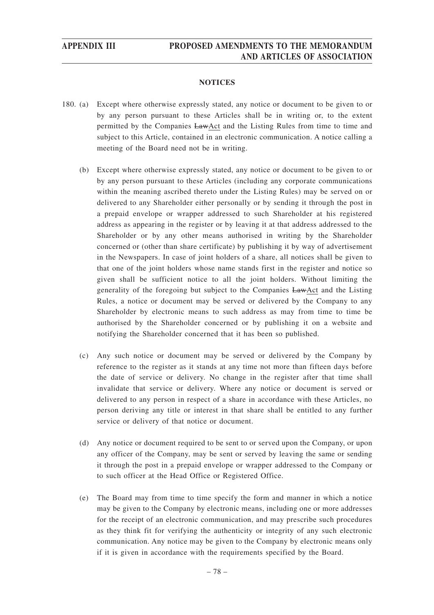### **NOTICES**

- 180. (a) Except where otherwise expressly stated, any notice or document to be given to or by any person pursuant to these Articles shall be in writing or, to the extent permitted by the Companies LawAct and the Listing Rules from time to time and subject to this Article, contained in an electronic communication. A notice calling a meeting of the Board need not be in writing.
	- (b) Except where otherwise expressly stated, any notice or document to be given to or by any person pursuant to these Articles (including any corporate communications within the meaning ascribed thereto under the Listing Rules) may be served on or delivered to any Shareholder either personally or by sending it through the post in a prepaid envelope or wrapper addressed to such Shareholder at his registered address as appearing in the register or by leaving it at that address addressed to the Shareholder or by any other means authorised in writing by the Shareholder concerned or (other than share certificate) by publishing it by way of advertisement in the Newspapers. In case of joint holders of a share, all notices shall be given to that one of the joint holders whose name stands first in the register and notice so given shall be sufficient notice to all the joint holders. Without limiting the generality of the foregoing but subject to the Companies LawAct and the Listing Rules, a notice or document may be served or delivered by the Company to any Shareholder by electronic means to such address as may from time to time be authorised by the Shareholder concerned or by publishing it on a website and notifying the Shareholder concerned that it has been so published.
	- (c) Any such notice or document may be served or delivered by the Company by reference to the register as it stands at any time not more than fifteen days before the date of service or delivery. No change in the register after that time shall invalidate that service or delivery. Where any notice or document is served or delivered to any person in respect of a share in accordance with these Articles, no person deriving any title or interest in that share shall be entitled to any further service or delivery of that notice or document.
	- (d) Any notice or document required to be sent to or served upon the Company, or upon any officer of the Company, may be sent or served by leaving the same or sending it through the post in a prepaid envelope or wrapper addressed to the Company or to such officer at the Head Office or Registered Office.
	- (e) The Board may from time to time specify the form and manner in which a notice may be given to the Company by electronic means, including one or more addresses for the receipt of an electronic communication, and may prescribe such procedures as they think fit for verifying the authenticity or integrity of any such electronic communication. Any notice may be given to the Company by electronic means only if it is given in accordance with the requirements specified by the Board.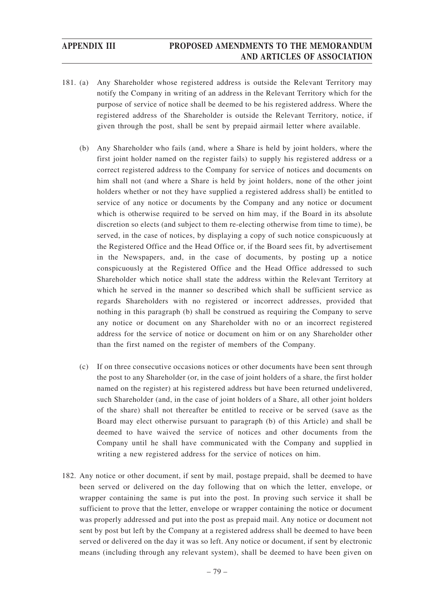- 181. (a) Any Shareholder whose registered address is outside the Relevant Territory may notify the Company in writing of an address in the Relevant Territory which for the purpose of service of notice shall be deemed to be his registered address. Where the registered address of the Shareholder is outside the Relevant Territory, notice, if given through the post, shall be sent by prepaid airmail letter where available.
	- (b) Any Shareholder who fails (and, where a Share is held by joint holders, where the first joint holder named on the register fails) to supply his registered address or a correct registered address to the Company for service of notices and documents on him shall not (and where a Share is held by joint holders, none of the other joint holders whether or not they have supplied a registered address shall) be entitled to service of any notice or documents by the Company and any notice or document which is otherwise required to be served on him may, if the Board in its absolute discretion so elects (and subject to them re-electing otherwise from time to time), be served, in the case of notices, by displaying a copy of such notice conspicuously at the Registered Office and the Head Office or, if the Board sees fit, by advertisement in the Newspapers, and, in the case of documents, by posting up a notice conspicuously at the Registered Office and the Head Office addressed to such Shareholder which notice shall state the address within the Relevant Territory at which he served in the manner so described which shall be sufficient service as regards Shareholders with no registered or incorrect addresses, provided that nothing in this paragraph (b) shall be construed as requiring the Company to serve any notice or document on any Shareholder with no or an incorrect registered address for the service of notice or document on him or on any Shareholder other than the first named on the register of members of the Company.
	- (c) If on three consecutive occasions notices or other documents have been sent through the post to any Shareholder (or, in the case of joint holders of a share, the first holder named on the register) at his registered address but have been returned undelivered, such Shareholder (and, in the case of joint holders of a Share, all other joint holders of the share) shall not thereafter be entitled to receive or be served (save as the Board may elect otherwise pursuant to paragraph (b) of this Article) and shall be deemed to have waived the service of notices and other documents from the Company until he shall have communicated with the Company and supplied in writing a new registered address for the service of notices on him.
- 182. Any notice or other document, if sent by mail, postage prepaid, shall be deemed to have been served or delivered on the day following that on which the letter, envelope, or wrapper containing the same is put into the post. In proving such service it shall be sufficient to prove that the letter, envelope or wrapper containing the notice or document was properly addressed and put into the post as prepaid mail. Any notice or document not sent by post but left by the Company at a registered address shall be deemed to have been served or delivered on the day it was so left. Any notice or document, if sent by electronic means (including through any relevant system), shall be deemed to have been given on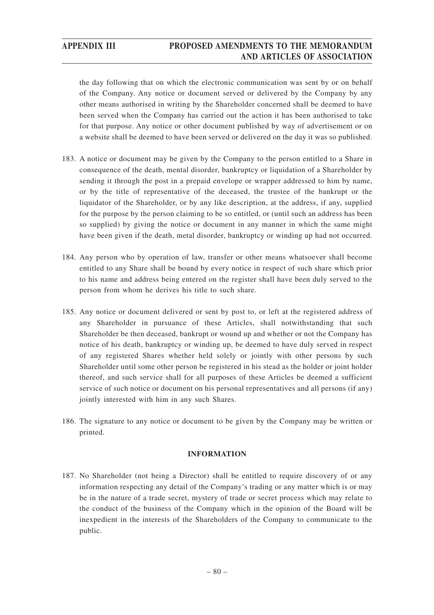the day following that on which the electronic communication was sent by or on behalf of the Company. Any notice or document served or delivered by the Company by any other means authorised in writing by the Shareholder concerned shall be deemed to have been served when the Company has carried out the action it has been authorised to take for that purpose. Any notice or other document published by way of advertisement or on a website shall be deemed to have been served or delivered on the day it was so published.

- 183. A notice or document may be given by the Company to the person entitled to a Share in consequence of the death, mental disorder, bankruptcy or liquidation of a Shareholder by sending it through the post in a prepaid envelope or wrapper addressed to him by name, or by the title of representative of the deceased, the trustee of the bankrupt or the liquidator of the Shareholder, or by any like description, at the address, if any, supplied for the purpose by the person claiming to be so entitled, or (until such an address has been so supplied) by giving the notice or document in any manner in which the same might have been given if the death, metal disorder, bankruptcy or winding up had not occurred.
- 184. Any person who by operation of law, transfer or other means whatsoever shall become entitled to any Share shall be bound by every notice in respect of such share which prior to his name and address being entered on the register shall have been duly served to the person from whom he derives his title to such share.
- 185. Any notice or document delivered or sent by post to, or left at the registered address of any Shareholder in pursuance of these Articles, shall notwithstanding that such Shareholder be then deceased, bankrupt or wound up and whether or not the Company has notice of his death, bankruptcy or winding up, be deemed to have duly served in respect of any registered Shares whether held solely or jointly with other persons by such Shareholder until some other person be registered in his stead as the holder or joint holder thereof, and such service shall for all purposes of these Articles be deemed a sufficient service of such notice or document on his personal representatives and all persons (if any) jointly interested with him in any such Shares.
- 186. The signature to any notice or document to be given by the Company may be written or printed.

### **INFORMATION**

187. No Shareholder (not being a Director) shall be entitled to require discovery of or any information respecting any detail of the Company's trading or any matter which is or may be in the nature of a trade secret, mystery of trade or secret process which may relate to the conduct of the business of the Company which in the opinion of the Board will be inexpedient in the interests of the Shareholders of the Company to communicate to the public.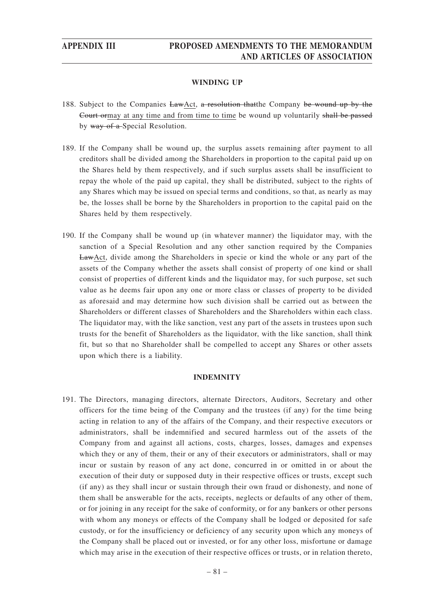### **WINDING UP**

- 188. Subject to the Companies LawAct, a resolution that the Company be wound up by the Court ormay at any time and from time to time be wound up voluntarily shall be passed by way of a Special Resolution.
- 189. If the Company shall be wound up, the surplus assets remaining after payment to all creditors shall be divided among the Shareholders in proportion to the capital paid up on the Shares held by them respectively, and if such surplus assets shall be insufficient to repay the whole of the paid up capital, they shall be distributed, subject to the rights of any Shares which may be issued on special terms and conditions, so that, as nearly as may be, the losses shall be borne by the Shareholders in proportion to the capital paid on the Shares held by them respectively.
- 190. If the Company shall be wound up (in whatever manner) the liquidator may, with the sanction of a Special Resolution and any other sanction required by the Companies LawAct, divide among the Shareholders in specie or kind the whole or any part of the assets of the Company whether the assets shall consist of property of one kind or shall consist of properties of different kinds and the liquidator may, for such purpose, set such value as he deems fair upon any one or more class or classes of property to be divided as aforesaid and may determine how such division shall be carried out as between the Shareholders or different classes of Shareholders and the Shareholders within each class. The liquidator may, with the like sanction, vest any part of the assets in trustees upon such trusts for the benefit of Shareholders as the liquidator, with the like sanction, shall think fit, but so that no Shareholder shall be compelled to accept any Shares or other assets upon which there is a liability.

### **INDEMNITY**

191. The Directors, managing directors, alternate Directors, Auditors, Secretary and other officers for the time being of the Company and the trustees (if any) for the time being acting in relation to any of the affairs of the Company, and their respective executors or administrators, shall be indemnified and secured harmless out of the assets of the Company from and against all actions, costs, charges, losses, damages and expenses which they or any of them, their or any of their executors or administrators, shall or may incur or sustain by reason of any act done, concurred in or omitted in or about the execution of their duty or supposed duty in their respective offices or trusts, except such (if any) as they shall incur or sustain through their own fraud or dishonesty, and none of them shall be answerable for the acts, receipts, neglects or defaults of any other of them, or for joining in any receipt for the sake of conformity, or for any bankers or other persons with whom any moneys or effects of the Company shall be lodged or deposited for safe custody, or for the insufficiency or deficiency of any security upon which any moneys of the Company shall be placed out or invested, or for any other loss, misfortune or damage which may arise in the execution of their respective offices or trusts, or in relation thereto,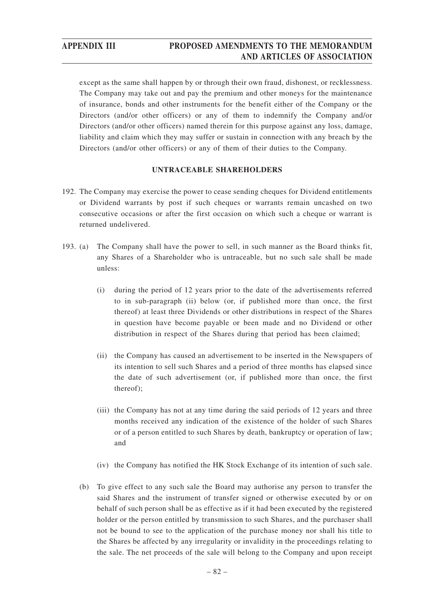except as the same shall happen by or through their own fraud, dishonest, or recklessness. The Company may take out and pay the premium and other moneys for the maintenance of insurance, bonds and other instruments for the benefit either of the Company or the Directors (and/or other officers) or any of them to indemnify the Company and/or Directors (and/or other officers) named therein for this purpose against any loss, damage, liability and claim which they may suffer or sustain in connection with any breach by the Directors (and/or other officers) or any of them of their duties to the Company.

### **UNTRACEABLE SHAREHOLDERS**

- 192. The Company may exercise the power to cease sending cheques for Dividend entitlements or Dividend warrants by post if such cheques or warrants remain uncashed on two consecutive occasions or after the first occasion on which such a cheque or warrant is returned undelivered.
- 193. (a) The Company shall have the power to sell, in such manner as the Board thinks fit, any Shares of a Shareholder who is untraceable, but no such sale shall be made unless:
	- (i) during the period of 12 years prior to the date of the advertisements referred to in sub-paragraph (ii) below (or, if published more than once, the first thereof) at least three Dividends or other distributions in respect of the Shares in question have become payable or been made and no Dividend or other distribution in respect of the Shares during that period has been claimed;
	- (ii) the Company has caused an advertisement to be inserted in the Newspapers of its intention to sell such Shares and a period of three months has elapsed since the date of such advertisement (or, if published more than once, the first thereof);
	- (iii) the Company has not at any time during the said periods of 12 years and three months received any indication of the existence of the holder of such Shares or of a person entitled to such Shares by death, bankruptcy or operation of law; and
	- (iv) the Company has notified the HK Stock Exchange of its intention of such sale.
	- (b) To give effect to any such sale the Board may authorise any person to transfer the said Shares and the instrument of transfer signed or otherwise executed by or on behalf of such person shall be as effective as if it had been executed by the registered holder or the person entitled by transmission to such Shares, and the purchaser shall not be bound to see to the application of the purchase money nor shall his title to the Shares be affected by any irregularity or invalidity in the proceedings relating to the sale. The net proceeds of the sale will belong to the Company and upon receipt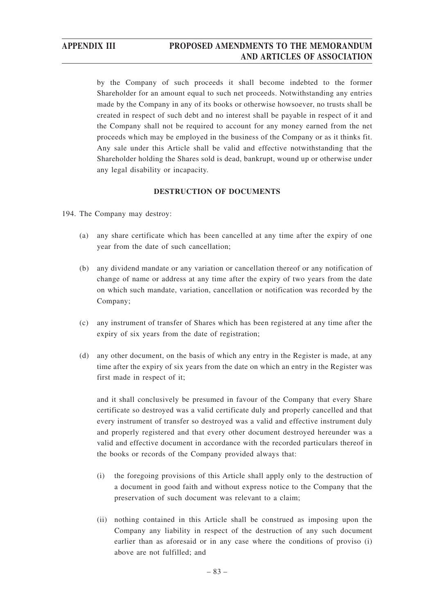by the Company of such proceeds it shall become indebted to the former Shareholder for an amount equal to such net proceeds. Notwithstanding any entries made by the Company in any of its books or otherwise howsoever, no trusts shall be created in respect of such debt and no interest shall be payable in respect of it and the Company shall not be required to account for any money earned from the net proceeds which may be employed in the business of the Company or as it thinks fit. Any sale under this Article shall be valid and effective notwithstanding that the Shareholder holding the Shares sold is dead, bankrupt, wound up or otherwise under any legal disability or incapacity.

### **DESTRUCTION OF DOCUMENTS**

- 194. The Company may destroy:
	- (a) any share certificate which has been cancelled at any time after the expiry of one year from the date of such cancellation;
	- (b) any dividend mandate or any variation or cancellation thereof or any notification of change of name or address at any time after the expiry of two years from the date on which such mandate, variation, cancellation or notification was recorded by the Company;
	- (c) any instrument of transfer of Shares which has been registered at any time after the expiry of six years from the date of registration;
	- (d) any other document, on the basis of which any entry in the Register is made, at any time after the expiry of six years from the date on which an entry in the Register was first made in respect of it;

and it shall conclusively be presumed in favour of the Company that every Share certificate so destroyed was a valid certificate duly and properly cancelled and that every instrument of transfer so destroyed was a valid and effective instrument duly and properly registered and that every other document destroyed hereunder was a valid and effective document in accordance with the recorded particulars thereof in the books or records of the Company provided always that:

- (i) the foregoing provisions of this Article shall apply only to the destruction of a document in good faith and without express notice to the Company that the preservation of such document was relevant to a claim;
- (ii) nothing contained in this Article shall be construed as imposing upon the Company any liability in respect of the destruction of any such document earlier than as aforesaid or in any case where the conditions of proviso (i) above are not fulfilled; and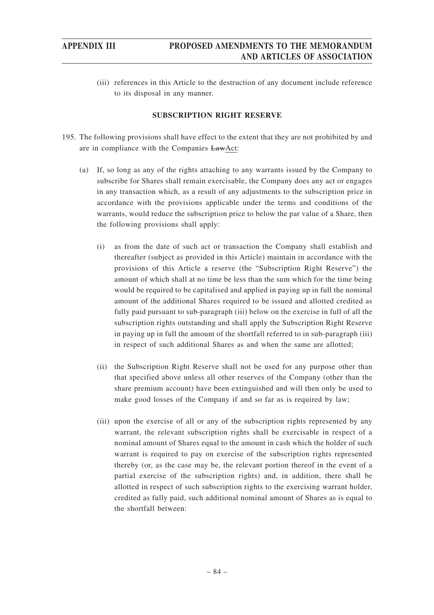(iii) references in this Article to the destruction of any document include reference to its disposal in any manner.

### **SUBSCRIPTION RIGHT RESERVE**

- 195. The following provisions shall have effect to the extent that they are not prohibited by and are in compliance with the Companies LawAct:
	- (a) If, so long as any of the rights attaching to any warrants issued by the Company to subscribe for Shares shall remain exercisable, the Company does any act or engages in any transaction which, as a result of any adjustments to the subscription price in accordance with the provisions applicable under the terms and conditions of the warrants, would reduce the subscription price to below the par value of a Share, then the following provisions shall apply:
		- (i) as from the date of such act or transaction the Company shall establish and thereafter (subject as provided in this Article) maintain in accordance with the provisions of this Article a reserve (the "Subscription Right Reserve") the amount of which shall at no time be less than the sum which for the time being would be required to be capitalised and applied in paying up in full the nominal amount of the additional Shares required to be issued and allotted credited as fully paid pursuant to sub-paragraph (iii) below on the exercise in full of all the subscription rights outstanding and shall apply the Subscription Right Reserve in paying up in full the amount of the shortfall referred to in sub-paragraph (iii) in respect of such additional Shares as and when the same are allotted;
		- (ii) the Subscription Right Reserve shall not be used for any purpose other than that specified above unless all other reserves of the Company (other than the share premium account) have been extinguished and will then only be used to make good losses of the Company if and so far as is required by law;
		- (iii) upon the exercise of all or any of the subscription rights represented by any warrant, the relevant subscription rights shall be exercisable in respect of a nominal amount of Shares equal to the amount in cash which the holder of such warrant is required to pay on exercise of the subscription rights represented thereby (or, as the case may be, the relevant portion thereof in the event of a partial exercise of the subscription rights) and, in addition, there shall be allotted in respect of such subscription rights to the exercising warrant holder, credited as fully paid, such additional nominal amount of Shares as is equal to the shortfall between: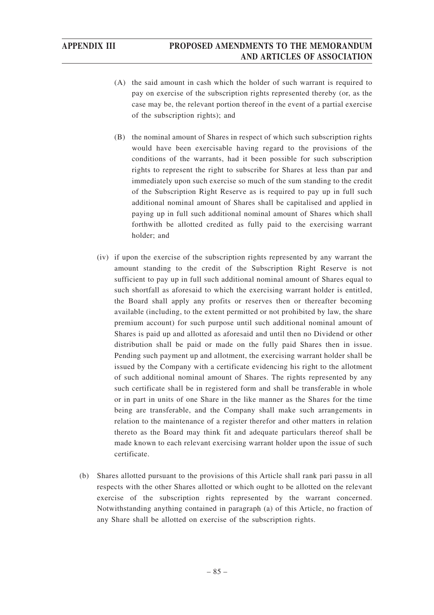- (A) the said amount in cash which the holder of such warrant is required to pay on exercise of the subscription rights represented thereby (or, as the case may be, the relevant portion thereof in the event of a partial exercise of the subscription rights); and
- (B) the nominal amount of Shares in respect of which such subscription rights would have been exercisable having regard to the provisions of the conditions of the warrants, had it been possible for such subscription rights to represent the right to subscribe for Shares at less than par and immediately upon such exercise so much of the sum standing to the credit of the Subscription Right Reserve as is required to pay up in full such additional nominal amount of Shares shall be capitalised and applied in paying up in full such additional nominal amount of Shares which shall forthwith be allotted credited as fully paid to the exercising warrant holder; and
- (iv) if upon the exercise of the subscription rights represented by any warrant the amount standing to the credit of the Subscription Right Reserve is not sufficient to pay up in full such additional nominal amount of Shares equal to such shortfall as aforesaid to which the exercising warrant holder is entitled, the Board shall apply any profits or reserves then or thereafter becoming available (including, to the extent permitted or not prohibited by law, the share premium account) for such purpose until such additional nominal amount of Shares is paid up and allotted as aforesaid and until then no Dividend or other distribution shall be paid or made on the fully paid Shares then in issue. Pending such payment up and allotment, the exercising warrant holder shall be issued by the Company with a certificate evidencing his right to the allotment of such additional nominal amount of Shares. The rights represented by any such certificate shall be in registered form and shall be transferable in whole or in part in units of one Share in the like manner as the Shares for the time being are transferable, and the Company shall make such arrangements in relation to the maintenance of a register therefor and other matters in relation thereto as the Board may think fit and adequate particulars thereof shall be made known to each relevant exercising warrant holder upon the issue of such certificate.
- (b) Shares allotted pursuant to the provisions of this Article shall rank pari passu in all respects with the other Shares allotted or which ought to be allotted on the relevant exercise of the subscription rights represented by the warrant concerned. Notwithstanding anything contained in paragraph (a) of this Article, no fraction of any Share shall be allotted on exercise of the subscription rights.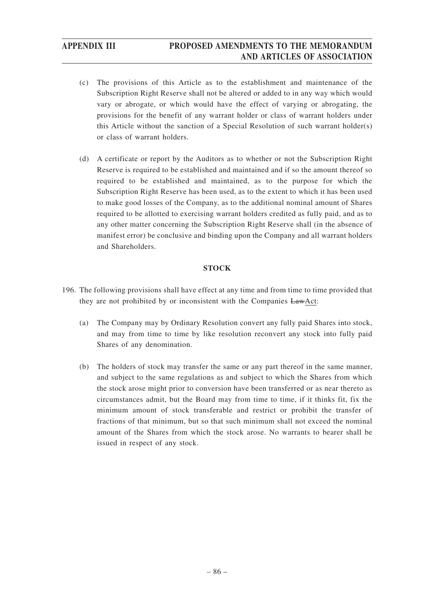- (c) The provisions of this Article as to the establishment and maintenance of the Subscription Right Reserve shall not be altered or added to in any way which would vary or abrogate, or which would have the effect of varying or abrogating, the provisions for the benefit of any warrant holder or class of warrant holders under this Article without the sanction of a Special Resolution of such warrant holder(s) or class of warrant holders.
- (d) A certificate or report by the Auditors as to whether or not the Subscription Right Reserve is required to be established and maintained and if so the amount thereof so required to be established and maintained, as to the purpose for which the Subscription Right Reserve has been used, as to the extent to which it has been used to make good losses of the Company, as to the additional nominal amount of Shares required to be allotted to exercising warrant holders credited as fully paid, and as to any other matter concerning the Subscription Right Reserve shall (in the absence of manifest error) be conclusive and binding upon the Company and all warrant holders and Shareholders.

### **STOCK**

- 196. The following provisions shall have effect at any time and from time to time provided that they are not prohibited by or inconsistent with the Companies LawAct:
	- (a) The Company may by Ordinary Resolution convert any fully paid Shares into stock, and may from time to time by like resolution reconvert any stock into fully paid Shares of any denomination.
	- (b) The holders of stock may transfer the same or any part thereof in the same manner, and subject to the same regulations as and subject to which the Shares from which the stock arose might prior to conversion have been transferred or as near thereto as circumstances admit, but the Board may from time to time, if it thinks fit, fix the minimum amount of stock transferable and restrict or prohibit the transfer of fractions of that minimum, but so that such minimum shall not exceed the nominal amount of the Shares from which the stock arose. No warrants to bearer shall be issued in respect of any stock.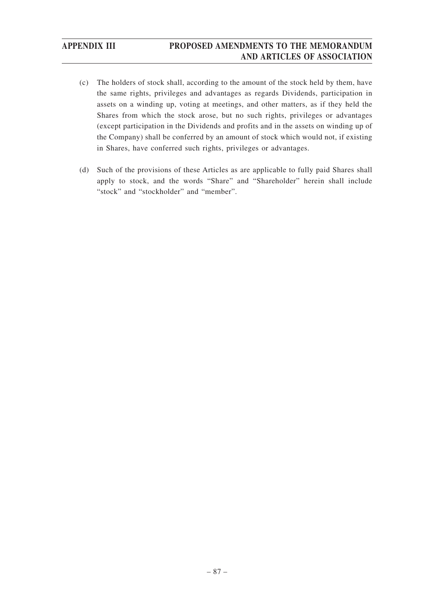- (c) The holders of stock shall, according to the amount of the stock held by them, have the same rights, privileges and advantages as regards Dividends, participation in assets on a winding up, voting at meetings, and other matters, as if they held the Shares from which the stock arose, but no such rights, privileges or advantages (except participation in the Dividends and profits and in the assets on winding up of the Company) shall be conferred by an amount of stock which would not, if existing in Shares, have conferred such rights, privileges or advantages.
- (d) Such of the provisions of these Articles as are applicable to fully paid Shares shall apply to stock, and the words "Share" and "Shareholder" herein shall include "stock" and "stockholder" and "member".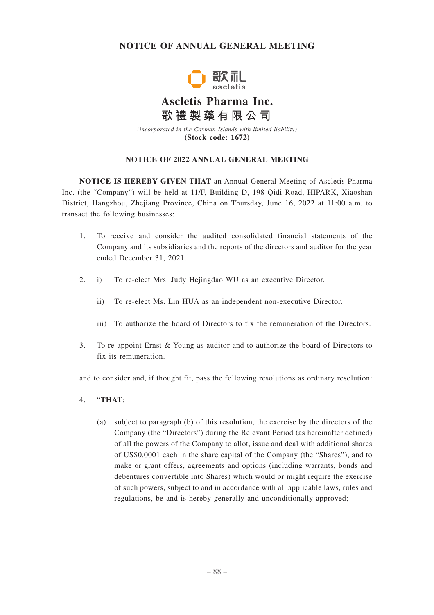## **NOTICE OF ANNUAL GENERAL MEETING**



# **Ascletis Pharma Inc. 歌禮製藥有限公司**

*(incorporated in the Cayman Islands with limited liability)* **(Stock code: 1672)**

### **NOTICE OF 2022 ANNUAL GENERAL MEETING**

**NOTICE IS HEREBY GIVEN THAT** an Annual General Meeting of Ascletis Pharma Inc. (the "Company") will be held at 11/F, Building D, 198 Qidi Road, HIPARK, Xiaoshan District, Hangzhou, Zhejiang Province, China on Thursday, June 16, 2022 at 11:00 a.m. to transact the following businesses:

- 1. To receive and consider the audited consolidated financial statements of the Company and its subsidiaries and the reports of the directors and auditor for the year ended December 31, 2021.
- 2. i) To re-elect Mrs. Judy Hejingdao WU as an executive Director.
	- ii) To re-elect Ms. Lin HUA as an independent non-executive Director.
	- iii) To authorize the board of Directors to fix the remuneration of the Directors.
- 3. To re-appoint Ernst & Young as auditor and to authorize the board of Directors to fix its remuneration.

and to consider and, if thought fit, pass the following resolutions as ordinary resolution:

- 4. "**THAT**:
	- (a) subject to paragraph (b) of this resolution, the exercise by the directors of the Company (the "Directors") during the Relevant Period (as hereinafter defined) of all the powers of the Company to allot, issue and deal with additional shares of US\$0.0001 each in the share capital of the Company (the "Shares"), and to make or grant offers, agreements and options (including warrants, bonds and debentures convertible into Shares) which would or might require the exercise of such powers, subject to and in accordance with all applicable laws, rules and regulations, be and is hereby generally and unconditionally approved;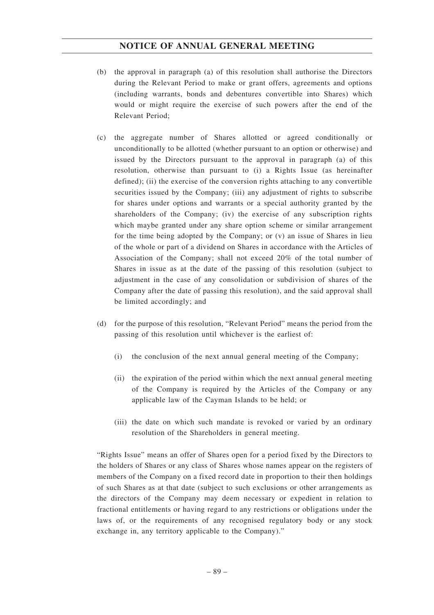## **NOTICE OF ANNUAL GENERAL MEETING**

- (b) the approval in paragraph (a) of this resolution shall authorise the Directors during the Relevant Period to make or grant offers, agreements and options (including warrants, bonds and debentures convertible into Shares) which would or might require the exercise of such powers after the end of the Relevant Period;
- (c) the aggregate number of Shares allotted or agreed conditionally or unconditionally to be allotted (whether pursuant to an option or otherwise) and issued by the Directors pursuant to the approval in paragraph (a) of this resolution, otherwise than pursuant to (i) a Rights Issue (as hereinafter defined); (ii) the exercise of the conversion rights attaching to any convertible securities issued by the Company; (iii) any adjustment of rights to subscribe for shares under options and warrants or a special authority granted by the shareholders of the Company; (iv) the exercise of any subscription rights which maybe granted under any share option scheme or similar arrangement for the time being adopted by the Company; or (v) an issue of Shares in lieu of the whole or part of a dividend on Shares in accordance with the Articles of Association of the Company; shall not exceed 20% of the total number of Shares in issue as at the date of the passing of this resolution (subject to adjustment in the case of any consolidation or subdivision of shares of the Company after the date of passing this resolution), and the said approval shall be limited accordingly; and
- (d) for the purpose of this resolution, "Relevant Period" means the period from the passing of this resolution until whichever is the earliest of:
	- (i) the conclusion of the next annual general meeting of the Company;
	- (ii) the expiration of the period within which the next annual general meeting of the Company is required by the Articles of the Company or any applicable law of the Cayman Islands to be held; or
	- (iii) the date on which such mandate is revoked or varied by an ordinary resolution of the Shareholders in general meeting.

"Rights Issue" means an offer of Shares open for a period fixed by the Directors to the holders of Shares or any class of Shares whose names appear on the registers of members of the Company on a fixed record date in proportion to their then holdings of such Shares as at that date (subject to such exclusions or other arrangements as the directors of the Company may deem necessary or expedient in relation to fractional entitlements or having regard to any restrictions or obligations under the laws of, or the requirements of any recognised regulatory body or any stock exchange in, any territory applicable to the Company)."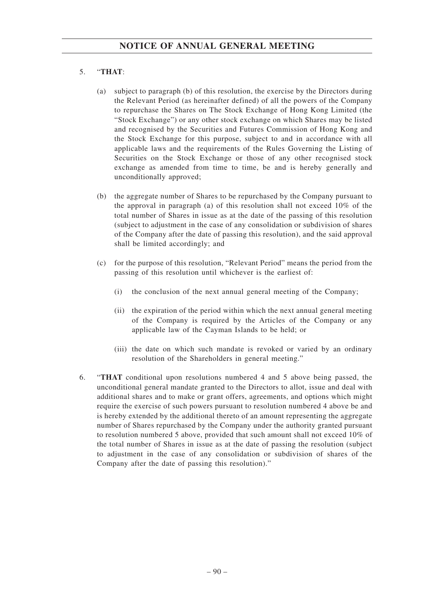## 5. "**THAT**:

- (a) subject to paragraph (b) of this resolution, the exercise by the Directors during the Relevant Period (as hereinafter defined) of all the powers of the Company to repurchase the Shares on The Stock Exchange of Hong Kong Limited (the "Stock Exchange") or any other stock exchange on which Shares may be listed and recognised by the Securities and Futures Commission of Hong Kong and the Stock Exchange for this purpose, subject to and in accordance with all applicable laws and the requirements of the Rules Governing the Listing of Securities on the Stock Exchange or those of any other recognised stock exchange as amended from time to time, be and is hereby generally and unconditionally approved;
- (b) the aggregate number of Shares to be repurchased by the Company pursuant to the approval in paragraph (a) of this resolution shall not exceed 10% of the total number of Shares in issue as at the date of the passing of this resolution (subject to adjustment in the case of any consolidation or subdivision of shares of the Company after the date of passing this resolution), and the said approval shall be limited accordingly; and
- (c) for the purpose of this resolution, "Relevant Period" means the period from the passing of this resolution until whichever is the earliest of:
	- (i) the conclusion of the next annual general meeting of the Company;
	- (ii) the expiration of the period within which the next annual general meeting of the Company is required by the Articles of the Company or any applicable law of the Cayman Islands to be held; or
	- (iii) the date on which such mandate is revoked or varied by an ordinary resolution of the Shareholders in general meeting."
- 6. "**THAT** conditional upon resolutions numbered 4 and 5 above being passed, the unconditional general mandate granted to the Directors to allot, issue and deal with additional shares and to make or grant offers, agreements, and options which might require the exercise of such powers pursuant to resolution numbered 4 above be and is hereby extended by the additional thereto of an amount representing the aggregate number of Shares repurchased by the Company under the authority granted pursuant to resolution numbered 5 above, provided that such amount shall not exceed 10% of the total number of Shares in issue as at the date of passing the resolution (subject to adjustment in the case of any consolidation or subdivision of shares of the Company after the date of passing this resolution)."